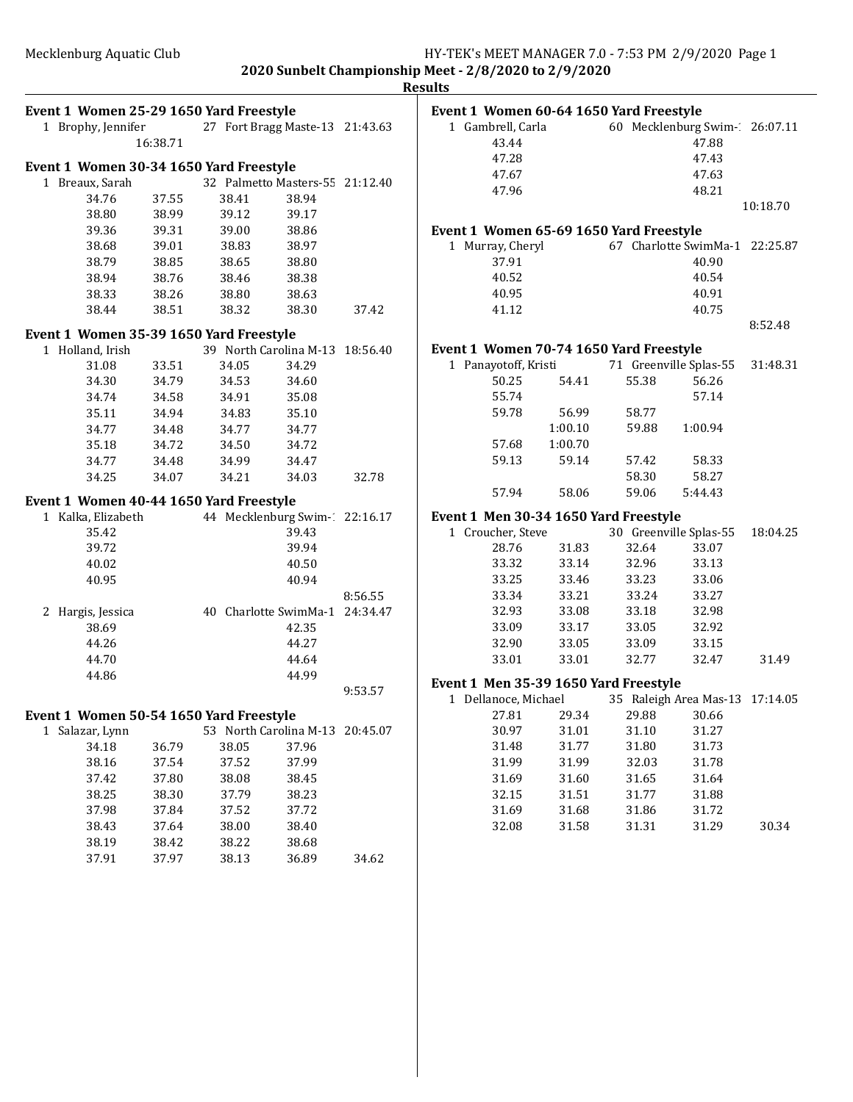|                                                    |                |                                |                                          |         | <b>Results</b> |
|----------------------------------------------------|----------------|--------------------------------|------------------------------------------|---------|----------------|
| Event 1 Women 25-29 1650 Yard Freestyle            |                |                                |                                          |         | Eve            |
| 1 Brophy, Jennifer 27 Fort Bragg Maste-13 21:43.63 |                |                                |                                          |         |                |
|                                                    | 16:38.71       |                                |                                          |         |                |
|                                                    |                |                                |                                          |         |                |
| Event 1 Women 30-34 1650 Yard Freestyle            |                |                                |                                          |         |                |
| 1 Breaux, Sarah                                    |                |                                | 32 Palmetto Masters-55 21:12.40<br>38.94 |         |                |
| 34.76<br>38.80                                     | 37.55<br>38.99 | 38.41<br>39.12                 | 39.17                                    |         |                |
| 39.36                                              | 39.31          | 39.00                          | 38.86                                    |         |                |
| 38.68                                              | 39.01          | 38.83                          | 38.97                                    |         | Eve            |
| 38.79                                              | 38.85          | 38.65                          | 38.80                                    |         |                |
| 38.94                                              | 38.76          | 38.46                          | 38.38                                    |         |                |
| 38.33                                              | 38.26          | 38.80                          | 38.63                                    |         |                |
| 38.44                                              | 38.51          | 38.32                          | 38.30                                    | 37.42   |                |
|                                                    |                |                                |                                          |         |                |
| Event 1 Women 35-39 1650 Yard Freestyle            |                |                                |                                          |         |                |
| 1 Holland, Irish                                   |                | 34.05                          | 39 North Carolina M-13 18:56.40          |         | Eve            |
| 31.08<br>34.30                                     | 33.51          | 34.53                          | 34.29                                    |         |                |
| 34.74                                              | 34.79<br>34.58 |                                | 34.60<br>35.08                           |         |                |
| 35.11                                              | 34.94          | 34.91                          |                                          |         |                |
|                                                    |                | 34.83                          | 35.10                                    |         |                |
| 34.77<br>35.18                                     | 34.48<br>34.72 | 34.77<br>34.50                 | 34.77                                    |         |                |
|                                                    |                |                                | 34.72                                    |         |                |
| 34.77<br>34.25                                     | 34.48<br>34.07 | 34.99                          | 34.47                                    |         |                |
|                                                    |                | 34.21                          | 34.03                                    | 32.78   |                |
| Event 1 Women 40-44 1650 Yard Freestyle            |                |                                |                                          |         |                |
| 1 Kalka, Elizabeth 44 Mecklenburg Swim-22:16.17    |                |                                |                                          |         | Eve            |
| 35.42                                              |                |                                | 39.43                                    |         |                |
| 39.72                                              |                |                                | 39.94                                    |         |                |
| 40.02                                              |                |                                | 40.50                                    |         |                |
| 40.95                                              |                |                                | 40.94                                    |         |                |
|                                                    |                |                                |                                          | 8:56.55 |                |
| 2 Hargis, Jessica                                  |                | 40 Charlotte SwimMa-1 24:34.47 |                                          |         |                |
| 38.69                                              |                |                                | 42.35                                    |         |                |
| 44.26                                              |                |                                | 44.27                                    |         |                |
| 44.70                                              |                |                                | 44.64                                    |         |                |
| 44.86                                              |                |                                | 44.99                                    |         | Eve            |
|                                                    |                |                                |                                          | 9:53.57 |                |
| Event 1 Women 50-54 1650 Yard Freestyle            |                |                                |                                          |         |                |
| 1 Salazar, Lynn                                    |                |                                | 53 North Carolina M-13 20:45.07          |         |                |
| 34.18                                              | 36.79          | 38.05                          | 37.96                                    |         |                |
| 38.16                                              | 37.54          | 37.52                          | 37.99                                    |         |                |
| 37.42                                              | 37.80          | 38.08                          | 38.45                                    |         |                |
| 38.25                                              | 38.30          | 37.79                          | 38.23                                    |         |                |
| 37.98                                              | 37.84          | 37.52                          | 37.72                                    |         |                |
| 38.43                                              | 37.64          | 38.00                          | 38.40                                    |         |                |
| 38.19                                              | 38.42          | 38.22                          | 38.68                                    |         |                |
| 37.91                                              | 37.97          | 38.13                          | 36.89                                    | 34.62   |                |
|                                                    |                |                                |                                          |         |                |
|                                                    |                |                                |                                          |         |                |

| Event 1 Women 60-64 1650 Yard Freestyle |         |       |                                |          |
|-----------------------------------------|---------|-------|--------------------------------|----------|
| 1 Gambrell, Carla                       |         |       | 60 Mecklenburg Swim-1 26:07.11 |          |
| 43.44                                   |         |       | 47.88                          |          |
| 47.28                                   |         |       | 47.43                          |          |
| 47.67                                   |         |       | 47.63                          |          |
| 47.96                                   |         |       | 48.21                          |          |
|                                         |         |       |                                | 10:18.70 |
| Event 1 Women 65-69 1650 Yard Freestyle |         |       |                                |          |
| 1 Murray, Cheryl                        |         |       | 67 Charlotte SwimMa-1 22:25.87 |          |
| 37.91                                   |         |       | 40.90                          |          |
| 40.52                                   |         |       | 40.54                          |          |
| 40.95                                   |         |       | 40.91                          |          |
| 41.12                                   |         |       | 40.75                          |          |
|                                         |         |       |                                | 8:52.48  |
| Event 1 Women 70-74 1650 Yard Freestyle |         |       |                                |          |
| Panayotoff, Kristi<br>1                 |         |       | 71 Greenville Splas-55         | 31:48.31 |
| 50.25                                   | 54.41   | 55.38 | 56.26                          |          |
| 55.74                                   |         |       | 57.14                          |          |
| 59.78                                   | 56.99   | 58.77 |                                |          |
|                                         | 1:00.10 | 59.88 | 1:00.94                        |          |
| 57.68                                   | 1:00.70 |       |                                |          |
| 59.13                                   | 59.14   | 57.42 | 58.33                          |          |
|                                         |         | 58.30 | 58.27                          |          |
| 57.94                                   | 58.06   | 59.06 | 5:44.43                        |          |
| Event 1 Men 30-34 1650 Yard Freestyle   |         |       |                                |          |
| Croucher, Steve<br>1                    |         |       | 30 Greenville Splas-55         | 18:04.25 |
| 28.76                                   | 31.83   | 32.64 | 33.07                          |          |
| 33.32                                   | 33.14   | 32.96 | 33.13                          |          |
| 33.25                                   | 33.46   | 33.23 | 33.06                          |          |
| 33.34                                   | 33.21   | 33.24 | 33.27                          |          |
| 32.93                                   | 33.08   | 33.18 | 32.98                          |          |
| 33.09                                   | 33.17   | 33.05 | 32.92                          |          |
| 32.90                                   | 33.05   | 33.09 | 33.15                          |          |
| 33.01                                   |         |       | 32.47                          |          |
|                                         | 33.01   | 32.77 |                                | 31.49    |
| Event 1 Men 35-39 1650 Yard Freestyle   |         |       |                                |          |
| Dellanoce, Michael<br>1                 |         |       | 35 Raleigh Area Mas-13         | 17:14.05 |
| 27.81                                   | 29.34   | 29.88 | 30.66                          |          |
| 30.97                                   | 31.01   | 31.10 | 31.27                          |          |
| 31.48                                   | 31.77   | 31.80 | 31.73                          |          |
| 31.99                                   | 31.99   | 32.03 | 31.78                          |          |
| 31.69                                   | 31.60   | 31.65 | 31.64                          |          |
| 32.15                                   | 31.51   | 31.77 | 31.88                          |          |
| 31.69                                   | 31.68   | 31.86 | 31.72                          |          |
| 32.08                                   | 31.58   | 31.31 | 31.29                          | 30.34    |
|                                         |         |       |                                |          |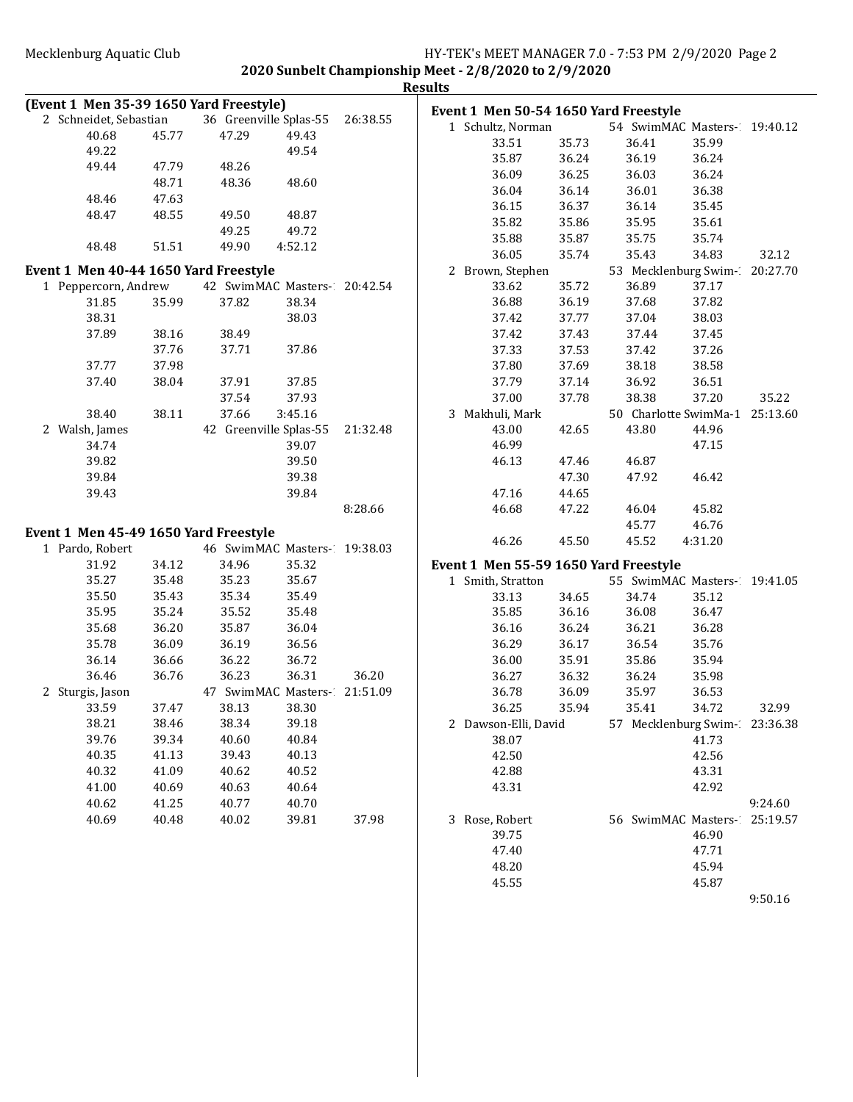|                                         |                |                |                              |          | <b>Results</b> |                         |                |                                       |                                |          |
|-----------------------------------------|----------------|----------------|------------------------------|----------|----------------|-------------------------|----------------|---------------------------------------|--------------------------------|----------|
| (Event 1 Men 35-39 1650 Yard Freestyle) |                |                |                              |          |                |                         |                | Event 1 Men 50-54 1650 Yard Freestyle |                                |          |
| 2 Schneidet, Sebastian                  |                |                | 36 Greenville Splas-55       | 26:38.55 |                | 1 Schultz, Norman       |                |                                       | 54 SwimMAC Masters- 19:40.12   |          |
| 40.68                                   | 45.77          | 47.29          | 49.43                        |          |                | 33.51                   | 35.73          | 36.41                                 | 35.99                          |          |
| 49.22                                   |                |                | 49.54                        |          |                | 35.87                   | 36.24          | 36.19                                 | 36.24                          |          |
| 49.44                                   | 47.79          | 48.26          |                              |          |                | 36.09                   | 36.25          | 36.03                                 | 36.24                          |          |
|                                         | 48.71          | 48.36          | 48.60                        |          |                | 36.04                   | 36.14          | 36.01                                 | 36.38                          |          |
| 48.46                                   | 47.63          |                |                              |          |                | 36.15                   | 36.37          | 36.14                                 | 35.45                          |          |
| 48.47                                   | 48.55          | 49.50          | 48.87                        |          |                | 35.82                   | 35.86          | 35.95                                 | 35.61                          |          |
|                                         |                | 49.25          | 49.72                        |          |                | 35.88                   | 35.87          | 35.75                                 | 35.74                          |          |
| 48.48                                   | 51.51          | 49.90          | 4:52.12                      |          |                | 36.05                   | 35.74          | 35.43                                 | 34.83                          | 32.12    |
| Event 1 Men 40-44 1650 Yard Freestyle   |                |                |                              |          |                | 2 Brown, Stephen        |                |                                       | 53 Mecklenburg Swim-20:27.70   |          |
| 1 Peppercorn, Andrew                    |                |                | 42 SwimMAC Masters-20:42.54  |          |                | 33.62                   | 35.72          | 36.89                                 | 37.17                          |          |
| 31.85                                   | 35.99          | 37.82          | 38.34                        |          |                | 36.88                   | 36.19          | 37.68                                 | 37.82                          |          |
| 38.31                                   |                |                | 38.03                        |          |                | 37.42                   | 37.77          | 37.04                                 | 38.03                          |          |
| 37.89                                   | 38.16          | 38.49          |                              |          |                | 37.42                   | 37.43          | 37.44                                 | 37.45                          |          |
|                                         | 37.76          | 37.71          | 37.86                        |          |                | 37.33                   | 37.53          | 37.42                                 | 37.26                          |          |
| 37.77                                   | 37.98          |                |                              |          |                | 37.80                   | 37.69          | 38.18                                 | 38.58                          |          |
| 37.40                                   | 38.04          | 37.91          | 37.85                        |          |                | 37.79                   | 37.14          | 36.92                                 | 36.51                          |          |
|                                         |                | 37.54          | 37.93                        |          |                | 37.00                   | 37.78          | 38.38                                 | 37.20                          | 35.22    |
| 38.40                                   | 38.11          | 37.66          | 3:45.16                      |          |                | 3 Makhuli, Mark         |                |                                       | 50 Charlotte SwimMa-1 25:13.60 |          |
| 2 Walsh, James                          |                |                | 42 Greenville Splas-55       | 21:32.48 |                | 43.00                   | 42.65          | 43.80                                 | 44.96                          |          |
| 34.74                                   |                |                | 39.07                        |          |                | 46.99                   |                |                                       | 47.15                          |          |
| 39.82                                   |                |                | 39.50                        |          |                | 46.13                   | 47.46          | 46.87                                 |                                |          |
| 39.84                                   |                |                | 39.38                        |          |                |                         | 47.30          | 47.92                                 | 46.42                          |          |
| 39.43                                   |                |                | 39.84                        |          |                | 47.16                   | 44.65          |                                       |                                |          |
|                                         |                |                |                              | 8:28.66  |                | 46.68                   | 47.22          | 46.04                                 | 45.82                          |          |
|                                         |                |                |                              |          |                |                         |                | 45.77                                 | 46.76                          |          |
| Event 1 Men 45-49 1650 Yard Freestyle   |                |                |                              |          |                | 46.26                   | 45.50          | 45.52                                 | 4:31.20                        |          |
| 1 Pardo, Robert                         |                |                | 46 SwimMAC Masters- 19:38.03 |          |                |                         |                |                                       |                                |          |
| 31.92<br>35.27                          | 34.12<br>35.48 | 34.96<br>35.23 | 35.32<br>35.67               |          |                |                         |                | Event 1 Men 55-59 1650 Yard Freestyle |                                |          |
| 35.50                                   | 35.43          | 35.34          | 35.49                        |          |                | 1 Smith, Stratton       |                |                                       | 55 SwimMAC Masters- 19:41.05   |          |
| 35.95                                   | 35.24          | 35.52          | 35.48                        |          |                | 33.13<br>35.85          | 34.65<br>36.16 | 34.74<br>36.08                        | 35.12<br>36.47                 |          |
| 35.68                                   | 36.20          | 35.87          | 36.04                        |          |                |                         |                |                                       | 36.28                          |          |
| 35.78                                   | 36.09          | 36.19          | 36.56                        |          |                | 36.16<br>36.29          | 36.24          | 36.21<br>36.54                        | 35.76                          |          |
| 36.14                                   | 36.66          | 36.22          | 36.72                        |          |                | 36.00                   | 36.17<br>35.91 | 35.86                                 | 35.94                          |          |
| 36.46                                   | 36.76          | 36.23          | 36.31                        | 36.20    |                | 36.27                   | 36.32          | 36.24                                 | 35.98                          |          |
| 2 Sturgis, Jason                        |                |                | 47 SwimMAC Masters- 21:51.09 |          |                | 36.78                   | 36.09          |                                       | 36.53                          |          |
| 33.59                                   | 37.47          | 38.13          | 38.30                        |          |                | 36.25                   | 35.94          | 35.97<br>35.41                        | 34.72                          | 32.99    |
| 38.21                                   | 38.46          | 38.34          | 39.18                        |          |                | 2 Dawson-Elli, David    |                |                                       | 57 Mecklenburg Swim-23:36.38   |          |
| 39.76                                   | 39.34          | 40.60          | 40.84                        |          |                | 38.07                   |                |                                       | 41.73                          |          |
| 40.35                                   | 41.13          | 39.43          | 40.13                        |          |                | 42.50                   |                |                                       | 42.56                          |          |
| 40.32                                   | 41.09          | 40.62          | 40.52                        |          |                | 42.88                   |                |                                       | 43.31                          |          |
| 41.00                                   | 40.69          | 40.63          | 40.64                        |          |                | 43.31                   |                |                                       | 42.92                          |          |
| 40.62                                   | 41.25          | 40.77          | 40.70                        |          |                |                         |                |                                       |                                | 9:24.60  |
| 40.69                                   | 40.48          | 40.02          |                              | 37.98    |                |                         |                |                                       | 56 SwimMAC Masters-            |          |
|                                         |                |                | 39.81                        |          |                | 3 Rose, Robert<br>39.75 |                |                                       | 46.90                          | 25:19.57 |
|                                         |                |                |                              |          |                | 47.40                   |                |                                       | 47.71                          |          |
|                                         |                |                |                              |          |                | 48.20                   |                |                                       | 45.94                          |          |
|                                         |                |                |                              |          |                | 45.55                   |                |                                       | 45.87                          |          |
|                                         |                |                |                              |          |                |                         |                |                                       |                                | 9:50.16  |
|                                         |                |                |                              |          |                |                         |                |                                       |                                |          |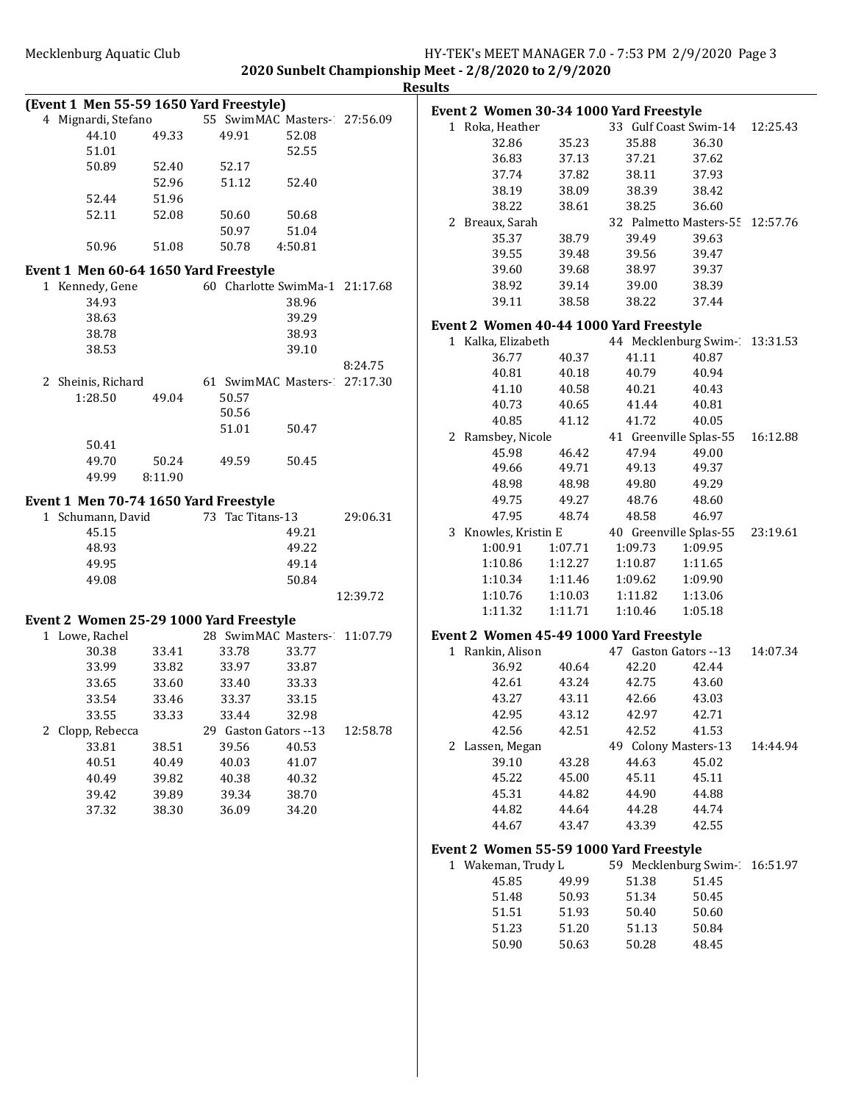|                                         |         |                       |                                |          | <b>Results</b>      |
|-----------------------------------------|---------|-----------------------|--------------------------------|----------|---------------------|
| (Event 1 Men 55-59 1650 Yard Freestyle) |         |                       |                                |          | <b>Event 2 Wome</b> |
| 4 Mignardi, Stefano                     |         |                       | 55 SwimMAC Masters-27:56.09    |          | 1 Roka, Heat        |
| 44.10                                   | 49.33   | 49.91                 | 52.08                          |          | 32.86               |
| 51.01                                   |         |                       | 52.55                          |          | 36.83               |
| 50.89                                   | 52.40   | 52.17                 |                                |          | 37.74               |
|                                         | 52.96   | 51.12                 | 52.40                          |          | 38.19               |
| 52.44                                   | 51.96   |                       |                                |          | 38.22               |
| 52.11                                   | 52.08   | 50.60                 | 50.68                          |          | 2 Breaux, Sa        |
|                                         |         | 50.97                 | 51.04                          |          | 35.37               |
| 50.96                                   | 51.08   | 50.78                 | 4:50.81                        |          | 39.55               |
| Event 1 Men 60-64 1650 Yard Freestyle   |         |                       |                                |          | 39.60               |
| 1 Kennedy, Gene                         |         |                       | 60 Charlotte SwimMa-1 21:17.68 |          | 38.92               |
| 34.93                                   |         |                       | 38.96                          |          | 39.11               |
| 38.63                                   |         |                       | 39.29                          |          |                     |
| 38.78                                   |         |                       | 38.93                          |          | <b>Event 2 Wome</b> |
| 38.53                                   |         |                       | 39.10                          |          | 1 Kalka, Eliza      |
|                                         |         |                       |                                |          | 36.77               |
|                                         |         |                       |                                | 8:24.75  | 40.81               |
| 2 Sheinis, Richard                      |         |                       | 61 SwimMAC Masters- 27:17.30   |          | 41.10               |
| 1:28.50                                 | 49.04   | 50.57                 |                                |          | 40.73               |
|                                         |         | 50.56                 |                                |          | 40.85               |
|                                         |         | 51.01                 | 50.47                          |          | 2 Ramsbey, I        |
| 50.41                                   |         |                       |                                |          | 45.98               |
| 49.70                                   | 50.24   | 49.59                 | 50.45                          |          | 49.66               |
| 49.99                                   | 8:11.90 |                       |                                |          | 48.98               |
| Event 1 Men 70-74 1650 Yard Freestyle   |         |                       |                                |          | 49.75               |
| 1 Schumann, David                       |         | 73 Tac Titans-13      |                                | 29:06.31 | 47.95               |
| 45.15                                   |         |                       | 49.21                          |          | 3 Knowles, K        |
| 48.93                                   |         |                       | 49.22                          |          | 1:00.91             |
| 49.95                                   |         |                       | 49.14                          |          | 1:10.86             |
| 49.08                                   |         |                       | 50.84                          |          | 1:10.34             |
|                                         |         |                       |                                | 12:39.72 | 1:10.76             |
|                                         |         |                       |                                |          | 1:11.32             |
| Event 2 Women 25-29 1000 Yard Freestyle |         |                       |                                |          |                     |
| 1 Lowe, Rachel                          |         |                       | 28 SwimMAC Masters- 11:07.79   |          | <b>Event 2 Wome</b> |
| 30.38                                   | 33.41   | 33.78                 | 33.77                          |          | 1 Rankin, Ali       |
| 33.99                                   | 33.82   | 33.97                 | 33.87                          |          | 36.92               |
| 33.65                                   | 33.60   | 33.40                 | 33.33                          |          | 42.61               |
| 33.54                                   | 33.46   | 33.37                 | 33.15                          |          | 43.27               |
| 33.55                                   | 33.33   | 33.44                 | 32.98                          |          | 42.95               |
| 2 Clopp, Rebecca                        |         | 29 Gaston Gators --13 |                                | 12:58.78 | 42.56               |
| 33.81                                   | 38.51   | 39.56                 | 40.53                          |          | 2 Lassen, Me        |
| 40.51                                   | 40.49   | 40.03                 | 41.07                          |          | 39.10               |
| 40.49                                   | 39.82   | 40.38                 | 40.32                          |          | 45.22               |
| 39.42                                   | 39.89   | 39.34                 | 38.70                          |          | 45.31               |
| 37.32                                   | 38.30   | 36.09                 | 34.20                          |          | 44.82               |
|                                         |         |                       |                                |          | 44.67               |
|                                         |         |                       |                                |          |                     |
|                                         |         |                       |                                |          | <b>Event 2 Wome</b> |
|                                         |         |                       |                                |          | 1 Wakeman,          |
|                                         |         |                       |                                |          | 45.85               |
|                                         |         |                       |                                |          | 51.48               |
|                                         |         |                       |                                |          | 51.51               |
|                                         |         |                       |                                |          | 51.23               |

|              | Event 2 Women 30-34 1000 Yard Freestyle |         |                      |                                 |          |
|--------------|-----------------------------------------|---------|----------------------|---------------------------------|----------|
|              | 1 Roka, Heather                         |         |                      | 33 Gulf Coast Swim-14 12:25.43  |          |
|              | 32.86                                   | 35.23   | 35.88                | 36.30                           |          |
|              | 36.83                                   | 37.13   | 37.21                | 37.62                           |          |
|              | 37.74                                   | 37.82   | 38.11                | 37.93                           |          |
|              | 38.19                                   | 38.09   | 38.39                | 38.42                           |          |
|              | 38.22                                   | 38.61   | 38.25                | 36.60                           |          |
|              | 2 Breaux, Sarah                         |         |                      | 32 Palmetto Masters-55 12:57.76 |          |
|              | 35.37                                   | 38.79   | 39.49                | 39.63                           |          |
|              | 39.55                                   | 39.48   | 39.56                | 39.47                           |          |
|              | 39.60                                   | 39.68   | 38.97                | 39.37                           |          |
|              | 38.92                                   | 39.14   | 39.00                | 38.39                           |          |
|              | 39.11                                   | 38.58   | 38.22                | 37.44                           |          |
|              | Event 2 Women 40-44 1000 Yard Freestyle |         |                      |                                 |          |
|              | 1 Kalka, Elizabeth                      |         |                      | 44 Mecklenburg Swim-13:31.53    |          |
|              | 36.77                                   | 40.37   | 41.11                | 40.87                           |          |
|              | 40.81                                   | 40.18   | 40.79                | 40.94                           |          |
|              | 41.10                                   | 40.58   | 40.21                | 40.43                           |          |
|              | 40.73                                   | 40.65   | 41.44                | 40.81                           |          |
|              | 40.85                                   | 41.12   | 41.72                | 40.05                           |          |
|              | 2 Ramsbey, Nicole                       |         |                      | 41 Greenville Splas-55          | 16:12.88 |
|              | 45.98                                   | 46.42   | 47.94                | 49.00                           |          |
|              | 49.66                                   | 49.71   | 49.13                | 49.37                           |          |
|              | 48.98                                   | 48.98   | 49.80                | 49.29                           |          |
|              | 49.75                                   | 49.27   | 48.76                | 48.60                           |          |
|              | 47.95                                   | 48.74   | 48.58                | 46.97                           |          |
|              | 3 Knowles, Kristin E                    |         |                      | 40 Greenville Splas-55          | 23:19.61 |
|              | 1:00.91                                 | 1:07.71 | 1:09.73              | 1:09.95                         |          |
|              | 1:10.86                                 | 1:12.27 | 1:10.87              | 1:11.65                         |          |
|              | 1:10.34                                 | 1:11.46 | 1:09.62              | 1:09.90                         |          |
|              | 1:10.76                                 | 1:10.03 | 1:11.82              | 1:13.06                         |          |
|              | 1:11.32                                 | 1:11.71 | 1:10.46              | 1:05.18                         |          |
|              | Event 2 Women 45-49 1000 Yard Freestyle |         |                      |                                 |          |
|              | 1 Rankin, Alison                        |         |                      | 47 Gaston Gators --13           | 14:07.34 |
|              | 36.92                                   | 40.64   | 42.20                | 42.44                           |          |
|              | 42.61                                   | 43.24   | 42.75                | 43.60                           |          |
|              | 43.27                                   | 43.11   | 42.66                | 43.03                           |          |
|              | 42.95                                   | 43.12   | 42.97                | 42.71                           |          |
|              | 42.56                                   | 42.51   | 42.52                | 41.53                           |          |
| $\mathbf{2}$ | Lassen, Megan                           |         | 49 Colony Masters-13 |                                 | 14:44.94 |
|              | 39.10                                   | 43.28   | 44.63                | 45.02                           |          |
|              | 45.22                                   | 45.00   | 45.11                | 45.11                           |          |
|              | 45.31                                   | 44.82   | 44.90                | 44.88                           |          |
|              | 44.82                                   | 44.64   | 44.28                | 44.74                           |          |
|              | 44.67                                   | 43.47   | 43.39                | 42.55                           |          |
|              | Event 2 Women 55-59 1000 Yard Freestyle |         |                      |                                 |          |

| 1 Wakeman, Trudy L |       | 59 Mecklenburg Swim- 16:51.97 |       |  |
|--------------------|-------|-------------------------------|-------|--|
| 45.85              | 49.99 | 51.38                         | 51.45 |  |
| 51.48              | 50.93 | 51.34                         | 50.45 |  |
| 51.51              | 51.93 | 50.40                         | 50.60 |  |
| 51.23              | 51.20 | 51.13                         | 50.84 |  |
| 50.90              | 50.63 | 50.28                         | 48.45 |  |
|                    |       |                               |       |  |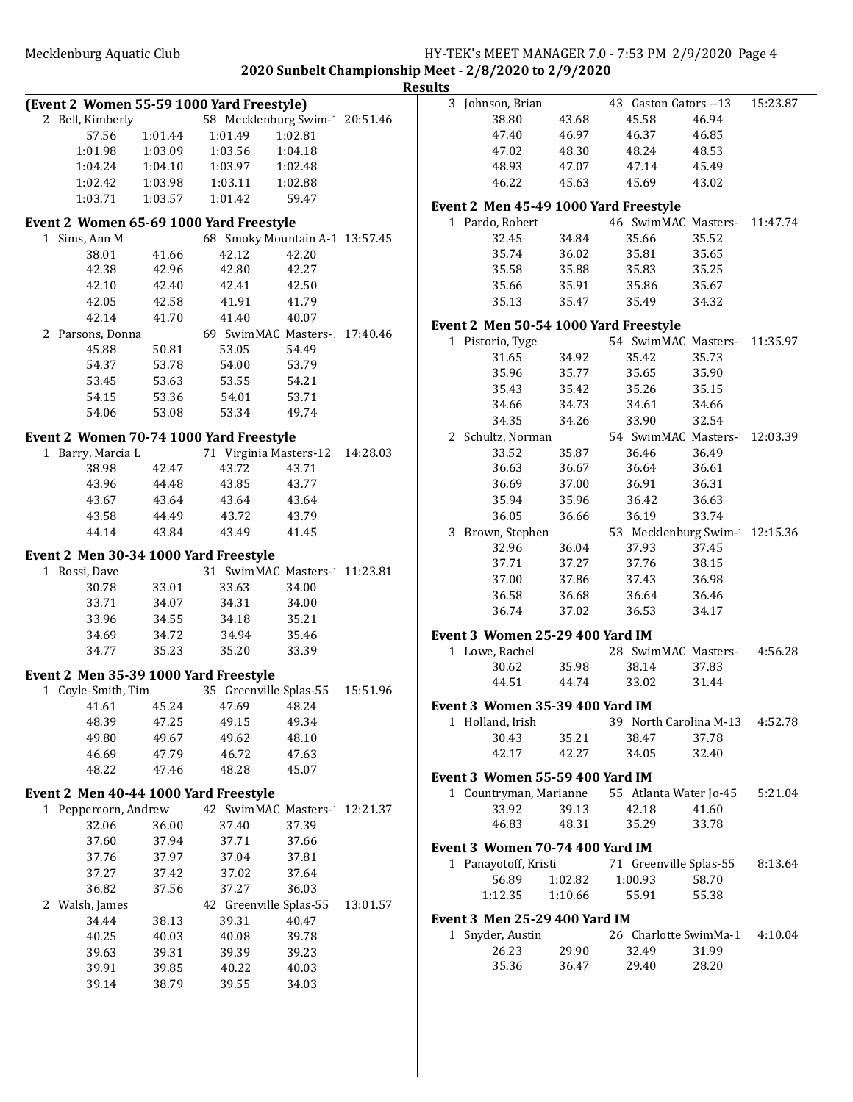**2020 Sunbelt Championship Meet - 2/8/2020 to 2/9/2020 Results**

| (Event 2 Women 55-59 1000 Yard Freestyle) |         |                         |                                 |          |
|-------------------------------------------|---------|-------------------------|---------------------------------|----------|
| 2 Bell, Kimberly                          |         |                         | 58 Mecklenburg Swim-20:51.46    |          |
| 57.56                                     | 1:01.44 | 1:01.49                 | 1:02.81                         |          |
| 1:01.98                                   |         | 1:03.09 1:03.56         | 1:04.18                         |          |
| 1:04.24                                   | 1:04.10 | 1:03.97                 | 1:02.48                         |          |
| 1:02.42                                   |         | 1:03.98  1:03.11        | 1:02.88                         |          |
| 1:03.71                                   | 1:03.57 | 1:01.42                 | 59.47                           |          |
|                                           |         |                         |                                 |          |
| Event 2 Women 65-69 1000 Yard Freestyle   |         |                         |                                 |          |
| 1 Sims, Ann M                             |         |                         | 68 Smoky Mountain A-1 13:57.45  |          |
| 38.01                                     | 41.66   | 42.12                   | 42.20                           |          |
| 42.38                                     | 42.96   | 42.80                   | 42.27                           |          |
| 42.10                                     | 42.40   | 42.41                   | 42.50                           |          |
| 42.05                                     | 42.58   | 41.91                   | 41.79                           |          |
| 42.14                                     | 41.70   | 41.40                   | 40.07                           |          |
| 2 Parsons, Donna                          |         |                         | 69 SwimMAC Masters- 17:40.46    |          |
| 45.88                                     | 50.81   | 53.05                   | 54.49                           |          |
| 54.37                                     | 53.78   | 54.00                   | 53.79                           |          |
| 53.45                                     | 53.63   | 53.55                   | 54.21                           |          |
| 54.15                                     | 53.36   | 54.01                   | 53.71                           |          |
| 54.06                                     | 53.08   | 53.34                   | 49.74                           |          |
| Event 2 Women 70-74 1000 Yard Freestyle   |         |                         |                                 |          |
| 1 Barry, Marcia L                         |         |                         | 71 Virginia Masters-12          | 14:28.03 |
| 38.98                                     | 42.47   | 43.72                   | 43.71                           |          |
| 43.96                                     | 44.48   | 43.85                   | 43.77                           |          |
| 43.67                                     | 43.64   | 43.64                   | 43.64                           |          |
| 43.58                                     | 44.49   | 43.72                   | 43.79                           |          |
| 44.14                                     | 43.84   | 43.49                   | 41.45                           |          |
|                                           |         |                         |                                 |          |
| Event 2 Men 30-34 1000 Yard Freestyle     |         |                         |                                 |          |
| 1 Rossi, Dave                             |         |                         | 31 SwimMAC Masters-11:23.81     |          |
| 30.78                                     | 33.01   | 33.63                   | 34.00                           |          |
| 33.71                                     | 34.07   | 34.31                   | 34.00                           |          |
| 33.96                                     | 34.55   | 34.18                   | 35.21                           |          |
| 34.69                                     | 34.72   | 34.94                   | 35.46                           |          |
| 34.77                                     | 35.23   | 35.20                   | 33.39                           |          |
| Event 2 Men 35-39 1000 Yard Freestyle     |         |                         |                                 |          |
| 1 Coyle-Smith, Tim                        |         |                         | 35 Greenville Splas-55 15:51.96 |          |
|                                           |         | 41.61 45.24 47.69 48.24 |                                 |          |
| 48.39                                     | 47.25   | 49.15                   | 49.34                           |          |
| 49.80                                     | 49.67   | 49.62                   | 48.10                           |          |
| 46.69                                     | 47.79   | 46.72                   | 47.63                           |          |
| 48.22                                     | 47.46   | 48.28                   | 45.07                           |          |
|                                           |         |                         |                                 |          |
| Event 2 Men 40-44 1000 Yard Freestyle     |         |                         |                                 |          |
| Peppercorn, Andrew<br>1                   |         |                         | 42 SwimMAC Masters-1            | 12:21.37 |
| 32.06                                     | 36.00   | 37.40                   | 37.39                           |          |
| 37.60                                     | 37.94   | 37.71                   | 37.66                           |          |
| 37.76                                     | 37.97   | 37.04                   | 37.81                           |          |
| 37.27                                     | 37.42   | 37.02                   | 37.64                           |          |
| 36.82                                     | 37.56   | 37.27                   | 36.03                           |          |
| 2<br>Walsh, James                         |         | 42 Greenville Splas-55  |                                 | 13:01.57 |
| 34.44                                     | 38.13   | 39.31                   | 40.47                           |          |
| 40.25                                     | 40.03   | 40.08                   | 39.78                           |          |
| 39.63                                     | 39.31   | 39.39                   | 39.23                           |          |
| 39.91                                     | 39.85   | 40.22                   | 40.03                           |          |
| 39.14                                     | 38.79   | 39.55                   | 34.03                           |          |
|                                           |         |                         |                                 |          |

| ılts |                                               |         |                               |       |          |
|------|-----------------------------------------------|---------|-------------------------------|-------|----------|
|      | 3 Johnson, Brian                              |         | 43 Gaston Gators --13         |       | 15:23.87 |
|      | 38.80                                         | 43.68   | 45.58                         | 46.94 |          |
|      | 47.40                                         | 46.97   | 46.37                         | 46.85 |          |
|      | 47.02                                         | 48.30   | 48.24                         | 48.53 |          |
|      | 48.93                                         | 47.07   | 47.14                         | 45.49 |          |
|      | 46.22                                         | 45.63   | 45.69                         | 43.02 |          |
|      |                                               |         |                               |       |          |
|      | Event 2 Men 45-49 1000 Yard Freestyle         |         |                               |       |          |
|      | 1 Pardo, Robert                               |         | 46 SwimMAC Masters- 11:47.74  |       |          |
|      | 32.45                                         | 34.84   | 35.66                         | 35.52 |          |
|      | 35.74                                         | 36.02   | 35.81                         | 35.65 |          |
|      | 35.58                                         | 35.88   | 35.83                         | 35.25 |          |
|      | 35.66                                         | 35.91   | 35.86                         | 35.67 |          |
|      | 35.13                                         | 35.47   | 35.49                         | 34.32 |          |
|      |                                               |         |                               |       |          |
|      | Event 2 Men 50-54 1000 Yard Freestyle         |         |                               |       |          |
|      | 1 Pistorio, Tyge                              |         | 54 SwimMAC Masters- 11:35.97  |       |          |
|      | 31.65                                         | 34.92   | 35.42                         | 35.73 |          |
|      | 35.96                                         | 35.77   | 35.65                         | 35.90 |          |
|      | 35.43                                         | 35.42   | 35.26                         | 35.15 |          |
|      | 34.66                                         | 34.73   | 34.61                         | 34.66 |          |
|      | 34.35                                         | 34.26   | 33.90                         | 32.54 |          |
|      | 2 Schultz, Norman                             |         | 54 SwimMAC Masters-           |       | 12:03.39 |
|      | 33.52                                         | 35.87   | 36.46                         | 36.49 |          |
|      | 36.63                                         | 36.67   | 36.64                         | 36.61 |          |
|      | 36.69                                         | 37.00   | 36.91                         | 36.31 |          |
|      | 35.94                                         | 35.96   | 36.42                         | 36.63 |          |
|      | 36.05                                         | 36.66   | 36.19                         | 33.74 |          |
|      | 3<br>Brown, Stephen                           |         | 53 Mecklenburg Swim- 12:15.36 |       |          |
|      | 32.96                                         | 36.04   | 37.93                         | 37.45 |          |
|      | 37.71                                         | 37.27   | 37.76                         | 38.15 |          |
|      |                                               | 37.86   | 37.43                         |       |          |
|      | 37.00                                         |         |                               | 36.98 |          |
|      | 36.58                                         | 36.68   | 36.64                         | 36.46 |          |
|      | 36.74                                         | 37.02   | 36.53                         | 34.17 |          |
|      | Event 3 Women 25-29 400 Yard IM               |         |                               |       |          |
|      | 1 Lowe, Rachel                                |         | 28 SwimMAC Masters- 4:56.28   |       |          |
|      | 30.62                                         | 35.98   | 38.14                         | 37.83 |          |
|      | 44.51                                         | 44.74   | 33.02                         | 31.44 |          |
|      | Event 3 Women 35-39 400 Yard IM               |         |                               |       |          |
|      | 1 Holland, Irish                              |         | 39 North Carolina M-13        |       | 4:52.78  |
|      | 30.43                                         | 35.21   | 38.47                         | 37.78 |          |
|      | 42.17 42.27                                   |         | 34.05                         | 32.40 |          |
|      |                                               |         |                               |       |          |
|      | Event 3 Women 55-59 400 Yard IM               |         |                               |       |          |
|      | 1 Countryman, Marianne 55 Atlanta Water Jo-45 |         |                               |       | 5:21.04  |
|      | 33.92                                         | 39.13   | 42.18                         | 41.60 |          |
|      | 46.83                                         | 48.31   | 35.29                         | 33.78 |          |
|      | Event 3 Women 70-74 400 Yard IM               |         |                               |       |          |
|      | 1 Panayotoff, Kristi                          |         | 71 Greenville Splas-55        |       | 8:13.64  |
|      | 56.89                                         | 1:02.82 | 1:00.93                       | 58.70 |          |
|      |                                               |         |                               |       |          |
|      | 1:12.35                                       | 1:10.66 | 55.91                         | 55.38 |          |
|      | Event 3  Men 25-29 400 Yard IM                |         |                               |       |          |
|      | 1 Snyder, Austin                              |         | 26 Charlotte SwimMa-1 4:10.04 |       |          |
|      | 26.23                                         | 29.90   | 32.49                         | 31.99 |          |
|      | 35.36                                         | 36.47   | 29.40                         | 28.20 |          |
|      |                                               |         |                               |       |          |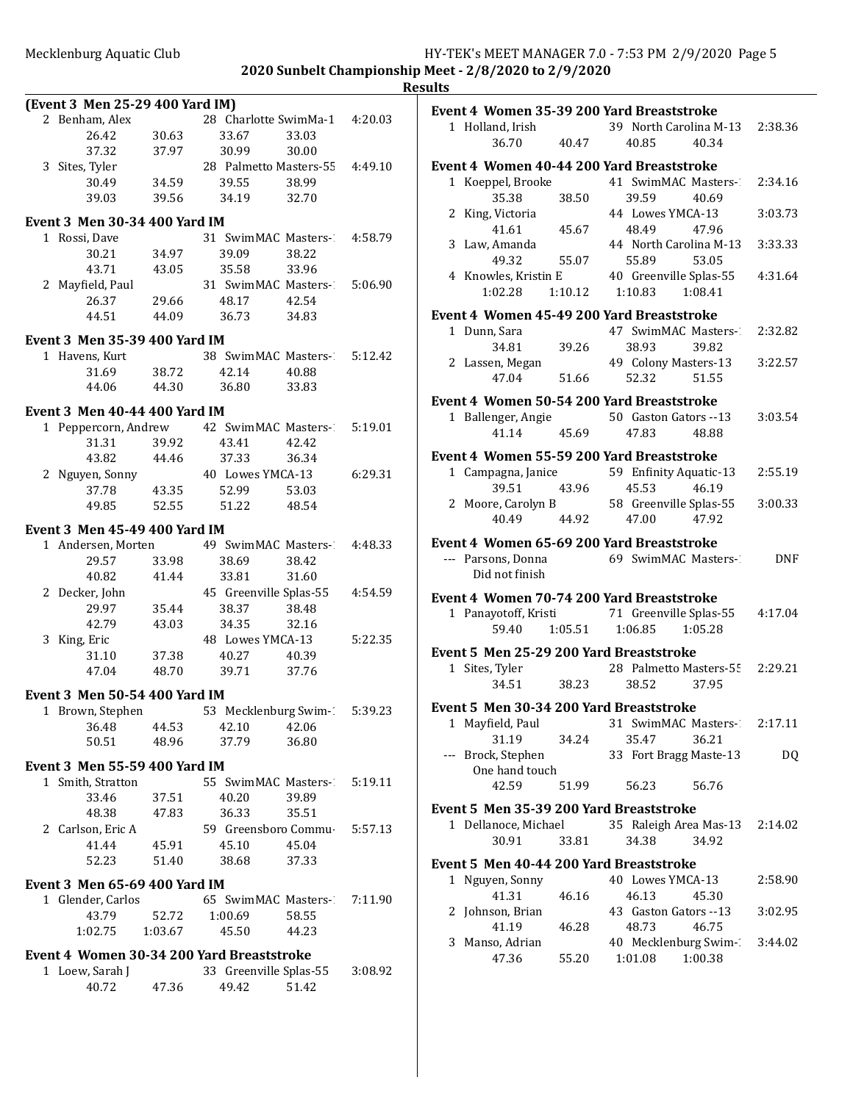|                                      |                |                                           |         | <b>Results</b> |
|--------------------------------------|----------------|-------------------------------------------|---------|----------------|
| (Event 3 Men 25-29 400 Yard IM)      |                |                                           |         | Eve            |
| 2 Benham, Alex                       |                | 28 Charlotte SwimMa-1 4:20.03             |         |                |
| 26.42                                | 30.63          | 33.67<br>33.03                            |         |                |
| 37.32                                | 37.97          | 30.99<br>30.00                            |         |                |
| 3 Sites, Tyler                       |                | 28 Palmetto Masters-55 4:49.10            |         | Eve            |
| 30.49                                | 34.59          | 39.55<br>38.99                            |         |                |
| 39.03                                |                | 39.56 34.19<br>32.70                      |         |                |
| Event 3 Men 30-34 400 Yard IM        |                |                                           |         |                |
| 1 Rossi, Dave                        |                | 31 SwimMAC Masters- 4:58.79               |         |                |
| 30.21                                | 34.97          | 39.09<br>38.22                            |         |                |
| 43.71                                | 43.05          | 33.96<br>35.58                            |         |                |
| 2 Mayfield, Paul                     |                | 31 SwimMAC Masters-1 5:06.90              |         |                |
| 26.37                                |                | 29.66 48.17<br>42.54                      |         |                |
| 44.51                                |                | 44.09 36.73<br>34.83                      |         | Eve            |
|                                      |                |                                           |         |                |
| Event 3 Men 35-39 400 Yard IM        |                |                                           |         |                |
| 1 Havens, Kurt                       |                | 38 SwimMAC Masters- 5:12.42               |         |                |
| 31.69                                | 38.72          | 42.14<br>40.88                            |         |                |
| 44.06                                | 44.30          | 36.80<br>33.83                            |         |                |
| <b>Event 3 Men 40-44 400 Yard IM</b> |                |                                           |         | Eve            |
| 1 Peppercorn, Andrew                 |                | 42 SwimMAC Masters-1                      | 5:19.01 |                |
| 31.31                                | 39.92          | 43.41<br>42.42                            |         |                |
| 43.82                                |                |                                           |         | Eve            |
| 2 Nguyen, Sonny                      |                | 44.46 37.33 50.54<br>40 Lowes YMCA-13     | 6:29.31 |                |
| 37.78                                | 43.35          | 52.99<br>53.03                            |         |                |
|                                      |                | 49.85 52.55 51.22<br>48.54                |         |                |
|                                      |                |                                           |         |                |
| Event 3 Men 45-49 400 Yard IM        |                | 49 SwimMAC Masters-2                      |         | Eve            |
| 1 Andersen, Morten                   |                | 38.42                                     | 4:48.33 |                |
| 29.57<br>40.82                       | 33.98<br>41.44 | 38.69<br>33.81<br>31.60                   |         |                |
|                                      |                |                                           | 4:54.59 |                |
| 2 Decker, John<br>29.97              | 35.44          | 45 Greenville Splas-55<br>38.37<br>38.48  |         | Eve            |
| 42.79                                | 43.03          | 34.35<br>32.16                            |         |                |
| 3 King, Eric                         |                | 48 Lowes YMCA-13                          | 5:22.35 |                |
| 31.10                                | 37.38          | 40.27<br>40.39                            |         | Eve            |
| 47.04                                | 48.70          | 39.71<br>37.76                            |         |                |
|                                      |                |                                           |         |                |
| Event 3 Men 50-54 400 Yard IM        |                |                                           |         |                |
| 1 Brown, Stephen                     |                | 53 Mecklenburg Swim-1                     | 5:39.23 | Eve            |
| 36.48                                | 44.53          | 42.10<br>42.06                            |         |                |
| 50.51                                | 48.96          | 37.79<br>36.80                            |         |                |
| Event 3 Men 55-59 400 Yard IM        |                |                                           |         |                |
| 1 Smith, Stratton                    |                | 55 SwimMAC Masters-                       | 5:19.11 |                |
| 33.46                                | 37.51          | 40.20<br>39.89                            |         |                |
| 48.38                                | 47.83          | 35.51<br>36.33                            |         | Eve            |
| 2 Carlson, Eric A                    |                | 59 Greensboro Commu-                      | 5:57.13 |                |
| 41.44                                | 45.91          | 45.10<br>45.04                            |         |                |
| 52.23                                | 51.40          | 38.68<br>37.33                            |         | Eve            |
|                                      |                |                                           |         |                |
| <b>Event 3 Men 65-69 400 Yard IM</b> |                |                                           |         |                |
| 1 Glender, Carlos                    |                | 65 SwimMAC Masters-                       | 7:11.90 |                |
| 43.79                                | 52.72          | 1:00.69<br>58.55                          |         |                |
| 1:02.75                              | 1:03.67        | 45.50<br>44.23                            |         |                |
|                                      |                | Event 4 Women 30-34 200 Yard Breaststroke |         |                |
| 1 Loew, Sarah J                      |                | 33 Greenville Splas-55                    | 3:08.92 |                |
| 40.72                                | 47.36          | 49.42<br>51.42                            |         |                |
|                                      |                |                                           |         |                |

|             | 1 Holland, Irish                     |         | Event 4 Women 35-39 200 Yard Breaststroke<br>39 North Carolina M-13 2:38.36 |         |
|-------------|--------------------------------------|---------|-----------------------------------------------------------------------------|---------|
|             | 36.70                                | 40.47   | 40.85<br>40.34                                                              |         |
|             |                                      |         | Event 4 Women 40-44 200 Yard Breaststroke                                   |         |
|             | 1 Koeppel, Brooke                    |         | 41 SwimMAC Masters-                                                         | 2:34.16 |
|             | 35.38                                | 38.50   | 39.59<br>40.69                                                              |         |
|             | 2 King, Victoria                     |         | 44 Lowes YMCA-13                                                            | 3:03.73 |
|             | 41.61                                | 45.67   | 48.49<br>47.96                                                              |         |
|             | 3 Law, Amanda                        |         | 44 North Carolina M-13                                                      | 3:33.33 |
|             | 49.32                                | 55.07   | 55.89<br>53.05                                                              |         |
|             | 4 Knowles, Kristin E                 |         | 40 Greenville Splas-55                                                      | 4:31.64 |
|             | $1:02.28$ $1:10.12$                  |         | 1:10.83  1:08.41                                                            |         |
|             |                                      |         | Event 4 Women 45-49 200 Yard Breaststroke                                   |         |
|             | 1 Dunn, Sara                         |         | 47 SwimMAC Masters-1                                                        | 2:32.82 |
|             | 34.81                                | 39.26   | 38.93<br>39.82                                                              |         |
|             | 2 Lassen, Megan                      |         | 49 Colony Masters-13                                                        | 3:22.57 |
|             | 47.04                                | 51.66   | 51.55<br>52.32                                                              |         |
|             |                                      |         | Event 4 Women 50-54 200 Yard Breaststroke                                   |         |
|             | 1 Ballenger, Angie                   |         | 50 Gaston Gators --13                                                       | 3:03.54 |
|             | 41.14                                | 45.69   | 47.83<br>48.88                                                              |         |
|             |                                      |         |                                                                             |         |
|             |                                      |         | Event 4 Women 55-59 200 Yard Breaststroke                                   |         |
|             | 1 Campagna, Janice                   |         | 59 Enfinity Aquatic-13                                                      | 2:55.19 |
|             | 39.51                                | 43.96   | 45.53<br>46.19                                                              | 3:00.33 |
|             | 40.49 44.92                          |         | 2 Moore, Carolyn B 58 Greenville Splas-55<br>47.00 47.92                    |         |
|             |                                      |         |                                                                             |         |
|             |                                      |         | Event 4 Women 65-69 200 Yard Breaststroke                                   |         |
|             | --- Parsons, Donna<br>Did not finish |         | 69 SwimMAC Masters-1                                                        | DNF     |
|             |                                      |         | Event 4 Women 70-74 200 Yard Breaststroke                                   |         |
|             |                                      |         | 1 Panayotoff, Kristi 71 Greenville Splas-55                                 | 4:17.04 |
|             | 59.40                                | 1:05.51 | 1:06.85<br>1:05.28                                                          |         |
|             |                                      |         | Event 5 Men 25-29 200 Yard Breaststroke                                     |         |
|             | 1 Sites, Tyler                       |         | 28 Palmetto Masters-55 2:29.21                                              |         |
|             | 34.51                                | 38.23   | 38.52<br>37.95                                                              |         |
|             |                                      |         |                                                                             |         |
|             |                                      |         | Event 5 Men 30-34 200 Yard Breaststroke                                     |         |
|             | 1 Mayfield, Paul                     |         | 31 SwimMAC Masters-1                                                        | 2:17.11 |
|             | 31.19                                | 34.24   | 35.47<br>36.21                                                              |         |
| $---$       | Brock, Stephen                       |         | 33 Fort Bragg Maste-13                                                      | DQ      |
|             | One hand touch<br>42.59              | 51.99   | 56.23<br>56.76                                                              |         |
|             |                                      |         |                                                                             |         |
|             |                                      |         | Event 5 Men 35-39 200 Yard Breaststroke                                     |         |
|             | 1 Dellanoce, Michael                 |         | 35 Raleigh Area Mas-13                                                      | 2:14.02 |
|             | 30.91                                | 33.81   | 34.38<br>34.92                                                              |         |
|             |                                      |         | Event 5 Men 40-44 200 Yard Breaststroke                                     |         |
| $\mathbf 1$ | Nguyen, Sonny                        |         | 40 Lowes YMCA-13                                                            | 2:58.90 |
|             | 41.31                                | 46.16   | 46.13<br>45.30                                                              |         |
| 2           | Johnson, Brian                       |         | 43 Gaston Gators --13                                                       | 3:02.95 |
|             | 41.19                                | 46.28   | 48.73<br>46.75                                                              |         |
| 3           | Manso, Adrian                        |         | 40 Mecklenburg Swim-1                                                       | 3:44.02 |
|             | 47.36                                | 55.20   | 1:01.08<br>1:00.38                                                          |         |
|             |                                      |         |                                                                             |         |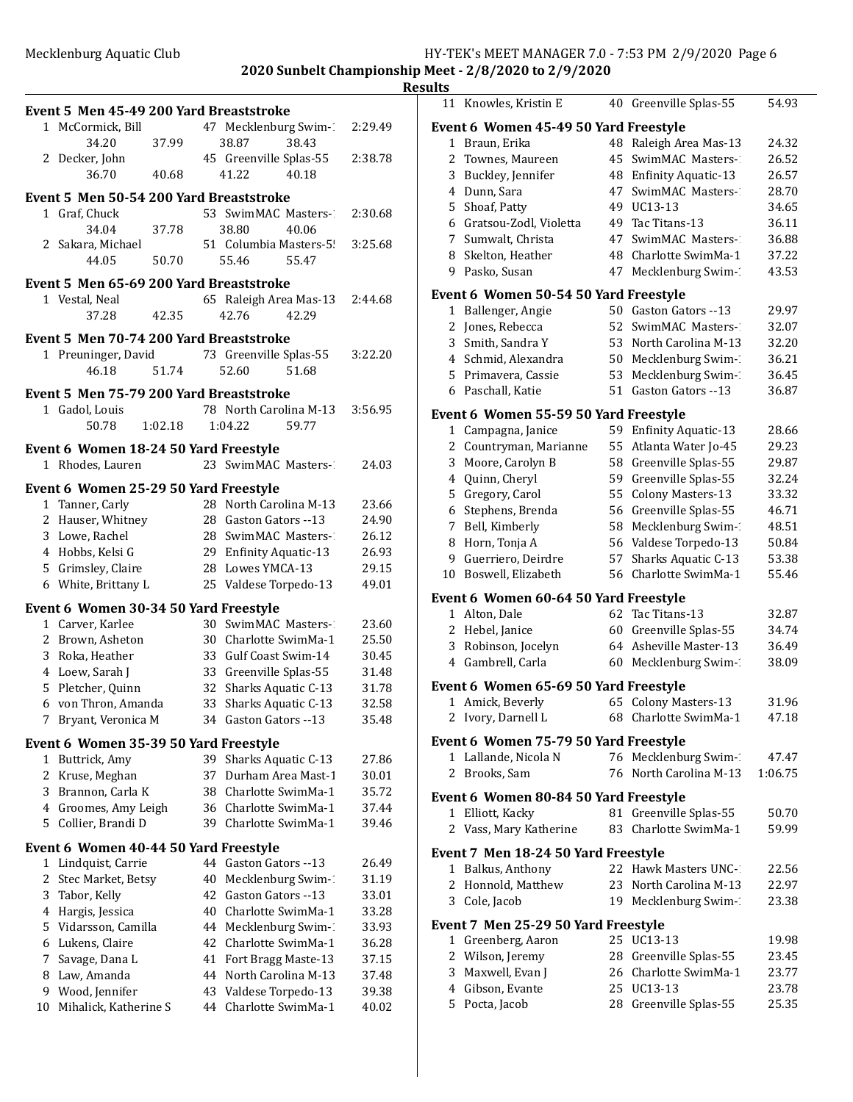|         | Event 5 Men 45-49 200 Yard Breaststroke |         |          |                                                 |       |                |
|---------|-----------------------------------------|---------|----------|-------------------------------------------------|-------|----------------|
|         | 1 McCormick, Bill                       |         |          | 47 Mecklenburg Swim-1                           |       | 2:29.49        |
|         | 34.20                                   | 37.99   |          | 38.87                                           | 38.43 |                |
|         | 2 Decker, John                          |         |          | 45 Greenville Splas-55                          |       | 2:38.78        |
|         | 36.70                                   | 40.68   |          | 41.22                                           | 40.18 |                |
|         | Event 5 Men 50-54 200 Yard Breaststroke |         |          |                                                 |       |                |
|         | 1 Graf, Chuck                           |         |          | 53 SwimMAC Masters-1                            |       | 2:30.68        |
|         | 34.04                                   | 37.78   |          | 38.80                                           | 40.06 |                |
|         | 2 Sakara, Michael                       |         |          | 51 Columbia Masters-5!                          |       | 3:25.68        |
|         | 44.05                                   | 50.70   |          | 55.46                                           | 55.47 |                |
|         | Event 5 Men 65-69 200 Yard Breaststroke |         |          |                                                 |       |                |
|         | 1 Vestal, Neal                          |         |          | 65 Raleigh Area Mas-13                          |       | 2:44.68        |
|         | 37.28                                   | 42.35   |          | 42.76                                           | 42.29 |                |
|         |                                         |         |          |                                                 |       |                |
|         | Event 5 Men 70-74 200 Yard Breaststroke |         |          |                                                 |       |                |
|         | 1 Preuninger, David                     |         |          | 73 Greenville Splas-55                          |       | 3:22.20        |
|         | 46.18                                   | 51.74   |          | 52.60                                           | 51.68 |                |
|         | Event 5 Men 75-79 200 Yard Breaststroke |         |          |                                                 |       |                |
|         | 1 Gadol, Louis                          |         |          | 78 North Carolina M-13                          |       | 3:56.95        |
|         | 50.78                                   | 1:02.18 |          | 1:04.22                                         | 59.77 |                |
|         | Event 6 Women 18-24 50 Yard Freestyle   |         |          |                                                 |       |                |
|         | 1 Rhodes, Lauren                        |         |          | 23 SwimMAC Masters-1                            |       | 24.03          |
|         |                                         |         |          |                                                 |       |                |
|         | Event 6 Women 25-29 50 Yard Freestyle   |         |          |                                                 |       |                |
|         | 1 Tanner, Carly                         |         |          | 28 North Carolina M-13<br>28 Gaston Gators --13 |       | 23.66<br>24.90 |
|         | 2 Hauser, Whitney<br>3 Lowe, Rachel     |         |          | 28 SwimMAC Masters-1                            |       | 26.12          |
|         | 4 Hobbs, Kelsi G                        |         |          | 29 Enfinity Aquatic-13                          |       | 26.93          |
|         | 5 Grimsley, Claire                      |         |          | 28 Lowes YMCA-13                                |       | 29.15          |
|         | 6 White, Brittany L                     |         |          | 25 Valdese Torpedo-13                           |       | 49.01          |
|         |                                         |         |          |                                                 |       |                |
|         | Event 6 Women 30-34 50 Yard Freestyle   |         |          |                                                 |       |                |
|         | 1 Carver, Karlee                        |         |          | 30 SwimMAC Masters-                             |       | 23.60          |
|         | 2 Brown, Asheton<br>3 Roka, Heather     |         |          | 30 Charlotte SwimMa-1<br>33 Gulf Coast Swim-14  |       | 25.50<br>30.45 |
|         | 4 Loew, Sarah J                         |         |          | 33 Greenville Splas-55                          |       | 31.48          |
|         | 5 Pletcher, Quinn                       |         | 32       | Sharks Aquatic C-13                             |       | 31.78          |
|         | 6 von Thron, Amanda                     |         | 33       | Sharks Aquatic C-13                             |       | 32.58          |
| 7       | Bryant, Veronica M                      |         |          | 34 Gaston Gators --13                           |       | 35.48          |
|         |                                         |         |          |                                                 |       |                |
|         | Event 6 Women 35-39 50 Yard Freestyle   |         |          |                                                 |       |                |
| 1       | Buttrick, Amy                           |         | 39       | Sharks Aquatic C-13                             |       | 27.86          |
| 2       | Kruse, Meghan<br>3 Brannon, Carla K     |         | 37       | Durham Area Mast-1<br>38 Charlotte SwimMa-1     |       | 30.01<br>35.72 |
|         | 4 Groomes, Amy Leigh                    |         |          | 36 Charlotte SwimMa-1                           |       | 37.44          |
|         | 5 Collier, Brandi D                     |         | 39       | Charlotte SwimMa-1                              |       | 39.46          |
|         |                                         |         |          |                                                 |       |                |
|         | Event 6 Women 40-44 50 Yard Freestyle   |         |          |                                                 |       |                |
| 1       | Lindquist, Carrie                       |         |          | 44 Gaston Gators --13                           |       | 26.49          |
| 2       | Stec Market, Betsy                      |         | 40       | Mecklenburg Swim-1                              |       | 31.19          |
| 3       | Tabor, Kelly                            |         | 42       | Gaston Gators --13<br>Charlotte SwimMa-1        |       | 33.01          |
| 4<br>5. | Hargis, Jessica<br>Vidarsson, Camilla   |         | 40<br>44 | Mecklenburg Swim-1                              |       | 33.28<br>33.93 |
| 6       | Lukens, Claire                          |         | 42       | Charlotte SwimMa-1                              |       | 36.28          |
| 7       | Savage, Dana L                          |         | 41       | Fort Bragg Maste-13                             |       | 37.15          |
| 8       | Law, Amanda                             |         | 44       | North Carolina M-13                             |       | 37.48          |
| 9       | Wood, Jennifer                          |         |          | 43 Valdese Torpedo-13                           |       | 39.38          |
| 10      | Mihalick, Katherine S                   |         | 44       | Charlotte SwimMa-1                              |       | 40.02          |
|         |                                         |         |          |                                                 |       |                |

|              | 11 Knowles, Kristin E                      |    | 40 Greenville Splas-55     | 54.93   |
|--------------|--------------------------------------------|----|----------------------------|---------|
|              | Event 6 Women 45-49 50 Yard Freestyle      |    |                            |         |
| $1\,$        | Braun, Erika                               | 48 | Raleigh Area Mas-13        | 24.32   |
| 2            | Townes, Maureen                            | 45 | SwimMAC Masters-           | 26.52   |
| 3            | Buckley, Jennifer                          | 48 | <b>Enfinity Aquatic-13</b> | 26.57   |
| 4            | Dunn, Sara                                 | 47 | SwimMAC Masters-           | 28.70   |
| 5            | Shoaf, Patty                               | 49 | UC13-13                    | 34.65   |
|              | 6 Gratsou-Zodl, Violetta                   | 49 | Tac Titans-13              | 36.11   |
| $7^{\circ}$  | Sumwalt, Christa                           | 47 | SwimMAC Masters-1          | 36.88   |
| 8            | Skelton, Heather                           |    | 48 Charlotte SwimMa-1      | 37.22   |
| 9            | Pasko, Susan                               | 47 | Mecklenburg Swim-1         | 43.53   |
|              | Event 6 Women 50-54 50 Yard Freestyle      |    |                            |         |
|              | 1 Ballenger, Angie                         |    | 50 Gaston Gators --13      | 29.97   |
| 2            | Jones, Rebecca                             | 52 | SwimMAC Masters-1          | 32.07   |
| 3            | Smith, Sandra Y                            | 53 | North Carolina M-13        | 32.20   |
|              | 4 Schmid, Alexandra                        | 50 | Mecklenburg Swim-1         | 36.21   |
| 5            | Primavera, Cassie                          | 53 | Mecklenburg Swim-1         | 36.45   |
| 6            | Paschall, Katie                            | 51 | Gaston Gators --13         | 36.87   |
|              | Event 6  Women 55-59 50 Yard Freestyle     |    |                            |         |
|              | 1 Campagna, Janice                         |    | 59 Enfinity Aquatic-13     | 28.66   |
| 2            | Countryman, Marianne                       | 55 | Atlanta Water Jo-45        | 29.23   |
| 3            | Moore, Carolyn B                           | 58 | Greenville Splas-55        | 29.87   |
|              | 4 Quinn, Cheryl                            | 59 | Greenville Splas-55        | 32.24   |
| 5            | Gregory, Carol                             | 55 | <b>Colony Masters-13</b>   | 33.32   |
| 6            | Stephens, Brenda                           | 56 | Greenville Splas-55        | 46.71   |
| 7            | Bell, Kimberly                             | 58 | Mecklenburg Swim-1         | 48.51   |
| 8            | Horn, Tonja A                              | 56 | Valdese Torpedo-13         | 50.84   |
| 9            | Guerriero, Deirdre                         | 57 | Sharks Aquatic C-13        | 53.38   |
| 10           | Boswell, Elizabeth                         | 56 | Charlotte SwimMa-1         | 55.46   |
|              | Event 6  Women 60-64 50 Yard Freestyle     |    |                            |         |
|              | 1 Alton, Dale                              |    | 62 Tac Titans-13           | 32.87   |
|              | 2 Hebel, Janice                            |    | 60 Greenville Splas-55     | 34.74   |
| 3            | Robinson, Jocelyn                          |    | 64 Asheville Master-13     | 36.49   |
| 4            | Gambrell, Carla                            | 60 | Mecklenburg Swim-1         | 38.09   |
|              | Event 6  Women 65-69 50 Yard Freestyle     |    |                            |         |
| $\mathbf{1}$ | Amick, Beverly                             | 65 | <b>Colony Masters-13</b>   | 31.96   |
|              | 2 Ivory, Darnell L                         |    | 68 Charlotte SwimMa-1      | 47.18   |
|              | Event 6  Women 75-79 50 Yard Freestyle     |    |                            |         |
| 1            | Lallande, Nicola N                         |    | 76 Mecklenburg Swim-       | 47.47   |
| 2            | Brooks, Sam                                |    | 76 North Carolina M-13     | 1:06.75 |
|              | Event 6 Women 80-84 50 Yard Freestyle      |    |                            |         |
|              | 1 Elliott, Kacky                           |    | 81 Greenville Splas-55     | 50.70   |
| 2            | Vass, Mary Katherine                       | 83 | Charlotte SwimMa-1         | 59.99   |
|              | Event 7 Men 18-24 50 Yard Freestyle        |    |                            |         |
| 1            | Balkus, Anthony                            |    | 22 Hawk Masters UNC-1      | 22.56   |
| 2            | Honnold, Matthew                           | 23 | North Carolina M-13        | 22.97   |
| 3            | Cole, Jacob                                |    | 19 Mecklenburg Swim-       | 23.38   |
|              | <b>Event 7 Men 25-29 50 Yard Freestyle</b> |    |                            |         |
| 1            | Greenberg, Aaron                           |    | 25 UC13-13                 | 19.98   |
|              | 2 Wilson, Jeremy                           |    | 28 Greenville Splas-55     | 23.45   |
|              | 3 Maxwell, Evan J                          |    | 26 Charlotte SwimMa-1      | 23.77   |
|              | 4 Gibson, Evante                           |    | 25 UC13-13                 | 23.78   |
|              | 5 Pocta, Jacob                             |    | 28 Greenville Splas-55     | 25.35   |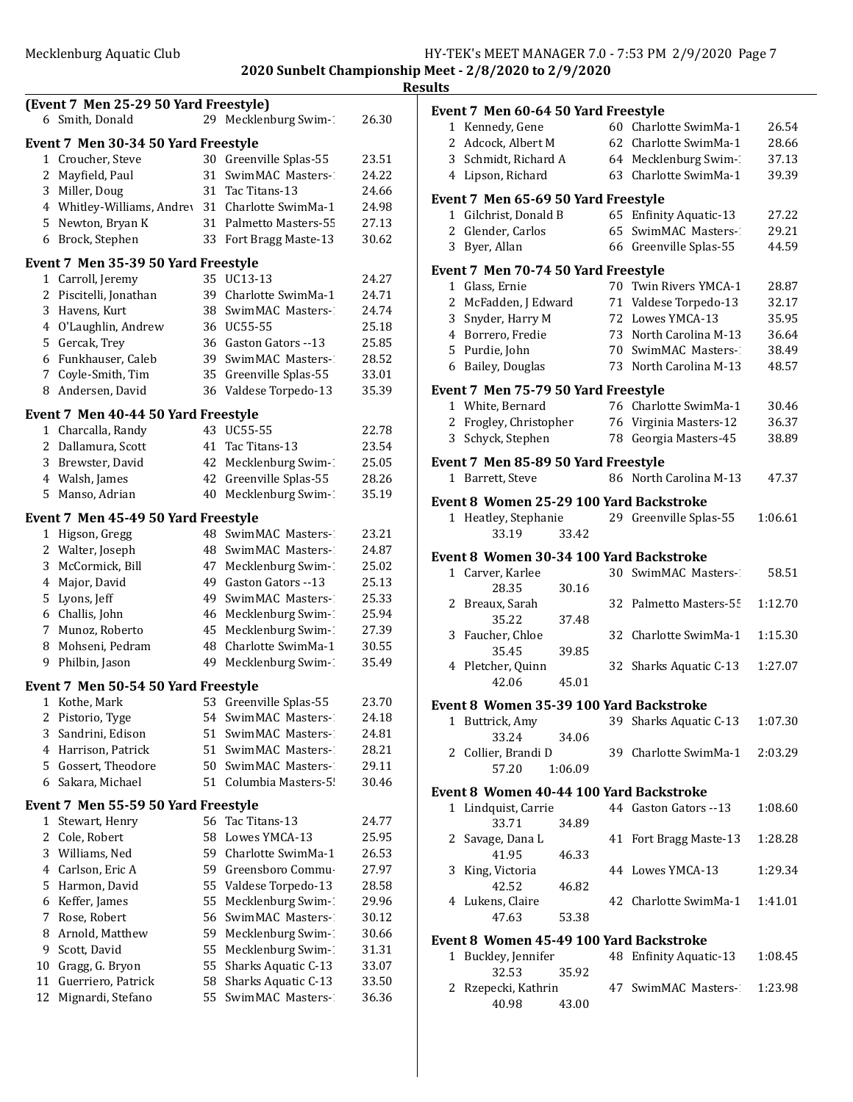|              | (Event 7 Men 25-29 50 Yard Freestyle)                    |    |                        |       |
|--------------|----------------------------------------------------------|----|------------------------|-------|
|              | 6 Smith, Donald                                          |    | 29 Mecklenburg Swim-1  | 26.30 |
|              | Event 7 Men 30-34 50 Yard Freestyle                      |    |                        |       |
| 1            | Croucher, Steve                                          | 30 | Greenville Splas-55    | 23.51 |
| 2            | Mayfield, Paul                                           | 31 | SwimMAC Masters-1      | 24.22 |
|              | 3 Miller, Doug                                           |    | 31 Tac Titans-13       | 24.66 |
|              | 4 Whitley-Williams, Andrey                               |    | 31 Charlotte SwimMa-1  | 24.98 |
|              | 5 Newton, Bryan K                                        |    | 31 Palmetto Masters-55 | 27.13 |
| 6            | Brock, Stephen                                           |    | 33 Fort Bragg Maste-13 | 30.62 |
|              |                                                          |    |                        |       |
|              | Event 7 Men 35-39 50 Yard Freestyle<br>1 Carroll, Jeremy |    | 35 UC13-13             | 24.27 |
|              | 2 Piscitelli, Jonathan                                   |    | 39 Charlotte SwimMa-1  | 24.71 |
|              |                                                          |    |                        |       |
|              | 3 Havens, Kurt                                           |    | 38 SwimMAC Masters-    | 24.74 |
|              | 4 O'Laughlin, Andrew                                     |    | 36 UC55-55             | 25.18 |
|              | 5 Gercak, Trey<br>6 Funkhauser, Caleb                    |    | 36 Gaston Gators --13  | 25.85 |
|              | 7 Coyle-Smith, Tim                                       |    | 39 SwimMAC Masters-1   | 28.52 |
|              |                                                          |    | 35 Greenville Splas-55 | 33.01 |
| 8            | Andersen, David                                          | 36 | Valdese Torpedo-13     | 35.39 |
|              | Event 7 Men 40-44 50 Yard Freestyle                      |    |                        |       |
|              | 1 Charcalla, Randy                                       |    | 43 UC55-55             | 22.78 |
|              | 2 Dallamura, Scott                                       |    | 41 Tac Titans-13       | 23.54 |
|              | 3 Brewster, David                                        | 42 | Mecklenburg Swim-1     | 25.05 |
|              | 4 Walsh, James                                           | 42 | Greenville Splas-55    | 28.26 |
| 5            | Manso, Adrian                                            | 40 | Mecklenburg Swim-1     | 35.19 |
|              | Event 7 Men 45-49 50 Yard Freestyle                      |    |                        |       |
|              |                                                          | 48 | SwimMAC Masters-1      | 23.21 |
| $\mathbf{1}$ | Higson, Gregg                                            |    | 48 SwimMAC Masters-1   |       |
|              | 2 Walter, Joseph                                         |    |                        | 24.87 |
|              | 3 McCormick, Bill                                        |    | 47 Mecklenburg Swim-1  | 25.02 |
|              | 4 Major, David                                           |    | 49 Gaston Gators --13  | 25.13 |
|              | 5 Lyons, Jeff                                            |    | 49 SwimMAC Masters-2   | 25.33 |
|              | 6 Challis, John                                          |    | 46 Mecklenburg Swim-1  | 25.94 |
|              | 7 Munoz, Roberto                                         | 45 | Mecklenburg Swim-1     | 27.39 |
|              | 8 Mohseni, Pedram                                        | 48 | Charlotte SwimMa-1     | 30.55 |
| 9            | Philbin, Jason                                           | 49 | Mecklenburg Swim-1     | 35.49 |
|              | Event 7 Men 50-54 50 Yard Freestyle                      |    |                        |       |
|              | 1 Kothe, Mark                                            | 53 | Greenville Splas-55    | 23.70 |
|              | 2 Pistorio, Tyge                                         | 54 | SwimMAC Masters-1      | 24.18 |
| 3            | Sandrini, Edison                                         | 51 | SwimMAC Masters-2      | 24.81 |
|              | 4 Harrison, Patrick                                      | 51 | SwimMAC Masters-1      | 28.21 |
| 5            | Gossert, Theodore                                        | 50 | SwimMAC Masters-       | 29.11 |
| 6            | Sakara, Michael                                          | 51 | Columbia Masters-5!    | 30.46 |
|              |                                                          |    |                        |       |
|              | Event 7 Men 55-59 50 Yard Freestyle                      |    |                        |       |
| 1            | Stewart, Henry                                           |    | 56 Tac Titans-13       | 24.77 |
| 2            | Cole, Robert                                             | 58 | Lowes YMCA-13          | 25.95 |
| 3            | Williams, Ned                                            | 59 | Charlotte SwimMa-1     | 26.53 |
| 4            | Carlson, Eric A                                          | 59 | Greensboro Commu-      | 27.97 |
| 5            | Harmon, David                                            | 55 | Valdese Torpedo-13     | 28.58 |
| 6            | Keffer, James                                            | 55 | Mecklenburg Swim-1     | 29.96 |
| 7            | Rose, Robert                                             | 56 | SwimMAC Masters-1      | 30.12 |
| 8            | Arnold, Matthew                                          | 59 | Mecklenburg Swim-1     | 30.66 |
| 9            | Scott, David                                             | 55 | Mecklenburg Swim-1     | 31.31 |
| 10           | Gragg, G. Bryon                                          | 55 | Sharks Aquatic C-13    | 33.07 |
| 11           | Guerriero, Patrick                                       | 58 | Sharks Aquatic C-13    | 33.50 |
| 12           | Mignardi, Stefano                                        | 55 | SwimMAC Masters-       | 36.36 |
|              |                                                          |    |                        |       |

|              | Event 7 Men 60-64 50 Yard Freestyle                          |         |    |                                                 |                |
|--------------|--------------------------------------------------------------|---------|----|-------------------------------------------------|----------------|
|              | 1 Kennedy, Gene                                              |         |    | 60 Charlotte SwimMa-1                           | 26.54          |
|              | 2 Adcock, Albert M                                           |         |    | 62 Charlotte SwimMa-1                           | 28.66          |
|              | 3 Schmidt, Richard A                                         |         |    | 64 Mecklenburg Swim-1                           | 37.13          |
|              | 4 Lipson, Richard                                            |         |    | 63 Charlotte SwimMa-1                           | 39.39          |
|              | Event 7 Men 65-69 50 Yard Freestyle                          |         |    |                                                 |                |
|              | 1 Gilchrist, Donald B                                        |         |    | 65 Enfinity Aquatic-13                          | 27.22          |
| 2            | Glender, Carlos                                              |         |    | 65 SwimMAC Masters-1                            | 29.21          |
|              | 3 Byer, Allan                                                |         |    | 66 Greenville Splas-55                          | 44.59          |
|              | Event 7 Men 70-74 50 Yard Freestyle                          |         |    |                                                 |                |
|              | 1 Glass, Ernie                                               |         |    | 70 Twin Rivers YMCA-1                           | 28.87          |
|              | 2 McFadden, J Edward                                         |         |    | 71 Valdese Torpedo-13                           | 32.17          |
|              | 3 Snyder, Harry M                                            |         |    | 72 Lowes YMCA-13                                | 35.95          |
|              | 4 Borrero, Fredie                                            |         |    | 73 North Carolina M-13                          | 36.64          |
|              | 5 Purdie, John                                               |         |    | 70 SwimMAC Masters-1                            | 38.49          |
|              | 6 Bailey, Douglas                                            |         |    | 73 North Carolina M-13                          | 48.57          |
|              | Event 7 Men 75-79 50 Yard Freestyle                          |         |    |                                                 |                |
|              | 1 White, Bernard                                             |         |    | 76 Charlotte SwimMa-1<br>76 Virginia Masters-12 | 30.46          |
|              | 2 Frogley, Christopher<br>3 Schyck, Stephen                  |         |    | 78 Georgia Masters-45                           | 36.37<br>38.89 |
|              |                                                              |         |    |                                                 |                |
|              | Event 7 Men 85-89 50 Yard Freestyle                          |         |    |                                                 |                |
| $\mathbf{1}$ | Barrett, Steve                                               |         |    | 86 North Carolina M-13                          | 47.37          |
|              | Event 8 Women 25-29 100 Yard Backstroke                      |         |    |                                                 |                |
|              | 1 Heatley, Stephanie                                         |         |    | 29 Greenville Splas-55                          | 1:06.61        |
|              | 33.19                                                        | 33.42   |    |                                                 |                |
|              | Event 8 Women 30-34 100 Yard Backstroke                      |         |    |                                                 |                |
|              | 1 Carver, Karlee                                             |         |    | 30 SwimMAC Masters-1                            | 58.51          |
|              | 28.35                                                        | 30.16   |    |                                                 |                |
|              | 2 Breaux, Sarah<br>35.22                                     | 37.48   |    | 32 Palmetto Masters-55                          | 1:12.70        |
|              | 3 Faucher, Chloe                                             |         | 32 | Charlotte SwimMa-1                              | 1:15.30        |
|              | 35.45                                                        | 39.85   |    |                                                 |                |
|              | 4 Pletcher, Quinn                                            |         |    | 32 Sharks Aquatic C-13                          | 1:27.07        |
|              | 42.06                                                        | 45.01   |    |                                                 |                |
|              | Event 8 Women 35-39 100 Yard Backstroke                      |         |    |                                                 |                |
|              | 1 Buttrick, Amy                                              |         |    | 39 Sharks Aquatic C-13                          | 1:07.30        |
|              | 33.24                                                        | 34.06   |    |                                                 |                |
|              | 2 Collier, Brandi D                                          |         |    | 39 Charlotte SwimMa-1                           | 2:03.29        |
|              | 57.20                                                        | 1:06.09 |    |                                                 |                |
|              | Event 8 Women 40-44 100 Yard Backstroke                      |         |    |                                                 |                |
|              | 1 Lindquist, Carrie                                          |         |    | 44 Gaston Gators --13                           | 1:08.60        |
|              | 33.71                                                        | 34.89   |    |                                                 |                |
|              | 2 Savage, Dana L                                             |         |    | 41 Fort Bragg Maste-13                          | 1:28.28        |
|              | 41.95                                                        | 46.33   |    |                                                 |                |
| 3            | King, Victoria                                               |         |    | 44 Lowes YMCA-13                                | 1:29.34        |
|              | 42.52<br>4 Lukens, Claire                                    | 46.82   |    | 42 Charlotte SwimMa-1                           | 1:41.01        |
|              | 47.63                                                        | 53.38   |    |                                                 |                |
|              |                                                              |         |    |                                                 |                |
| 1            | Event 8 Women 45-49 100 Yard Backstroke<br>Buckley, Jennifer |         |    | 48 Enfinity Aquatic-13                          | 1:08.45        |
|              | 32.53                                                        | 35.92   |    |                                                 |                |
|              | 2 Rzepecki, Kathrin                                          |         |    | 47 SwimMAC Masters-2                            | 1:23.98        |

40.98 43.00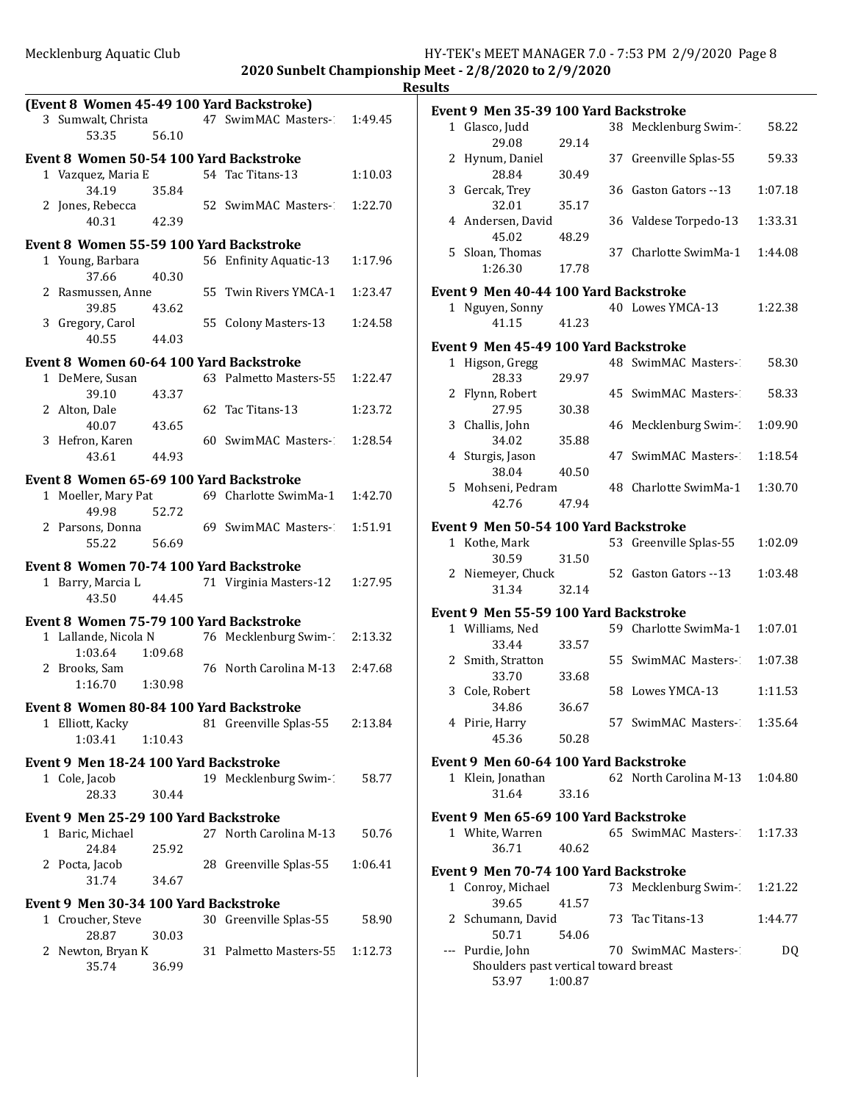|   |                                                          |         |    | (Event 8 Women 45-49 100 Yard Backstroke) |         |
|---|----------------------------------------------------------|---------|----|-------------------------------------------|---------|
|   | 3 Sumwalt, Christa                                       |         |    | 47 SwimMAC Masters-1                      | 1:49.45 |
|   | 53.35                                                    | 56.10   |    |                                           |         |
|   | Event 8 Women 50-54 100 Yard Backstroke                  |         |    |                                           |         |
|   | 1 Vazquez, Maria E<br>34.19                              | 35.84   |    | 54 Tac Titans-13                          | 1:10.03 |
|   | 2 Jones, Rebecca<br>40.31                                | 42.39   |    | 52 SwimMAC Masters-1                      | 1:22.70 |
|   | Event 8 Women 55-59 100 Yard Backstroke                  |         |    |                                           |         |
|   | 1 Young, Barbara                                         |         |    | 56 Enfinity Aquatic-13                    | 1:17.96 |
|   | 37.66                                                    | 40.30   |    |                                           |         |
|   | 2 Rasmussen, Anne<br>39.85                               | 43.62   |    | 55 Twin Rivers YMCA-1                     | 1:23.47 |
|   | 3 Gregory, Carol<br>40.55                                | 44.03   | 55 | Colony Masters-13                         | 1:24.58 |
|   | Event 8 Women 60-64 100 Yard Backstroke                  |         |    |                                           |         |
|   | 1 DeMere, Susan<br>39.10                                 | 43.37   |    | 63 Palmetto Masters-55                    | 1:22.47 |
|   | 2 Alton, Dale                                            |         |    | 62 Tac Titans-13                          | 1:23.72 |
|   | 40.07<br>3 Hefron, Karen                                 | 43.65   |    | 60 SwimMAC Masters-1                      | 1:28.54 |
|   | 43.61                                                    | 44.93   |    |                                           |         |
|   | Event 8 Women 65-69 100 Yard Backstroke                  |         |    |                                           |         |
|   | 1 Moeller, Mary Pat                                      |         |    | 69 Charlotte SwimMa-1                     | 1:42.70 |
|   | 49.98                                                    | 52.72   |    |                                           |         |
|   | 2 Parsons, Donna<br>55.22                                | 56.69   |    | 69 SwimMAC Masters-2                      | 1:51.91 |
|   | Event 8 Women 70-74 100 Yard Backstroke                  |         |    |                                           |         |
|   | 1 Barry, Marcia L<br>43.50                               | 44.45   |    | 71 Virginia Masters-12                    | 1:27.95 |
|   | Event 8 Women 75-79 100 Yard Backstroke                  |         |    |                                           |         |
|   | 1 Lallande, Nicola N                                     |         |    | 76 Mecklenburg Swim-1                     | 2:13.32 |
|   | 1:03.64<br>2 Brooks, Sam                                 | 1:09.68 |    | 76 North Carolina M-13                    | 2:47.68 |
|   | 1:16.70                                                  | 1:30.98 |    |                                           |         |
|   | Event 8 Women 80-84 100 Yard Backstroke                  |         |    |                                           |         |
| 1 | Elliott, Kacky<br>1:03.41                                | 1:10.43 |    | 81 Greenville Splas-55                    | 2:13.84 |
|   | Event 9 Men 18-24 100 Yard Backstroke                    |         |    |                                           |         |
|   | 1 Cole, Jacob                                            |         |    | 19 Mecklenburg Swim-1                     | 58.77   |
|   | 28.33                                                    | 30.44   |    |                                           |         |
|   | Event 9 Men 25-29 100 Yard Backstroke                    |         |    |                                           |         |
|   | 1 Baric, Michael<br>24.84                                | 25.92   |    | 27 North Carolina M-13                    | 50.76   |
|   | 2 Pocta, Jacob<br>31.74                                  | 34.67   |    | 28 Greenville Splas-55                    | 1:06.41 |
|   |                                                          |         |    |                                           |         |
| 1 | Event 9 Men 30-34 100 Yard Backstroke<br>Croucher, Steve |         |    | 30 Greenville Splas-55                    | 58.90   |
|   | 28.87                                                    | 30.03   |    |                                           |         |
|   | 2 Newton, Bryan K<br>35.74                               |         |    | 31 Palmetto Masters-55                    | 1:12.73 |
|   |                                                          | 36.99   |    |                                           |         |

|              | Event 9 Men 35-39 100 Yard Backstroke        |       |    |                                |         |
|--------------|----------------------------------------------|-------|----|--------------------------------|---------|
|              | 1 Glasco, Judd                               |       |    | 38 Mecklenburg Swim-           | 58.22   |
|              | 29.08                                        | 29.14 |    |                                |         |
| 2            | Hynum, Daniel<br>28.84                       | 30.49 |    | 37 Greenville Splas-55         | 59.33   |
|              | 3 Gercak, Trey                               |       | 36 | Gaston Gators --13             | 1:07.18 |
|              | 32.01                                        | 35.17 |    |                                |         |
|              | 4 Andersen, David                            |       | 36 | Valdese Torpedo-13             | 1:33.31 |
|              | 45.02                                        | 48.29 |    |                                |         |
| 5            | Sloan, Thomas<br>1:26.30                     | 17.78 |    | 37 Charlotte SwimMa-1          | 1:44.08 |
|              |                                              |       |    |                                |         |
|              | Event 9 Men 40-44 100 Yard Backstroke        |       |    | 40 Lowes YMCA-13               | 1:22.38 |
|              | 1 Nguyen, Sonny<br>41.15                     | 41.23 |    |                                |         |
|              |                                              |       |    |                                |         |
|              | Event 9 Men 45-49 100 Yard Backstroke        |       |    |                                |         |
|              | 1 Higson, Gregg<br>28.33                     | 29.97 |    | 48 SwimMAC Masters-            | 58.30   |
| 2            | Flynn, Robert                                |       | 45 | SwimMAC Masters-1              | 58.33   |
|              | 27.95                                        | 30.38 |    |                                |         |
|              | 3 Challis, John                              |       |    | 46 Mecklenburg Swim-1          | 1:09.90 |
|              | 34.02                                        | 35.88 |    |                                |         |
| 4            | Sturgis, Jason                               |       |    | 47 SwimMAC Masters-            | 1:18.54 |
|              | 38.04                                        | 40.50 |    |                                |         |
|              | 5 Mohseni, Pedram                            |       |    | 48 Charlotte SwimMa-1          | 1:30.70 |
|              | 42.76                                        | 47.94 |    |                                |         |
|              | <b>Event 9 Men 50-54 100 Yard Backstroke</b> |       |    |                                |         |
| $\mathbf{1}$ | Kothe, Mark                                  |       |    | 53 Greenville Splas-55         | 1:02.09 |
|              | 30.59                                        | 31.50 |    |                                |         |
|              | 2 Niemeyer, Chuck<br>31.34                   | 32.14 |    | 52 Gaston Gators --13          | 1:03.48 |
|              |                                              |       |    |                                |         |
|              | Event 9 Men 55-59 100 Yard Backstroke        |       |    |                                |         |
|              | 1 Williams, Ned                              |       |    | 59 Charlotte SwimMa-1          | 1:07.01 |
|              | 33.44<br>2 Smith, Stratton                   | 33.57 |    | 55 SwimMAC Masters-            | 1:07.38 |
|              | 33.70                                        | 33.68 |    |                                |         |
|              | 3 Cole, Robert                               |       |    | 58 Lowes YMCA-13               | 1:11.53 |
|              | 34.86                                        | 36.67 |    |                                |         |
|              | 4 Pirie, Harry                               |       |    | 57 SwimMAC Masters-2           | 1:35.64 |
|              | 45.36                                        | 50.28 |    |                                |         |
|              | Event 9 Men 60-64 100 Yard Backstroke        |       |    |                                |         |
|              | 1 Klein, Jonathan                            |       |    | 62 North Carolina M-13 1:04.80 |         |
|              | 31.64                                        | 33.16 |    |                                |         |
|              | Event 9 Men 65-69 100 Yard Backstroke        |       |    |                                |         |
|              | 1 White, Warren                              |       |    | 65 SwimMAC Masters- 1:17.33    |         |
|              | 36.71                                        | 40.62 |    |                                |         |
|              | Event 9  Men 70-74 100 Yard Backstroke       |       |    |                                |         |
|              | 1 Conroy, Michael                            |       |    | 73 Mecklenburg Swim-1          | 1:21.22 |
|              | 39.65                                        | 41.57 |    |                                |         |
|              | 2 Schumann, David                            |       |    | 73 Tac Titans-13               | 1:44.77 |
|              | 50.71                                        | 54.06 |    |                                |         |
|              | --- Purdie, John                             |       |    | 70 SwimMAC Masters-            | DQ      |
|              | Shoulders past vertical toward breast        |       |    |                                |         |

53.97 1:00.87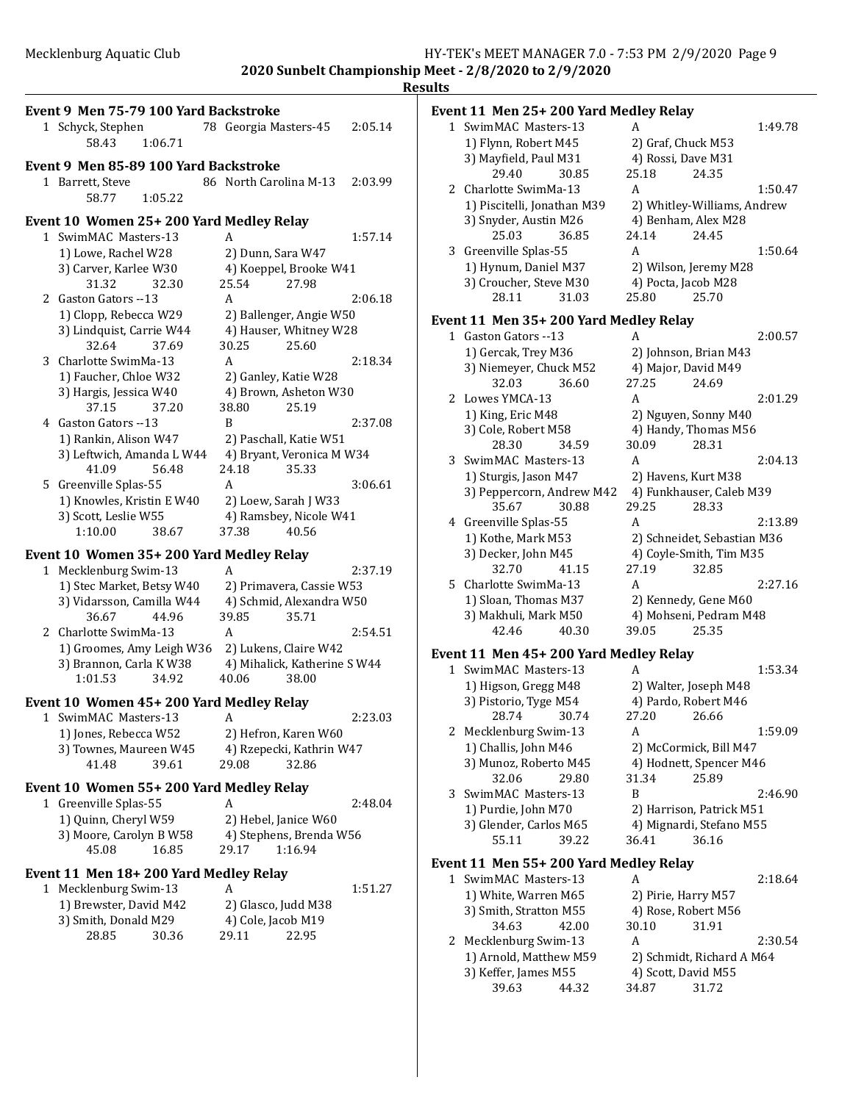| Event 9 Men 75-79 100 Yard Backstroke<br>1 Schyck, Stephen<br>58.43<br>1:06.71 | 78 Georgia Masters-45<br>2:05.14            |
|--------------------------------------------------------------------------------|---------------------------------------------|
| Event 9 Men 85-89 100 Yard Backstroke<br>1 Barrett, Steve                      | 86 North Carolina M-13<br>2:03.99           |
| 1:05.22<br>58.77                                                               |                                             |
| Event 10 Women 25+200 Yard Medley Relay                                        |                                             |
| 1 SwimMAC Masters-13                                                           | 1:57.14<br>A                                |
| 1) Lowe, Rachel W28                                                            | 2) Dunn, Sara W47                           |
| 3) Carver, Karlee W30<br>31.32<br>32.30                                        | 4) Koeppel, Brooke W41<br>25.54<br>27.98    |
| 2 Gaston Gators --13                                                           | A<br>2:06.18                                |
| 1) Clopp, Rebecca W29                                                          | 2) Ballenger, Angie W50                     |
| 3) Lindquist, Carrie W44                                                       | 4) Hauser, Whitney W28                      |
| 32.64<br>37.69                                                                 | 30.25<br>25.60                              |
| 3 Charlotte SwimMa-13                                                          | 2:18.34<br>A                                |
| 1) Faucher, Chloe W32                                                          | 2) Ganley, Katie W28                        |
| 3) Hargis, Jessica W40                                                         | 4) Brown, Asheton W30                       |
| 37.15<br>37.20                                                                 | 25.19<br>38.80                              |
| 4 Gaston Gators --13                                                           | B<br>2:37.08                                |
| 1) Rankin, Alison W47                                                          | 2) Paschall, Katie W51                      |
| 3) Leftwich, Amanda L W44<br>41.09<br>56.48                                    | 4) Bryant, Veronica M W34<br>24.18<br>35.33 |
| 5 Greenville Splas-55                                                          | 3:06.61<br>A                                |
| 1) Knowles, Kristin E W40                                                      | 2) Loew, Sarah J W33                        |
| 3) Scott, Leslie W55                                                           | 4) Ramsbey, Nicole W41                      |
| 1:10.00<br>38.67                                                               | 37.38<br>40.56                              |
| Event 10 Women 35+200 Yard Medley Relay                                        |                                             |
| 1 Mecklenburg Swim-13                                                          | 2:37.19<br>A                                |
| 1) Stec Market, Betsy W40                                                      | 2) Primavera, Cassie W53                    |
| 3) Vidarsson, Camilla W44                                                      | 4) Schmid, Alexandra W50                    |
| 36.67<br>44.96                                                                 | 39.85<br>35.71                              |
| 2 Charlotte SwimMa-13                                                          | A<br>2:54.51                                |
| 1) Groomes, Amy Leigh W36                                                      | 2) Lukens, Claire W42                       |
| 3) Brannon, Carla K W38                                                        | 4) Mihalick, Katherine S W44                |
| 1:01.53<br>34.92                                                               | 40.06<br>38.00                              |
| Event 10 Women 45+200 Yard Medley Relay                                        |                                             |
| 1 SwimMAC Masters-13                                                           | 2:23.03<br>$\mathbf{A}$                     |
| 1) Jones, Rebecca W52                                                          | 2) Hefron, Karen W60                        |
| 3) Townes, Maureen W45                                                         | 4) Rzepecki, Kathrin W47<br>32.86           |
| 41.48<br>39.61                                                                 | 29.08                                       |
| Event 10 Women 55+200 Yard Medley Relay                                        |                                             |
| Greenville Splas-55<br>1                                                       | 2:48.04<br>A                                |
| 1) Quinn, Cheryl W59                                                           | 2) Hebel, Janice W60                        |
| 3) Moore, Carolyn B W58<br>45.08<br>16.85                                      | 4) Stephens, Brenda W56<br>1:16.94<br>29.17 |
|                                                                                |                                             |
| Event 11 Men 18+200 Yard Medley Relay                                          |                                             |
| 1 Mecklenburg Swim-13                                                          | 1:51.27<br>A                                |
| 1) Brewster, David M42<br>3) Smith, Donald M29                                 | 2) Glasco, Judd M38<br>4) Cole, Jacob M19   |
| 28.85<br>30.36                                                                 | 29.11<br>22.95                              |
|                                                                                |                                             |
|                                                                                |                                             |
|                                                                                |                                             |

| ı<br>п |
|--------|
|        |

#### **Event 11 Men 25+ 200 Yard Medley Relay**<br>1 SwimMAC Masters-13 A 1 SwimMAC Masters-13 A 1:49.78

|               | JWIIIIWIAU WIASICI S-IJ                      | л                           | 1.TJ./0 |
|---------------|----------------------------------------------|-----------------------------|---------|
|               | 1) Flynn, Robert M45                         | 2) Graf, Chuck M53          |         |
|               | 3) Mayfield, Paul M31                        | 4) Rossi, Dave M31          |         |
|               | 29.40<br>30.85                               | 25.18<br>24.35              |         |
| $\mathcal{L}$ | Charlotte SwimMa-13                          | A                           | 1:50.47 |
|               | 1) Piscitelli, Jonathan M39                  | 2) Whitley-Williams, Andrew |         |
|               | 3) Snyder, Austin M26                        | 4) Benham, Alex M28         |         |
|               | 25.03<br>36.85                               | 24.14<br>24.45              |         |
| 3             | Greenville Splas-55                          | A                           | 1:50.64 |
|               | 1) Hynum, Daniel M37                         | 2) Wilson, Jeremy M28       |         |
|               | 3) Croucher, Steve M30                       | 4) Pocta, Jacob M28         |         |
|               | 28.11<br>31.03                               | 25.70<br>25.80              |         |
|               | Event 11 Men 35+ 200 Yard Medley Relay       |                             |         |
|               | 1 Gaston Gators --13                         | A                           | 2:00.57 |
|               | 1) Gercak, Trey M36                          | 2) Johnson, Brian M43       |         |
|               | 3) Niemeyer, Chuck M52                       | 4) Major, David M49         |         |
|               | 32.03<br>36.60                               | 27.25<br>24.69              |         |
| 2             | Lowes YMCA-13                                | A                           | 2:01.29 |
|               | 1) King, Eric M48                            | 2) Nguyen, Sonny M40        |         |
|               | 3) Cole, Robert M58                          | 4) Handy, Thomas M56        |         |
|               | 28.30<br>34.59                               | 30.09<br>28.31              |         |
| 3             | SwimMAC Masters-13                           | A                           | 2:04.13 |
|               | 1) Sturgis, Jason M47                        | 2) Havens, Kurt M38         |         |
|               | 3) Peppercorn, Andrew M42                    | 4) Funkhauser, Caleb M39    |         |
|               | 35.67<br>30.88                               | 29.25<br>28.33              |         |
| 4             | Greenville Splas-55                          | A                           | 2:13.89 |
|               | 1) Kothe, Mark M53                           | 2) Schneidet, Sebastian M36 |         |
|               | 3) Decker, John M45                          | 4) Coyle-Smith, Tim M35     |         |
|               | 32.70<br>41.15                               | 27.19<br>32.85              |         |
| 5             | Charlotte SwimMa-13                          | A                           | 2:27.16 |
|               | 1) Sloan, Thomas M37                         | 2) Kennedy, Gene M60        |         |
|               | 3) Makhuli, Mark M50                         | 4) Mohseni, Pedram M48      |         |
|               | 42.46<br>40.30                               | 39.05<br>25.35              |         |
|               | Event 11 Men 45+200 Yard Medley Relay        |                             |         |
|               | 1 SwimMAC Masters-13                         | A                           | 1:53.34 |
|               | 1) $U_{\text{incon}}$ $C_{\text{max}}$ $M40$ | 2) Walter Joseph M40        |         |

### 1) Higson, Gregg M48 2) Walter, Joseph M48 3) Pistorio, Tyge M54 4) Pardo, Robert M46 28.74 30.74 27.20 26.66 2 Mecklenburg Swim-13 A 1:59.09 1) Challis, John M46 2) McCormick, Bill M47 3) Munoz, Roberto M45 4) Hodnett, Spencer M46 32.06 29.80 31.34 25.89 3 SwimMAC Masters-13 B 2:46.90 1) Purdie, John M70 2) Harrison, Patrick M51 3) Glender, Carlos M65 4) Mignardi, Stefano M55

55.11 39.22 36.41 36.16

## Event 11 Men 55+ 200 Yard Medley Relay

| 1 SwimMAC Masters-13   |       | А                         |                     | 2:18.64 |
|------------------------|-------|---------------------------|---------------------|---------|
| 1) White, Warren M65   |       |                           | 2) Pirie, Harry M57 |         |
| 3) Smith, Stratton M55 |       |                           | 4) Rose, Robert M56 |         |
| 34.63                  | 42.00 | 30.10                     | 31.91               |         |
| 2 Mecklenburg Swim-13  |       | А                         |                     | 2:30.54 |
| 1) Arnold, Matthew M59 |       | 2) Schmidt, Richard A M64 |                     |         |
| 3) Keffer, James M55   |       |                           | 4) Scott, David M55 |         |
| 39.63                  | 44.32 | 34.87                     | 31.72               |         |
|                        |       |                           |                     |         |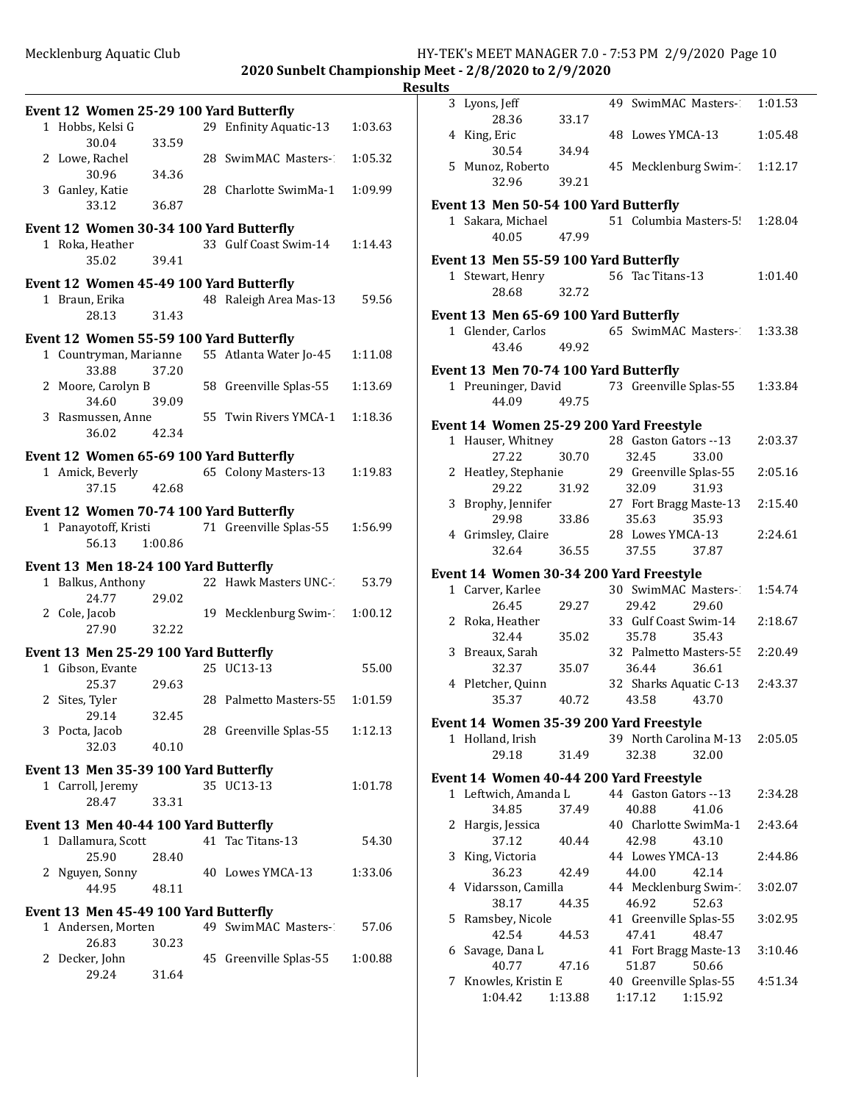**2020 Sunbelt Championship Meet - 2/8/2020 to 2/9/2020 Result** 

|   | Event 12 Women 25-29 100 Yard Butterfly                     |         |                        |         |
|---|-------------------------------------------------------------|---------|------------------------|---------|
|   | 1 Hobbs, Kelsi G<br>30.04                                   | 33.59   | 29 Enfinity Aquatic-13 | 1:03.63 |
|   | 2 Lowe, Rachel                                              |         | 28 SwimMAC Masters-1   | 1:05.32 |
|   | 30.96<br>3 Ganley, Katie                                    | 34.36   | 28 Charlotte SwimMa-1  | 1:09.99 |
|   | 33.12                                                       | 36.87   |                        |         |
|   | Event 12 Women 30-34 100 Yard Butterfly                     |         |                        |         |
|   | 1 Roka, Heather<br>35.02                                    | 39.41   | 33 Gulf Coast Swim-14  | 1:14.43 |
|   | Event 12 Women 45-49 100 Yard Butterfly                     |         |                        |         |
|   | 1 Braun, Erika                                              |         | 48 Raleigh Area Mas-13 | 59.56   |
|   | 28.13                                                       | 31.43   |                        |         |
|   | Event 12 Women 55-59 100 Yard Butterfly                     |         |                        |         |
|   | 1 Countryman, Marianne<br>33.88                             | 37.20   | 55 Atlanta Water Jo-45 | 1:11.08 |
|   | 2 Moore, Carolyn B<br>34.60                                 | 39.09   | 58 Greenville Splas-55 | 1:13.69 |
|   | 3 Rasmussen, Anne                                           |         | 55 Twin Rivers YMCA-1  | 1:18.36 |
|   | 36.02 42.34                                                 |         |                        |         |
|   | Event 12 Women 65-69 100 Yard Butterfly                     |         |                        |         |
|   | 1 Amick, Beverly                                            |         | 65 Colony Masters-13   | 1:19.83 |
|   | 37.15                                                       | 42.68   |                        |         |
|   | Event 12 Women 70-74 100 Yard Butterfly                     |         |                        |         |
|   | 1 Panayotoff, Kristi                                        |         | 71 Greenville Splas-55 | 1:56.99 |
|   | 56.13                                                       | 1:00.86 |                        |         |
|   | Event 13 Men 18-24 100 Yard Butterfly                       |         |                        |         |
|   | 1 Balkus, Anthony<br>24.77                                  | 29.02   | 22 Hawk Masters UNC-1  | 53.79   |
|   | 2 Cole, Jacob                                               |         | 19 Mecklenburg Swim-1  | 1:00.12 |
|   | 27.90                                                       | 32.22   |                        |         |
|   | Event 13 Men 25-29 100 Yard Butterfly                       |         |                        |         |
|   | 1 Gibson, Evante                                            |         | 25 UC13-13             | 55.00   |
|   | 25.37                                                       | 29.63   |                        |         |
|   | 2 Sites, Tyler                                              |         | 28 Palmetto Masters-55 | 1:01.59 |
|   | 29.14<br>3 Pocta, Jacob                                     | 32.45   | 28 Greenville Splas-55 | 1:12.13 |
|   | 32.03                                                       | 40.10   |                        |         |
|   | Event 13 Men 35-39 100 Yard Butterfly                       |         |                        |         |
|   | 1 Carroll, Jeremy                                           |         | 35 UC13-13             | 1:01.78 |
|   | 28.47                                                       | 33.31   |                        |         |
|   | Event 13 Men 40-44 100 Yard Butterfly                       |         |                        |         |
| 1 | Dallamura, Scott                                            |         | 41 Tac Titans-13       | 54.30   |
|   | 25.90                                                       | 28.40   |                        |         |
|   | 2 Nguyen, Sonny<br>44.95                                    |         | 40 Lowes YMCA-13       | 1:33.06 |
|   |                                                             | 48.11   |                        |         |
|   | Event 13 Men 45-49 100 Yard Butterfly<br>1 Andersen, Morten |         | 49 SwimMAC Masters-2   | 57.06   |
|   | 26.83                                                       | 30.23   |                        |         |
|   | 2 Decker, John                                              |         | 45 Greenville Splas-55 | 1:00.88 |
|   | 29.24                                                       | 31.64   |                        |         |

| ılts         |                                                             |         |                                 |                                 |         |
|--------------|-------------------------------------------------------------|---------|---------------------------------|---------------------------------|---------|
|              | 3 Lyons, Jeff                                               |         |                                 | 49 SwimMAC Masters-             | 1:01.53 |
|              | 28.36<br>4 King, Eric                                       | 33.17   | 48 Lowes YMCA-13                |                                 | 1:05.48 |
|              | 30.54                                                       | 34.94   |                                 |                                 |         |
|              | 5 Munoz, Roberto<br>32.96                                   | 39.21   |                                 | 45 Mecklenburg Swim-1           | 1:12.17 |
|              | Event 13 Men 50-54 100 Yard Butterfly                       |         |                                 |                                 |         |
|              | 1 Sakara, Michael<br>40.05                                  | 47.99   |                                 | 51 Columbia Masters-5!          | 1:28.04 |
|              | Event 13 Men 55-59 100 Yard Butterfly                       |         |                                 |                                 |         |
|              | 1 Stewart, Henry<br>28.68                                   | 32.72   | 56 Tac Titans-13                |                                 | 1:01.40 |
|              | Event 13 Men 65-69 100 Yard Butterfly                       |         |                                 |                                 |         |
|              | 1 Glender, Carlos<br>43.46                                  | 49.92   |                                 | 65 SwimMAC Masters-1            | 1:33.38 |
|              | Event 13 Men 70-74 100 Yard Butterfly                       |         |                                 |                                 |         |
|              | 1 Preuninger, David<br>44.09                                | 49.75   |                                 | 73 Greenville Splas-55          | 1:33.84 |
|              | Event 14 Women 25-29 200 Yard Freestyle                     |         |                                 |                                 |         |
| $\mathbf{1}$ | Hauser, Whitney                                             |         | 28 Gaston Gators -- 13          |                                 | 2:03.37 |
|              | 27.22                                                       | 30.70   | 32.45                           | 33.00                           |         |
|              | 2 Heatley, Stephanie<br>29.22                               | 31.92   | 29 Greenville Splas-55<br>32.09 | 31.93                           | 2:05.16 |
|              | 3 Brophy, Jennifer<br>29.98                                 | 33.86   | 35.63                           | 27 Fort Bragg Maste-13<br>35.93 | 2:15.40 |
|              | 4 Grimsley, Claire<br>32.64                                 | 36.55   | 28 Lowes YMCA-13<br>37.55       | 37.87                           | 2:24.61 |
|              | Event 14 Women 30-34 200 Yard Freestyle                     |         |                                 |                                 |         |
|              | 1 Carver, Karlee                                            |         | 30 SwimMAC Masters-             |                                 | 1:54.74 |
|              | 26.45                                                       | 29.27   | 29.42                           | 29.60                           |         |
|              | 2 Roka, Heather<br>32.44                                    | 35.02   | 33 Gulf Coast Swim-14<br>35.78  | 35.43                           | 2:18.67 |
|              | 3 Breaux, Sarah<br>32.37                                    | 35.07   | 36.44                           | 32 Palmetto Masters-55<br>36.61 | 2:20.49 |
|              | 4 Pletcher, Quinn<br>35.37 40.72                            |         | 43.58 43.70                     | 32 Sharks Aquatic C-13          | 2:43.37 |
|              |                                                             |         |                                 |                                 |         |
|              | Event 14 Women 35-39 200 Yard Freestyle<br>1 Holland, Irish |         |                                 | 39 North Carolina M-13          | 2:05.05 |
|              | 29.18                                                       | 31.49   | 32.38                           | 32.00                           |         |
|              | Event 14 Women 40-44 200 Yard Freestyle                     |         |                                 |                                 |         |
|              | 1 Leftwich, Amanda L                                        |         | 44 Gaston Gators -- 13          |                                 | 2:34.28 |
|              | 34.85                                                       | 37.49   | 40.88                           | 41.06                           |         |
| 2            | Hargis, Jessica                                             |         | 40 Charlotte SwimMa-1           |                                 | 2:43.64 |
|              | 37.12                                                       | 40.44   | 42.98                           | 43.10                           |         |
| 3            | King, Victoria<br>36.23                                     | 42.49   | 44 Lowes YMCA-13<br>44.00       | 42.14                           | 2:44.86 |
|              | 4 Vidarsson, Camilla                                        |         | 44 Mecklenburg Swim-1           |                                 | 3:02.07 |
|              | 38.17                                                       | 44.35   | 46.92                           | 52.63                           |         |
|              | 5 Ramsbey, Nicole                                           |         | 41 Greenville Splas-55          |                                 | 3:02.95 |
|              | 42.54                                                       | 44.53   | 47.41                           | 48.47                           |         |
| 6            | Savage, Dana L<br>40.77                                     | 47.16   | 41 Fort Bragg Maste-13<br>51.87 | 50.66                           | 3:10.46 |
| 7            | Knowles, Kristin E                                          |         | 40 Greenville Splas-55          |                                 | 4:51.34 |
|              | 1:04.42                                                     | 1:13.88 | 1:17.12                         | 1:15.92                         |         |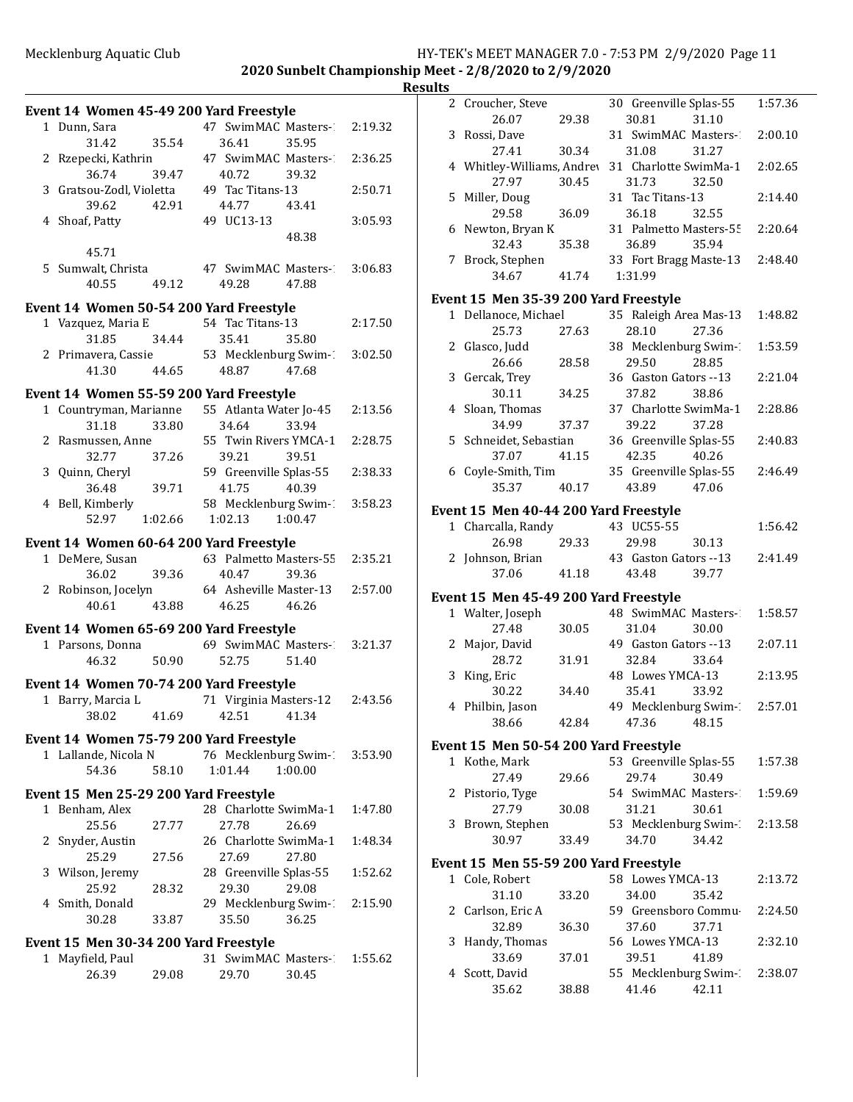**2020 Sunbelt Championship Meet - 2/8/2020 to 2/9/2020**

### **Results**

|   | Event 14 Women 45-49 200 Yard Freestyle |         |                                  |                       |         |
|---|-----------------------------------------|---------|----------------------------------|-----------------------|---------|
|   | 1 Dunn, Sara                            |         | 47 SwimMAC Masters-1             |                       | 2:19.32 |
|   | 31.42                                   | 35.54   | 36.41                            | 35.95                 |         |
|   | 2 Rzepecki, Kathrin                     |         | 47 SwimMAC Masters-              |                       | 2:36.25 |
|   | 36.74                                   | 39.47   | 40.72                            | 39.32                 |         |
|   | 3 Gratsou-Zodl, Violetta                |         | 49 Tac Titans-13                 |                       | 2:50.71 |
|   | 39.62                                   | 42.91   | 44.77 43.41                      |                       |         |
|   | 4 Shoaf, Patty                          |         | 49 UC13-13                       |                       | 3:05.93 |
|   |                                         |         |                                  | 48.38                 |         |
|   | 45.71                                   |         |                                  |                       |         |
|   | 5 Sumwalt, Christa                      |         | 47 SwimMAC Masters-1             |                       | 3:06.83 |
|   | 40.55                                   | 49.12   | 49.28                            | 47.88                 |         |
|   | Event 14 Women 50-54 200 Yard Freestyle |         |                                  |                       |         |
|   | 1 Vazquez, Maria E                      |         | 54 Tac Titans-13                 |                       | 2:17.50 |
|   | 31.85                                   | 34.44   | 35.41                            | 35.80                 |         |
|   | 2 Primavera, Cassie                     |         |                                  | 53 Mecklenburg Swim-1 | 3:02.50 |
|   | 41.30                                   | 44.65   | 48.87                            | 47.68                 |         |
|   | Event 14 Women 55-59 200 Yard Freestyle |         |                                  |                       |         |
|   | 1 Countryman, Marianne                  |         | 55 Atlanta Water Jo-45           |                       | 2:13.56 |
|   | 31.18                                   | 33.80   | 34.64                            | 33.94                 |         |
|   | 2 Rasmussen, Anne                       |         | 55 Twin Rivers YMCA-1            |                       | 2:28.75 |
|   | 32.77                                   | 37.26   | 39.21                            | 39.51                 |         |
|   | 3 Quinn, Cheryl                         |         | 59 Greenville Splas-55           |                       | 2:38.33 |
|   | 36.48                                   | 39.71   | 41.75                            | 40.39                 |         |
|   | 4 Bell, Kimberly<br>52.97               | 1:02.66 | 58 Mecklenburg Swim-1<br>1:02.13 | 1:00.47               | 3:58.23 |
|   |                                         |         |                                  |                       |         |
|   | Event 14 Women 60-64 200 Yard Freestyle |         |                                  |                       |         |
|   | 1 DeMere, Susan                         |         | 63 Palmetto Masters-55           |                       | 2:35.21 |
|   | 36.02                                   | 39.36   | 40.47                            | 39.36                 |         |
|   | 2 Robinson, Jocelyn<br>40.61            | 43.88   | 64 Asheville Master-13<br>46.25  | 46.26                 | 2:57.00 |
|   |                                         |         |                                  |                       |         |
|   | Event 14 Women 65-69 200 Yard Freestyle |         |                                  |                       |         |
|   | 1 Parsons, Donna 69 SwimMAC Masters-2   |         |                                  |                       | 3:21.37 |
|   | 46.32                                   | 50.90   | 52.75                            | 51.40                 |         |
|   | Event 14 Women 70-74 200 Yard Freestyle |         |                                  |                       |         |
|   | 1 Barry, Marcia L                       |         | 71 Virginia Masters-12           |                       | 2:43.56 |
|   | 38.02                                   | 41.69   | 42.51                            | 41.34                 |         |
|   | Event 14 Women 75-79 200 Yard Freestyle |         |                                  |                       |         |
|   | 1 Lallande, Nicola N                    |         | 76 Mecklenburg Swim-1            |                       | 3:53.90 |
|   | 54.36                                   | 58.10   | 1:01.44                          | 1:00.00               |         |
|   | Event 15 Men 25-29 200 Yard Freestyle   |         |                                  |                       |         |
| 1 | Benham, Alex                            |         | 28 Charlotte SwimMa-1            |                       | 1:47.80 |
|   | 25.56                                   | 27.77   | 27.78                            | 26.69                 |         |
| 2 | Snyder, Austin                          |         | 26 Charlotte SwimMa-1            |                       | 1:48.34 |
|   | 25.29                                   | 27.56   | 27.69                            | 27.80                 |         |
| 3 | Wilson, Jeremy                          |         | 28 Greenville Splas-55           |                       | 1:52.62 |
|   | 25.92                                   | 28.32   | 29.30                            | 29.08                 |         |
|   | 4 Smith, Donald                         |         | 29 Mecklenburg Swim-1            |                       | 2:15.90 |
|   | 30.28                                   | 33.87   | 35.50                            | 36.25                 |         |
|   | Event 15 Men 30-34 200 Yard Freestyle   |         |                                  |                       |         |
| 1 | Mayfield, Paul                          |         | 31 SwimMAC Masters-              |                       | 1:55.62 |
|   | 26.39                                   | 29.08   | 29.70                            | 30.45                 |         |

|   | 2 Croucher, Steve                     |       | 30 Greenville Splas-55          |                                | 1:57.36 |
|---|---------------------------------------|-------|---------------------------------|--------------------------------|---------|
|   | 26.07<br>3 Rossi, Dave                | 29.38 | 30.81<br>31 SwimMAC Masters-1   | 31.10                          | 2:00.10 |
|   | 27.41                                 | 30.34 | 31.08                           | 31.27                          |         |
|   | 4 Whitley-Williams, Andrey            |       | 31 Charlotte SwimMa-1           |                                | 2:02.65 |
|   | 27.97                                 | 30.45 | 31.73                           | 32.50                          |         |
|   | 5 Miller, Doug                        |       | 31 Tac Titans-13                |                                | 2:14.40 |
|   | 29.58<br>6 Newton, Bryan K            | 36.09 | 36.18                           | 32.55                          |         |
|   | 32.43                                 | 35.38 | 31 Palmetto Masters-55<br>36.89 | 35.94                          | 2:20.64 |
|   | 7 Brock, Stephen                      |       |                                 | 33 Fort Bragg Maste-13 2:48.40 |         |
|   | 34.67                                 | 41.74 | 1:31.99                         |                                |         |
|   | Event 15 Men 35-39 200 Yard Freestyle |       |                                 |                                |         |
|   | 1 Dellanoce, Michael                  |       | 35 Raleigh Area Mas-13          |                                | 1:48.82 |
|   | 25.73                                 | 27.63 | 28.10                           | 27.36                          |         |
|   | 2 Glasco, Judd                        |       | 38 Mecklenburg Swim-            |                                | 1:53.59 |
|   | 26.66                                 | 28.58 | 29.50                           | 28.85                          |         |
|   | 3 Gercak, Trey                        |       | 36 Gaston Gators -- 13          |                                | 2:21.04 |
|   | 30.11                                 | 34.25 | 37.82                           | 38.86                          |         |
|   | 4 Sloan, Thomas<br>34.99              | 37.37 | 37 Charlotte SwimMa-1<br>39.22  | 37.28                          | 2:28.86 |
|   | 5 Schneidet, Sebastian                |       | 36 Greenville Splas-55          |                                | 2:40.83 |
|   | 37.07                                 | 41.15 | 42.35                           | 40.26                          |         |
|   | 6 Coyle-Smith, Tim                    |       | 35 Greenville Splas-55          |                                | 2:46.49 |
|   | 35.37                                 | 40.17 | 43.89                           | 47.06                          |         |
|   | Event 15 Men 40-44 200 Yard Freestyle |       |                                 |                                |         |
|   | 1 Charcalla, Randy                    |       | 43 UC55-55                      |                                | 1:56.42 |
|   | 26.98                                 | 29.33 | 29.98                           | 30.13                          |         |
|   | 2 Johnson, Brian                      |       | 43 Gaston Gators --13           |                                | 2:41.49 |
|   | 37.06                                 | 41.18 | 43.48                           | 39.77                          |         |
|   | Event 15 Men 45-49 200 Yard Freestyle |       |                                 |                                |         |
|   | 1 Walter, Joseph                      |       | 48 SwimMAC Masters-             |                                | 1:58.57 |
|   | 27.48                                 | 30.05 | 31.04                           | 30.00                          |         |
|   | 2 Major, David                        |       | 49 Gaston Gators -- 13          |                                | 2:07.11 |
|   |                                       |       | 32.84                           |                                |         |
|   | 28.72                                 | 31.91 |                                 | 33.64                          |         |
| 3 | King, Eric                            |       | 48 Lowes YMCA-13                |                                | 2:13.95 |
|   | 30.22                                 | 34.40 | 35.41                           | 33.92                          |         |
| 4 | Philbin, Jason<br>38.66               | 42.84 | 49 Mecklenburg Swim-1<br>47.36  | 48.15                          | 2:57.01 |
|   |                                       |       |                                 |                                |         |
|   | Event 15 Men 50-54 200 Yard Freestyle |       |                                 |                                |         |
|   | 1 Kothe, Mark<br>27.49                | 29.66 | 53 Greenville Splas-55<br>29.74 | 30.49                          | 1:57.38 |
| 2 | Pistorio, Tyge                        |       | 54 SwimMAC Masters-             |                                | 1:59.69 |
|   | 27.79                                 | 30.08 | 31.21                           | 30.61                          |         |
| 3 | Brown, Stephen                        |       |                                 | 53 Mecklenburg Swim-1          | 2:13.58 |
|   | 30.97                                 | 33.49 | 34.70                           | 34.42                          |         |
|   | Event 15 Men 55-59 200 Yard Freestyle |       |                                 |                                |         |
|   | 1 Cole, Robert                        |       | 58 Lowes YMCA-13                |                                | 2:13.72 |
|   | 31.10                                 | 33.20 | 34.00                           | 35.42                          |         |
| 2 | Carlson, Eric A                       |       | 59 Greensboro Commu-            |                                | 2:24.50 |
|   | 32.89                                 | 36.30 | 37.60                           | 37.71                          |         |
| 3 | Handy, Thomas                         |       | 56 Lowes YMCA-13                |                                | 2:32.10 |
|   | 33.69                                 | 37.01 | 39.51                           | 41.89                          |         |
|   | 4 Scott, David<br>35.62               | 38.88 | 41.46                           | 55 Mecklenburg Swim-1<br>42.11 | 2:38.07 |
|   |                                       |       |                                 |                                |         |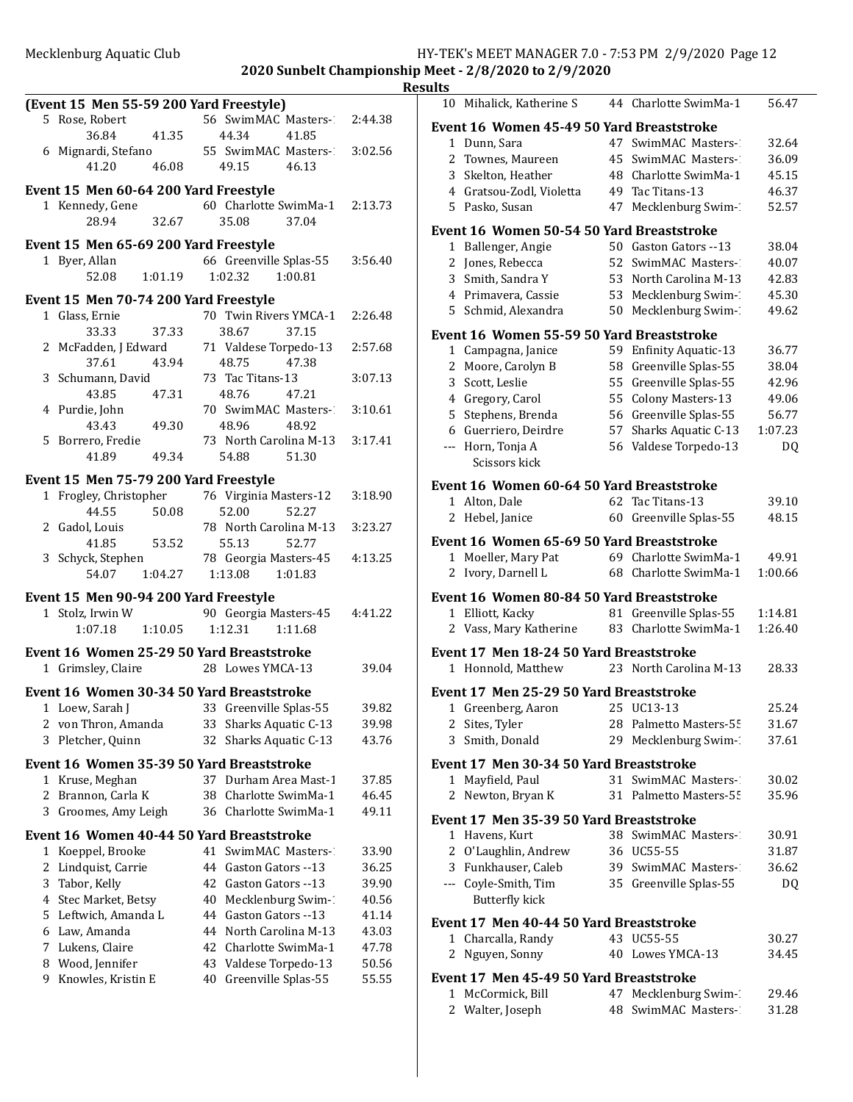|                                           |                           |         | <b>Results</b>                            |                        |                |
|-------------------------------------------|---------------------------|---------|-------------------------------------------|------------------------|----------------|
| (Event 15 Men 55-59 200 Yard Freestyle)   |                           |         | 10 Mihalick, Katherine S                  | 44 Charlotte SwimMa-1  | 56.47          |
| 5 Rose, Robert                            | 56 SwimMAC Masters-1      | 2:44.38 | Event 16 Women 45-49 50 Yard Breaststroke |                        |                |
| 36.84<br>41.35                            | 44.34<br>41.85            |         | 1 Dunn, Sara                              | 47 SwimMAC Masters-1   | 32.64          |
| 6 Mignardi, Stefano                       | 55 SwimMAC Masters-1      | 3:02.56 | 2 Townes, Maureen                         | 45 SwimMAC Masters-    | 36.09          |
| 41.20<br>46.08                            | 49.15<br>46.13            |         | 3 Skelton, Heather                        | 48 Charlotte SwimMa-1  | 45.15          |
| Event 15 Men 60-64 200 Yard Freestyle     |                           |         | 4 Gratsou-Zodl, Violetta                  | 49 Tac Titans-13       | 46.37          |
| 1 Kennedy, Gene                           | 60 Charlotte SwimMa-1     | 2:13.73 | 5 Pasko, Susan                            | 47 Mecklenburg Swim-1  | 52.57          |
| 28.94<br>32.67                            | 35.08<br>37.04            |         | Event 16 Women 50-54 50 Yard Breaststroke |                        |                |
| Event 15 Men 65-69 200 Yard Freestyle     |                           |         | 1 Ballenger, Angie                        | 50 Gaston Gators --13  | 38.04          |
| 1 Byer, Allan                             | 66 Greenville Splas-55    | 3:56.40 | 2 Jones, Rebecca                          | 52 SwimMAC Masters-1   | 40.07          |
| 52.08<br>1:01.19                          | 1:02.32<br>1:00.81        |         | 3 Smith, Sandra Y                         | 53 North Carolina M-13 | 42.83          |
|                                           |                           |         | 4 Primavera, Cassie                       | 53 Mecklenburg Swim-1  | 45.30          |
| Event 15 Men 70-74 200 Yard Freestyle     | 70 Twin Rivers YMCA-1     | 2:26.48 | 5 Schmid, Alexandra                       | 50 Mecklenburg Swim-   | 49.62          |
| 1 Glass, Ernie<br>33.33<br>37.33          | 38.67<br>37.15            |         |                                           |                        |                |
| 2 McFadden, J Edward                      | 71 Valdese Torpedo-13     | 2:57.68 | Event 16 Women 55-59 50 Yard Breaststroke |                        |                |
| 37.61<br>43.94                            | 48.75<br>47.38            |         | 1 Campagna, Janice                        | 59 Enfinity Aquatic-13 | 36.77          |
| 3 Schumann, David                         | 73 Tac Titans-13          | 3:07.13 | 2 Moore, Carolyn B                        | 58 Greenville Splas-55 | 38.04          |
| 43.85<br>47.31                            | 48.76<br>47.21            |         | 3 Scott, Leslie                           | 55 Greenville Splas-55 | 42.96          |
| 4 Purdie, John                            | 70 SwimMAC Masters-1      | 3:10.61 | 4 Gregory, Carol                          | 55 Colony Masters-13   | 49.06          |
| 49.30<br>43.43                            | 48.96<br>48.92            |         | 5 Stephens, Brenda                        | 56 Greenville Splas-55 | 56.77          |
| 5 Borrero, Fredie                         | 73 North Carolina M-13    | 3:17.41 | 6 Guerriero, Deirdre                      | 57 Sharks Aquatic C-13 | 1:07.23        |
| 41.89<br>49.34                            | 54.88<br>51.30            |         | --- Horn, Tonja A<br>Scissors kick        | 56 Valdese Torpedo-13  | DQ             |
| Event 15 Men 75-79 200 Yard Freestyle     |                           |         |                                           |                        |                |
| 1 Frogley, Christopher                    | 76 Virginia Masters-12    | 3:18.90 | Event 16 Women 60-64 50 Yard Breaststroke |                        |                |
| 44.55<br>50.08                            | 52.00<br>52.27            |         | 1 Alton, Dale                             | 62 Tac Titans-13       | 39.10          |
| 2 Gadol, Louis                            | 78 North Carolina M-13    | 3:23.27 | 2 Hebel, Janice                           | 60 Greenville Splas-55 | 48.15          |
| 53.52<br>41.85                            | 52.77<br>55.13            |         | Event 16 Women 65-69 50 Yard Breaststroke |                        |                |
| 3 Schyck, Stephen                         | 78 Georgia Masters-45     | 4:13.25 | 1 Moeller, Mary Pat                       | 69 Charlotte SwimMa-1  | 49.91          |
| 1:04.27<br>54.07                          | 1:13.08<br>1:01.83        |         | 2 Ivory, Darnell L                        | 68 Charlotte SwimMa-1  | 1:00.66        |
| Event 15 Men 90-94 200 Yard Freestyle     |                           |         | Event 16 Women 80-84 50 Yard Breaststroke |                        |                |
| 1 Stolz, Irwin W                          | 90 Georgia Masters-45     | 4:41.22 | 1 Elliott, Kacky                          | 81 Greenville Splas-55 | 1:14.81        |
| 1:07.18<br>1:10.05                        | 1:12.31<br>1:11.68        |         | 2 Vass, Mary Katherine                    | 83 Charlotte SwimMa-1  | 1:26.40        |
| Event 16 Women 25-29 50 Yard Breaststroke |                           |         | Event 17 Men 18-24 50 Yard Breaststroke   |                        |                |
| 1 Grimsley, Claire                        | 28 Lowes YMCA-13          | 39.04   | 1 Honnold, Matthew                        | 23 North Carolina M-13 | 28.33          |
| Event 16 Women 30-34 50 Yard Breaststroke |                           |         | Event 17 Men 25-29 50 Yard Breaststroke   |                        |                |
| 1 Loew, Sarah J                           | 33 Greenville Splas-55    | 39.82   | 1 Greenberg, Aaron                        | 25 UC13-13             | 25.24          |
| 2 von Thron, Amanda                       | 33 Sharks Aquatic C-13    | 39.98   | 2 Sites, Tyler                            | 28 Palmetto Masters-55 | 31.67          |
| 3 Pletcher, Quinn                         | Sharks Aquatic C-13<br>32 | 43.76   | 3 Smith, Donald                           | 29 Mecklenburg Swim-1  | 37.61          |
|                                           |                           |         |                                           |                        |                |
| Event 16 Women 35-39 50 Yard Breaststroke |                           |         | Event 17 Men 30-34 50 Yard Breaststroke   |                        |                |
| 1 Kruse, Meghan                           | 37 Durham Area Mast-1     | 37.85   | 1 Mayfield, Paul                          | 31 SwimMAC Masters-1   | 30.02          |
| 2 Brannon, Carla K                        | Charlotte SwimMa-1<br>38  | 46.45   | 2 Newton, Bryan K                         | 31 Palmetto Masters-55 | 35.96          |
| Groomes, Amy Leigh<br>3                   | 36 Charlotte SwimMa-1     | 49.11   | Event 17 Men 35-39 50 Yard Breaststroke   |                        |                |
| Event 16 Women 40-44 50 Yard Breaststroke |                           |         | 1 Havens, Kurt                            | 38 SwimMAC Masters-    | 30.91          |
| 1 Koeppel, Brooke                         | 41 SwimMAC Masters-1      | 33.90   | 2 O'Laughlin, Andrew                      | 36 UC55-55             | 31.87          |
| 2 Lindquist, Carrie                       | 44 Gaston Gators --13     | 36.25   | 3 Funkhauser, Caleb                       | 39 SwimMAC Masters-    | 36.62          |
| Tabor, Kelly<br>3                         | 42 Gaston Gators -- 13    | 39.90   | --- Coyle-Smith, Tim                      | 35 Greenville Splas-55 | DQ             |
| Stec Market, Betsy<br>4                   | Mecklenburg Swim-1<br>40  | 40.56   | <b>Butterfly kick</b>                     |                        |                |
| Leftwich, Amanda L<br>5                   | Gaston Gators --13<br>44  | 41.14   | Event 17 Men 40-44 50 Yard Breaststroke   |                        |                |
| 6 Law, Amanda                             | North Carolina M-13<br>44 | 43.03   | 1 Charcalla, Randy                        | 43 UC55-55             |                |
| Lukens, Claire<br>7                       | Charlotte SwimMa-1<br>42  | 47.78   |                                           |                        | 30.27<br>34.45 |
| Wood, Jennifer<br>8                       | 43 Valdese Torpedo-13     | 50.56   | 2 Nguyen, Sonny                           | 40 Lowes YMCA-13       |                |
| Knowles, Kristin E<br>9                   | 40 Greenville Splas-55    | 55.55   | Event 17 Men 45-49 50 Yard Breaststroke   |                        |                |
|                                           |                           |         | 1 McCormick, Bill                         | 47 Mecklenburg Swim-1  | 29.46          |
|                                           |                           |         |                                           |                        | 24.20          |

|                | Event 16  Women 45-49 50 Yard Breaststroke |      |                            |         |
|----------------|--------------------------------------------|------|----------------------------|---------|
|                | 1 Dunn, Sara                               |      | 47 SwimMAC Masters-1       | 32.64   |
| 2              | Townes, Maureen                            | 45   | SwimMAC Masters-1          | 36.09   |
|                | 3 Skelton, Heather                         | 48.  | Charlotte SwimMa-1         | 45.15   |
|                | 4 Gratsou-Zodl, Violetta                   | 49   | Tac Titans-13              | 46.37   |
|                | 5 Pasko, Susan                             | 47   | Mecklenburg Swim-          | 52.57   |
|                | Event 16 Women 50-54 50 Yard Breaststroke  |      |                            |         |
| 1              | Ballenger, Angie                           |      | 50 Gaston Gators --13      | 38.04   |
| 2              | Jones, Rebecca                             |      | 52 SwimMAC Masters-        | 40.07   |
| 3              | Smith, Sandra Y                            | 53.  | North Carolina M-13        | 42.83   |
|                | 4 Primavera, Cassie                        |      | 53 Mecklenburg Swim-1      | 45.30   |
|                | 5 Schmid, Alexandra                        | 50   | Mecklenburg Swim-1         | 49.62   |
|                | Event 16 Women 55-59 50 Yard Breaststroke  |      |                            |         |
|                | 1 Campagna, Janice                         | 59   | <b>Enfinity Aquatic-13</b> | 36.77   |
| 2              | Moore, Carolyn B                           | 58   | Greenville Splas-55        | 38.04   |
| 3              | Scott, Leslie                              | 55   | Greenville Splas-55        | 42.96   |
|                | 4 Gregory, Carol                           | 55   | <b>Colony Masters-13</b>   | 49.06   |
|                | 5 Stephens, Brenda                         |      | 56 Greenville Splas-55     | 56.77   |
| 6              | Guerriero, Deirdre                         | 57   | Sharks Aquatic C-13        | 1:07.23 |
| ---            | Horn, Tonja A                              |      | 56 Valdese Torpedo-13      | DQ      |
|                | Scissors kick                              |      |                            |         |
|                | Event 16 Women 60-64 50 Yard Breaststroke  |      |                            |         |
|                | 1 Alton, Dale                              |      | 62 Tac Titans-13           | 39.10   |
|                | 2 Hebel, Janice                            |      | 60 Greenville Splas-55     | 48.15   |
|                | Event 16 Women 65-69 50 Yard Breaststroke  |      |                            |         |
| 1              | Moeller, Mary Pat                          |      | 69 Charlotte SwimMa-1      | 49.91   |
| 2              | Ivory, Darnell L                           |      | 68 Charlotte SwimMa-1      | 1:00.66 |
|                | Event 16  Women 80-84 50 Yard Breaststroke |      |                            |         |
|                | 1 Elliott, Kacky                           |      | 81 Greenville Splas-55     | 1:14.81 |
| 2              | Vass, Mary Katherine                       |      | 83 Charlotte SwimMa-1      | 1:26.40 |
|                | Event 17 Men 18-24 50 Yard Breaststroke    |      |                            |         |
|                | 1 Honnold, Matthew                         |      | 23 North Carolina M-13     | 28.33   |
|                | Event 17 Men 25-29 50 Yard Breaststroke    |      |                            |         |
| 1              | Greenberg, Aaron                           |      | 25 UC13-13                 | 25.24   |
| $\overline{2}$ | Sites, Tyler                               |      | 28 Palmetto Masters-55     | 31.67   |
|                | 3 Smith, Donald                            | 29 - | Mecklenburg Swim-1         | 37.61   |
|                | Event 17 Men 30-34 50 Yard Breaststroke    |      |                            |         |
|                | 1 Mayfield, Paul                           |      | 31 SwimMAC Masters-        | 30.02   |
| 2              | Newton, Bryan K                            |      | 31 Palmetto Masters-55     | 35.96   |
|                | Event 17 Men 35-39 50 Yard Breaststroke    |      |                            |         |
|                | 1 Havens, Kurt                             |      | 38 SwimMAC Masters-        | 30.91   |
|                | 2 O'Laughlin, Andrew                       |      | 36 UC55-55                 | 31.87   |
|                | 3 Funkhauser, Caleb                        |      | 39 SwimMAC Masters-        | 36.62   |
|                | --- Coyle-Smith, Tim                       |      | 35 Greenville Splas-55     | DQ      |
|                | <b>Butterfly kick</b>                      |      |                            |         |
|                | Event 17 Men 40-44 50 Yard Breaststroke    |      |                            |         |
|                | 1 Charcalla, Randy                         |      | 43 UC55-55                 | 30.27   |
| 2              | Nguyen, Sonny                              |      | 40 Lowes YMCA-13           | 34.45   |
|                |                                            |      |                            |         |

### **d** Breaststroke

| 1 McCormick, Bill | 47 Mecklenburg Swim- | 29.46 |
|-------------------|----------------------|-------|
| 2 Walter, Joseph  | 48 SwimMAC Masters-  | 31.28 |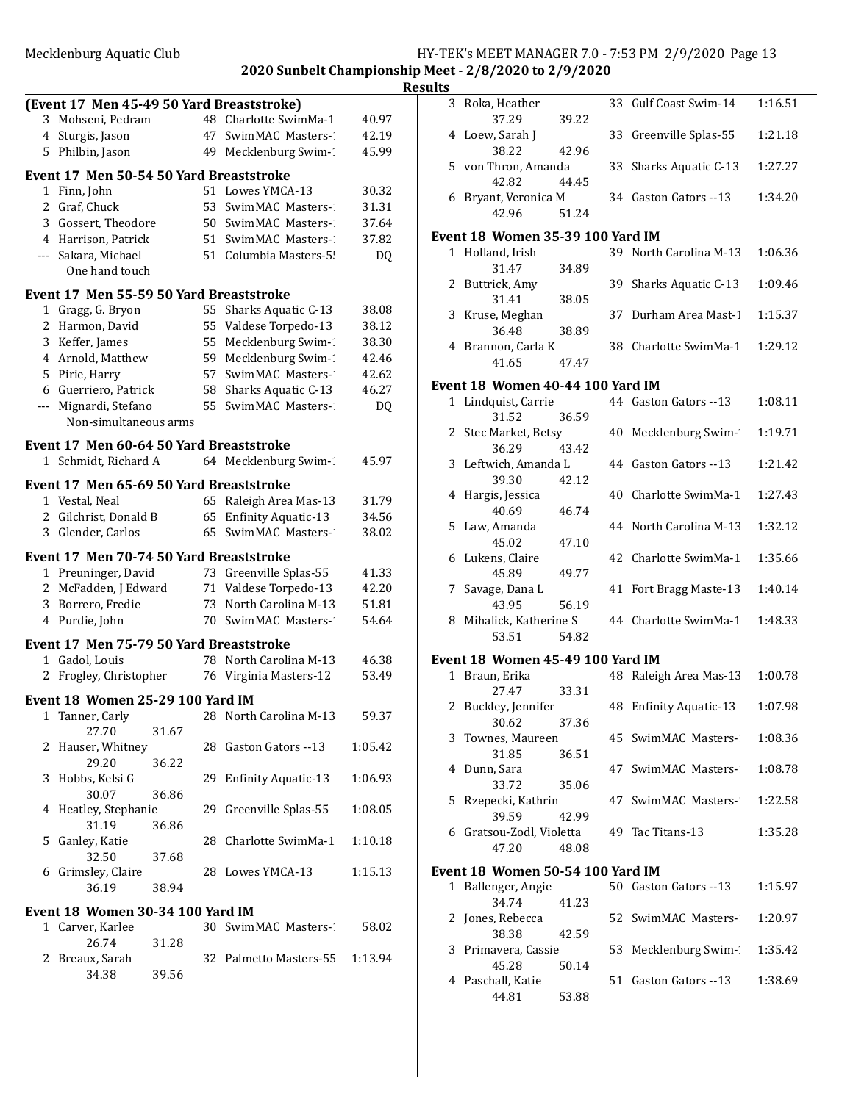# Mecklenburg Aquatic Club<br>
2020 Suphelt Championship Meet 2/9/2020 to 2/9/2020<br>
2020 to 2/9/2020<br>
2020 1020

**2020** Ship Meet - 2/8/2020 to 2/9/2020 **Results**

|                |                                                              |       |    | 2020 Sunbelt Champion      |         |
|----------------|--------------------------------------------------------------|-------|----|----------------------------|---------|
|                |                                                              |       |    |                            |         |
| 3              | (Event 17 Men 45-49 50 Yard Breaststroke)<br>Mohseni, Pedram |       |    | 48 Charlotte SwimMa-1      | 40.97   |
|                | 4 Sturgis, Jason                                             |       |    | 47 SwimMAC Masters-1       | 42.19   |
|                | 5 Philbin, Jason                                             |       | 49 | Mecklenburg Swim-1         | 45.99   |
|                |                                                              |       |    |                            |         |
|                | Event 17 Men 50-54 50 Yard Breaststroke                      |       |    |                            |         |
|                | 1 Finn, John                                                 |       |    | 51 Lowes YMCA-13           | 30.32   |
|                | 2 Graf, Chuck                                                |       |    | 53 SwimMAC Masters-1       | 31.31   |
|                | 3 Gossert, Theodore                                          |       |    | 50 SwimMAC Masters-        | 37.64   |
|                | 4 Harrison, Patrick                                          |       |    | 51 SwimMAC Masters-1       | 37.82   |
| $---$          | Sakara, Michael<br>One hand touch                            |       |    | 51 Columbia Masters-5!     | DQ      |
|                |                                                              |       |    |                            |         |
|                | Event 17 Men 55-59 50 Yard Breaststroke                      |       |    |                            |         |
|                | 1 Gragg, G. Bryon                                            |       |    | 55 Sharks Aquatic C-13     | 38.08   |
| $\overline{2}$ | Harmon, David                                                |       |    | 55 Valdese Torpedo-13      | 38.12   |
|                | 3 Keffer, James                                              |       |    | 55 Mecklenburg Swim-1      | 38.30   |
|                | 4 Arnold, Matthew                                            |       |    | 59 Mecklenburg Swim-1      | 42.46   |
|                | 5 Pirie, Harry                                               |       |    | 57 SwimMAC Masters-1       | 42.62   |
|                | 6 Guerriero, Patrick                                         |       |    | 58 Sharks Aquatic C-13     | 46.27   |
| ---            | Mignardi, Stefano                                            |       | 55 | SwimMAC Masters-1          | DQ      |
|                | Non-simultaneous arms                                        |       |    |                            |         |
|                | Event 17 Men 60-64 50 Yard Breaststroke                      |       |    |                            |         |
|                | 1 Schmidt, Richard A                                         |       |    | 64 Mecklenburg Swim-1      | 45.97   |
|                | Event 17 Men 65-69 50 Yard Breaststroke                      |       |    |                            |         |
|                | 1 Vestal, Neal                                               |       |    | 65 Raleigh Area Mas-13     | 31.79   |
|                | 2 Gilchrist, Donald B                                        |       |    | 65 Enfinity Aquatic-13     | 34.56   |
|                | 3 Glender, Carlos                                            |       |    | 65 SwimMAC Masters-        | 38.02   |
|                | Event 17 Men 70-74 50 Yard Breaststroke                      |       |    |                            |         |
|                | 1 Preuninger, David                                          |       |    | 73 Greenville Splas-55     | 41.33   |
|                | 2 McFadden, J Edward                                         |       |    | 71 Valdese Torpedo-13      | 42.20   |
|                | 3 Borrero, Fredie                                            |       |    | 73 North Carolina M-13     | 51.81   |
|                | 4 Purdie, John                                               |       |    | 70 SwimMAC Masters-1       | 54.64   |
|                | Event 17 Men 75-79 50 Yard Breaststroke                      |       |    |                            |         |
|                | 1 Gadol, Louis                                               |       |    | 78 North Carolina M-13     | 46.38   |
|                | 2 Frogley, Christopher                                       |       |    | 76 Virginia Masters-12     | 53.49   |
|                |                                                              |       |    |                            |         |
|                | Event 18 Women 25-29 100 Yard IM<br>1 Tanner, Carly          |       | 28 | North Carolina M-13        | 59.37   |
|                | 27.70                                                        | 31.67 |    |                            |         |
| 2              | Hauser, Whitney                                              |       | 28 | Gaston Gators --13         | 1:05.42 |
|                | 29.20                                                        | 36.22 |    |                            |         |
|                | 3 Hobbs, Kelsi G                                             |       | 29 | <b>Enfinity Aquatic-13</b> | 1:06.93 |
|                | 30.07                                                        | 36.86 |    |                            |         |
| 4              | Heatley, Stephanie                                           |       | 29 | Greenville Splas-55        | 1:08.05 |
|                | 31.19                                                        | 36.86 |    |                            |         |
| 5              | Ganley, Katie                                                |       | 28 | Charlotte SwimMa-1         | 1:10.18 |
|                | 32.50                                                        | 37.68 |    |                            |         |
|                | 6 Grimsley, Claire                                           |       |    | 28 Lowes YMCA-13           | 1:15.13 |
|                | 36.19                                                        | 38.94 |    |                            |         |
|                | <b>Event 18 Women 30-34 100 Yard IM</b>                      |       |    |                            |         |
|                | 1 Carver, Karlee                                             |       |    | 30 SwimMAC Masters-1       | 58.02   |
|                | 26.74                                                        | 31.28 |    |                            |         |
| 2              | Breaux, Sarah                                                |       |    | 32 Palmetto Masters-55     | 1:13.94 |
|                | 34.38                                                        | 39.56 |    |                            |         |

| lits         |                                   |       |    |                             |         |
|--------------|-----------------------------------|-------|----|-----------------------------|---------|
|              | 3 Roka, Heather<br>37.29          | 39.22 | 33 | Gulf Coast Swim-14          | 1:16.51 |
|              | 4 Loew, Sarah J                   |       | 33 | Greenville Splas-55         | 1:21.18 |
|              | 38.22<br>5 von Thron, Amanda      | 42.96 | 33 | Sharks Aquatic C-13         | 1:27.27 |
| 6            | 42.82<br>Bryant, Veronica M       | 44.45 |    | 34 Gaston Gators --13       | 1:34.20 |
|              | 42.96                             | 51.24 |    |                             |         |
|              | Event 18 Women 35-39 100 Yard IM  |       |    |                             |         |
| $\mathbf{1}$ | Holland, Irish<br>31.47           | 34.89 |    | 39 North Carolina M-13      | 1:06.36 |
|              | 2 Buttrick, Amy<br>31.41          | 38.05 | 39 | Sharks Aquatic C-13         | 1:09.46 |
|              | 3 Kruse, Meghan<br>36.48          | 38.89 | 37 | Durham Area Mast-1          | 1:15.37 |
|              | 4 Brannon, Carla K<br>41.65       | 47.47 |    | 38 Charlotte SwimMa-1       | 1:29.12 |
|              |                                   |       |    |                             |         |
|              | Event 18  Women 40-44 100 Yard IM |       |    |                             |         |
|              | 1 Lindquist, Carrie<br>31.52      | 36.59 |    | 44 Gaston Gators --13       | 1:08.11 |
|              | 2 Stec Market, Betsy<br>36.29     | 43.42 |    | 40 Mecklenburg Swim-        | 1:19.71 |
| 3            | Leftwich, Amanda L<br>39.30       | 42.12 |    | 44 Gaston Gators --13       | 1:21.42 |
| 4            | Hargis, Jessica<br>40.69          | 46.74 |    | 40 Charlotte SwimMa-1       | 1:27.43 |
| 5            | Law, Amanda<br>45.02              | 47.10 |    | 44 North Carolina M-13      | 1:32.12 |
|              | 6 Lukens, Claire<br>45.89         | 49.77 |    | 42 Charlotte SwimMa-1       | 1:35.66 |
|              | 7 Savage, Dana L<br>43.95         | 56.19 | 41 | Fort Bragg Maste-13         | 1:40.14 |
| 8            | Mihalick, Katherine S<br>53.51    | 54.82 |    | 44 Charlotte SwimMa-1       | 1:48.33 |
|              | Event 18 Women 45-49 100 Yard IM  |       |    |                             |         |
|              | 1 Braun, Erika<br>27.47           | 33.31 |    | 48 Raleigh Area Mas-13      | 1:00.78 |
|              | 2 Buckley, Jennifer<br>30.62      | 37.36 |    | 48 Enfinity Aquatic-13      | 1:07.98 |
|              | 3 Townes, Maureen<br>31.85        | 36.51 |    | 45 SwimMAC Masters- 1:08.36 |         |
| 4            | Dunn, Sara<br>33.72               | 35.06 |    | 47 SwimMAC Masters- 1:08.78 |         |
| 5            | Rzepecki, Kathrin<br>39.59        | 42.99 |    | 47 SwimMAC Masters- 1:22.58 |         |
|              | 6 Gratsou-Zodl, Violetta<br>47.20 | 48.08 |    | 49 Tac Titans-13            | 1:35.28 |
|              | Event 18 Women 50-54 100 Yard IM  |       |    |                             |         |
|              |                                   |       |    |                             |         |
|              | 1 Ballenger, Angie<br>34.74       | 41.23 |    | 50 Gaston Gators --13       | 1:15.97 |
| 2            | Jones, Rebecca<br>38.38           | 42.59 |    | 52 SwimMAC Masters-2        | 1:20.97 |
| 3            | Primavera, Cassie<br>45.28        | 50.14 |    | 53 Mecklenburg Swim-1       | 1:35.42 |
|              | 4 Paschall, Katie<br>44.81        | 53.88 |    | 51 Gaston Gators --13       | 1:38.69 |
|              |                                   |       |    |                             |         |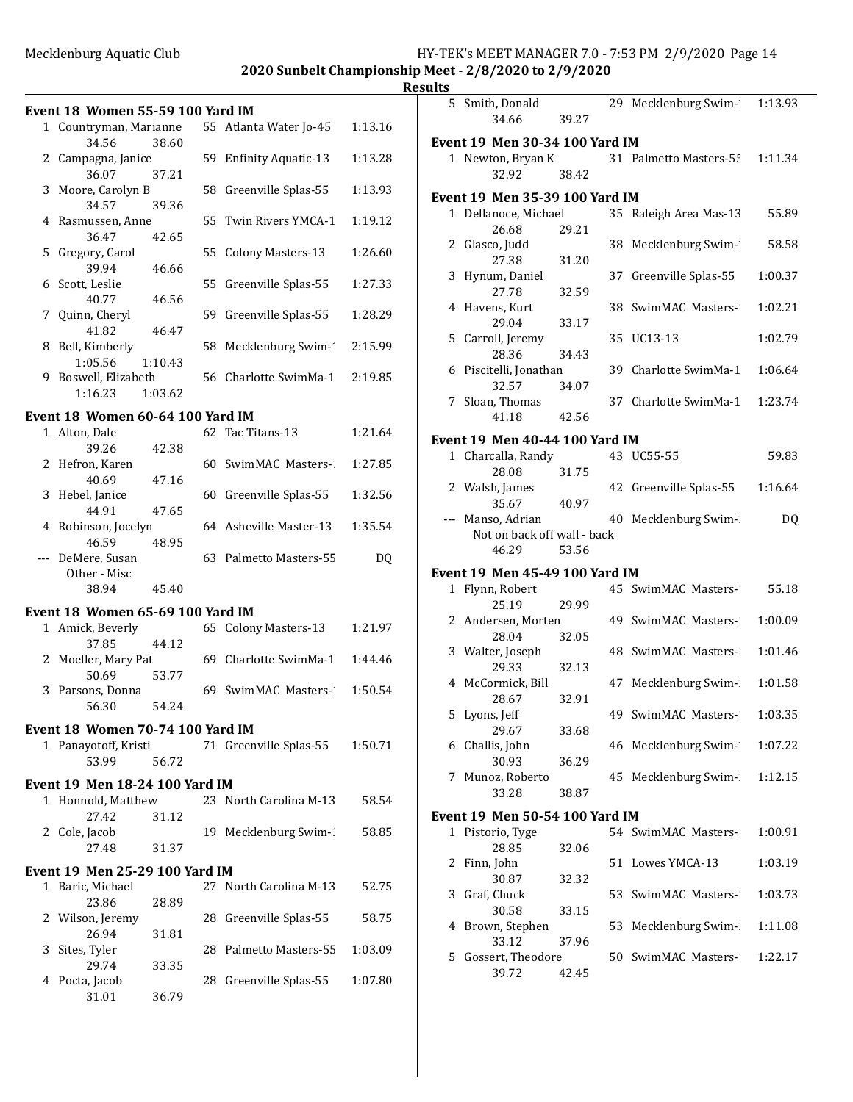|                                   |                                                                                                                                                                                |                                                                                                                                                                                                                                                    |                                                                                                                                                                                                                                                                                                                                                                                                                                                                                                                                                                                              | <u>Results</u>                                                                                                                                                                                                                                                                  |
|-----------------------------------|--------------------------------------------------------------------------------------------------------------------------------------------------------------------------------|----------------------------------------------------------------------------------------------------------------------------------------------------------------------------------------------------------------------------------------------------|----------------------------------------------------------------------------------------------------------------------------------------------------------------------------------------------------------------------------------------------------------------------------------------------------------------------------------------------------------------------------------------------------------------------------------------------------------------------------------------------------------------------------------------------------------------------------------------------|---------------------------------------------------------------------------------------------------------------------------------------------------------------------------------------------------------------------------------------------------------------------------------|
|                                   |                                                                                                                                                                                |                                                                                                                                                                                                                                                    |                                                                                                                                                                                                                                                                                                                                                                                                                                                                                                                                                                                              |                                                                                                                                                                                                                                                                                 |
|                                   |                                                                                                                                                                                |                                                                                                                                                                                                                                                    | 1:13.16                                                                                                                                                                                                                                                                                                                                                                                                                                                                                                                                                                                      | Eve                                                                                                                                                                                                                                                                             |
| 2 Campagna, Janice                |                                                                                                                                                                                |                                                                                                                                                                                                                                                    | 1:13.28                                                                                                                                                                                                                                                                                                                                                                                                                                                                                                                                                                                      |                                                                                                                                                                                                                                                                                 |
| 3 Moore, Carolyn B                |                                                                                                                                                                                |                                                                                                                                                                                                                                                    | 1:13.93                                                                                                                                                                                                                                                                                                                                                                                                                                                                                                                                                                                      | Eve                                                                                                                                                                                                                                                                             |
| 4 Rasmussen, Anne                 |                                                                                                                                                                                |                                                                                                                                                                                                                                                    | 1:19.12                                                                                                                                                                                                                                                                                                                                                                                                                                                                                                                                                                                      |                                                                                                                                                                                                                                                                                 |
| 5 Gregory, Carol                  |                                                                                                                                                                                |                                                                                                                                                                                                                                                    | 1:26.60                                                                                                                                                                                                                                                                                                                                                                                                                                                                                                                                                                                      |                                                                                                                                                                                                                                                                                 |
| 6 Scott, Leslie                   |                                                                                                                                                                                |                                                                                                                                                                                                                                                    | 1:27.33                                                                                                                                                                                                                                                                                                                                                                                                                                                                                                                                                                                      |                                                                                                                                                                                                                                                                                 |
| 7 Quinn, Cheryl                   |                                                                                                                                                                                |                                                                                                                                                                                                                                                    | 1:28.29                                                                                                                                                                                                                                                                                                                                                                                                                                                                                                                                                                                      |                                                                                                                                                                                                                                                                                 |
| 8 Bell, Kimberly                  |                                                                                                                                                                                |                                                                                                                                                                                                                                                    | 2:15.99                                                                                                                                                                                                                                                                                                                                                                                                                                                                                                                                                                                      |                                                                                                                                                                                                                                                                                 |
| 9 Boswell, Elizabeth<br>1:16.23   |                                                                                                                                                                                |                                                                                                                                                                                                                                                    | 2:19.85                                                                                                                                                                                                                                                                                                                                                                                                                                                                                                                                                                                      |                                                                                                                                                                                                                                                                                 |
|                                   |                                                                                                                                                                                |                                                                                                                                                                                                                                                    |                                                                                                                                                                                                                                                                                                                                                                                                                                                                                                                                                                                              |                                                                                                                                                                                                                                                                                 |
| 1 Alton, Dale                     |                                                                                                                                                                                |                                                                                                                                                                                                                                                    | 1:21.64                                                                                                                                                                                                                                                                                                                                                                                                                                                                                                                                                                                      | Eve                                                                                                                                                                                                                                                                             |
| 2 Hefron, Karen                   |                                                                                                                                                                                |                                                                                                                                                                                                                                                    | 1:27.85                                                                                                                                                                                                                                                                                                                                                                                                                                                                                                                                                                                      |                                                                                                                                                                                                                                                                                 |
| 3 Hebel, Janice                   |                                                                                                                                                                                |                                                                                                                                                                                                                                                    | 1:32.56                                                                                                                                                                                                                                                                                                                                                                                                                                                                                                                                                                                      |                                                                                                                                                                                                                                                                                 |
| 4 Robinson, Jocelyn               |                                                                                                                                                                                |                                                                                                                                                                                                                                                    | 1:35.54                                                                                                                                                                                                                                                                                                                                                                                                                                                                                                                                                                                      |                                                                                                                                                                                                                                                                                 |
| --- DeMere, Susan<br>Other - Misc |                                                                                                                                                                                |                                                                                                                                                                                                                                                    | DQ                                                                                                                                                                                                                                                                                                                                                                                                                                                                                                                                                                                           | Eve                                                                                                                                                                                                                                                                             |
|                                   |                                                                                                                                                                                |                                                                                                                                                                                                                                                    |                                                                                                                                                                                                                                                                                                                                                                                                                                                                                                                                                                                              |                                                                                                                                                                                                                                                                                 |
|                                   |                                                                                                                                                                                |                                                                                                                                                                                                                                                    |                                                                                                                                                                                                                                                                                                                                                                                                                                                                                                                                                                                              |                                                                                                                                                                                                                                                                                 |
| 1 Amick, Beverly<br>37.85         |                                                                                                                                                                                |                                                                                                                                                                                                                                                    | 1:21.97                                                                                                                                                                                                                                                                                                                                                                                                                                                                                                                                                                                      |                                                                                                                                                                                                                                                                                 |
| 50.69                             |                                                                                                                                                                                |                                                                                                                                                                                                                                                    | 1:44.46                                                                                                                                                                                                                                                                                                                                                                                                                                                                                                                                                                                      |                                                                                                                                                                                                                                                                                 |
| 3 Parsons, Donna<br>56.30         |                                                                                                                                                                                |                                                                                                                                                                                                                                                    | 1:50.54                                                                                                                                                                                                                                                                                                                                                                                                                                                                                                                                                                                      |                                                                                                                                                                                                                                                                                 |
|                                   |                                                                                                                                                                                |                                                                                                                                                                                                                                                    |                                                                                                                                                                                                                                                                                                                                                                                                                                                                                                                                                                                              |                                                                                                                                                                                                                                                                                 |
| 1 Panayotoff, Kristi<br>53.99     |                                                                                                                                                                                |                                                                                                                                                                                                                                                    | 1:50.71                                                                                                                                                                                                                                                                                                                                                                                                                                                                                                                                                                                      |                                                                                                                                                                                                                                                                                 |
|                                   |                                                                                                                                                                                |                                                                                                                                                                                                                                                    |                                                                                                                                                                                                                                                                                                                                                                                                                                                                                                                                                                                              |                                                                                                                                                                                                                                                                                 |
| 1 Honnold, Matthew<br>27.42       |                                                                                                                                                                                |                                                                                                                                                                                                                                                    | 58.54                                                                                                                                                                                                                                                                                                                                                                                                                                                                                                                                                                                        | Eve                                                                                                                                                                                                                                                                             |
| 2 Cole, Jacob<br>27.48            |                                                                                                                                                                                |                                                                                                                                                                                                                                                    | 58.85                                                                                                                                                                                                                                                                                                                                                                                                                                                                                                                                                                                        |                                                                                                                                                                                                                                                                                 |
|                                   |                                                                                                                                                                                |                                                                                                                                                                                                                                                    |                                                                                                                                                                                                                                                                                                                                                                                                                                                                                                                                                                                              |                                                                                                                                                                                                                                                                                 |
| 1 Baric, Michael                  |                                                                                                                                                                                |                                                                                                                                                                                                                                                    | 52.75                                                                                                                                                                                                                                                                                                                                                                                                                                                                                                                                                                                        |                                                                                                                                                                                                                                                                                 |
| 2 Wilson, Jeremy                  |                                                                                                                                                                                |                                                                                                                                                                                                                                                    | 58.75                                                                                                                                                                                                                                                                                                                                                                                                                                                                                                                                                                                        |                                                                                                                                                                                                                                                                                 |
| Sites, Tyler                      |                                                                                                                                                                                |                                                                                                                                                                                                                                                    | 1:03.09                                                                                                                                                                                                                                                                                                                                                                                                                                                                                                                                                                                      |                                                                                                                                                                                                                                                                                 |
| 4 Pocta, Jacob                    |                                                                                                                                                                                |                                                                                                                                                                                                                                                    | 1:07.80                                                                                                                                                                                                                                                                                                                                                                                                                                                                                                                                                                                      |                                                                                                                                                                                                                                                                                 |
|                                   | 34.56<br>36.07<br>34.57<br>36.47<br>39.94<br>40.77<br>41.82<br>1:05.56<br>39.26<br>40.69<br>44.91<br>46.59<br>38.94<br>2 Moeller, Mary Pat<br>23.86<br>26.94<br>29.74<br>31.01 | 1 Countryman, Marianne<br>38.60<br>37.21<br>39.36<br>42.65<br>46.66<br>46.56<br>46.47<br>1:10.43<br>1:03.62<br>42.38<br>47.16<br>47.65<br>48.95<br>45.40<br>44.12<br>53.77<br>54.24<br>56.72<br>31.12<br>31.37<br>28.89<br>31.81<br>33.35<br>36.79 | <b>Event 18 Women 55-59 100 Yard IM</b><br>59 Enfinity Aquatic-13<br>58 Greenville Splas-55<br>55 Colony Masters-13<br>55 Greenville Splas-55<br>Event 18 Women 60-64 100 Yard IM<br>62 Tac Titans-13<br>64 Asheville Master-13<br>63 Palmetto Masters-55<br><b>Event 18 Women 65-69 100 Yard IM</b><br><b>Event 18 Women 70-74 100 Yard IM</b><br><b>Event 19 Men 18-24 100 Yard IM</b><br>23 North Carolina M-13<br>19 Mecklenburg Swim-1<br><b>Event 19 Men 25-29 100 Yard IM</b><br>27 North Carolina M-13<br>28 Greenville Splas-55<br>28 Palmetto Masters-55<br>28 Greenville Splas-55 | 55 Atlanta Water Jo-45<br>55 Twin Rivers YMCA-1<br>59 Greenville Splas-55<br>58 Mecklenburg Swim-1<br>56 Charlotte SwimMa-1<br>60 SwimMAC Masters-<br>60 Greenville Splas-55<br>65 Colony Masters-13<br>69 Charlotte SwimMa-1<br>69 SwimMAC Masters-1<br>71 Greenville Splas-55 |

|   | 5 Smith, Donald<br>34.66              | 39.27 |    | 29 Mecklenburg Swim-1  | 1:13.93 |
|---|---------------------------------------|-------|----|------------------------|---------|
|   | <b>Event 19 Men 30-34 100 Yard IM</b> |       |    |                        |         |
|   | 1 Newton, Bryan K<br>32.92            | 38.42 |    | 31 Palmetto Masters-55 | 1:11.34 |
|   | Event 19 Men 35-39 100 Yard IM        |       |    |                        |         |
|   | 1 Dellanoce, Michael                  |       |    | 35 Raleigh Area Mas-13 | 55.89   |
|   | 26.68                                 | 29.21 |    |                        |         |
|   | 2 Glasco, Judd                        |       | 38 | Mecklenburg Swim-      | 58.58   |
|   | 27.38                                 | 31.20 |    |                        |         |
|   | 3 Hynum, Daniel                       |       |    | 37 Greenville Splas-55 | 1:00.37 |
|   | 27.78<br>4 Havens, Kurt               | 32.59 |    | 38 SwimMAC Masters-    | 1:02.21 |
|   | 29.04                                 | 33.17 |    |                        |         |
|   | 5 Carroll, Jeremy                     |       |    | 35 UC13-13             | 1:02.79 |
|   | 28.36                                 | 34.43 |    |                        |         |
|   | 6 Piscitelli, Jonathan                |       |    | 39 Charlotte SwimMa-1  | 1:06.64 |
|   | 32.57                                 | 34.07 |    |                        |         |
|   | 7 Sloan, Thomas                       |       |    | 37 Charlotte SwimMa-1  | 1:23.74 |
|   | 41.18                                 | 42.56 |    |                        |         |
|   | Event 19 Men 40-44 100 Yard IM        |       |    |                        |         |
|   | 1 Charcalla, Randy                    |       |    | 43 UC55-55             | 59.83   |
|   | 28.08                                 | 31.75 |    |                        |         |
|   | 2 Walsh, James<br>35.67               | 40.97 |    | 42 Greenville Splas-55 | 1:16.64 |
|   | --- Manso, Adrian                     |       |    | 40 Mecklenburg Swim-1  | DQ      |
|   | Not on back off wall - back           |       |    |                        |         |
|   | 46.29                                 | 53.56 |    |                        |         |
|   | <b>Event 19 Men 45-49 100 Yard IM</b> |       |    |                        |         |
|   | 1 Flynn, Robert                       |       |    | 45 SwimMAC Masters-    | 55.18   |
|   | 25.19                                 | 29.99 |    |                        |         |
|   | 2 Andersen, Morten                    |       |    | 49 SwimMAC Masters-2   | 1:00.09 |
|   | 28.04                                 | 32.05 |    |                        |         |
|   | 3 Walter, Joseph                      |       |    |                        |         |
|   | 29.33                                 | 32.13 |    | 48 SwimMAC Masters-2   | 1:01.46 |
|   |                                       |       |    |                        |         |
|   | 4 McCormick, Bill                     |       |    | 47 Mecklenburg Swim-1  | 1:01.58 |
|   | 28.67                                 | 32.91 |    |                        |         |
|   | 5 Lyons, Jeff                         |       |    | 49 SwimMAC Masters-    | 1:03.35 |
| 6 | 29.67                                 | 33.68 |    |                        | 1:07.22 |
|   | Challis, John<br>30.93                | 36.29 |    | 46 Mecklenburg Swim-1  |         |
|   | 7 Munoz, Roberto                      |       |    | 45 Mecklenburg Swim-1  | 1:12.15 |
|   | 33.28                                 | 38.87 |    |                        |         |
|   | Event 19  Men 50-54 100 Yard IM       |       |    |                        |         |
|   | 1 Pistorio, Tyge                      |       |    | 54 SwimMAC Masters-    | 1:00.91 |
|   | 28.85                                 | 32.06 |    |                        |         |
| 2 | Finn, John                            |       |    | 51 Lowes YMCA-13       | 1:03.19 |
|   | 30.87                                 | 32.32 |    |                        |         |
| 3 | Graf, Chuck                           |       |    | 53 SwimMAC Masters-1   | 1:03.73 |
|   | 30.58                                 | 33.15 |    |                        |         |
| 4 | Brown, Stephen<br>33.12               | 37.96 | 53 | Mecklenburg Swim-1     | 1:11.08 |
| 5 | Gossert, Theodore                     |       |    | 50 SwimMAC Masters-    | 1:22.17 |
|   | 39.72                                 | 42.45 |    |                        |         |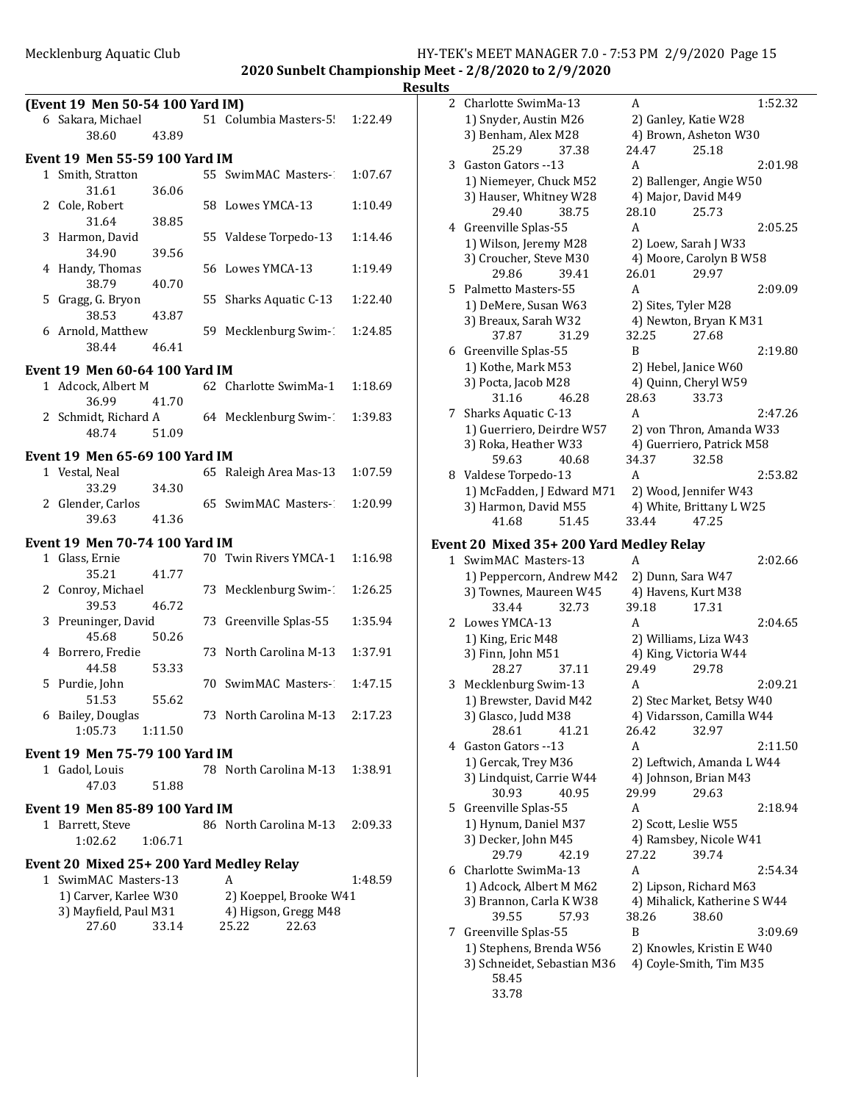**2020 Sunbelt Championship Meet - 2/8/2020 to 2/9/2020**

|                                                                                 |                |                                                                       |         | <b>Results</b> |
|---------------------------------------------------------------------------------|----------------|-----------------------------------------------------------------------|---------|----------------|
| (Event 19 Men 50-54 100 Yard IM)<br>6 Sakara, Michael<br>38.60                  | 43.89          | 51 Columbia Masters-5! 1:22.49                                        |         |                |
| <b>Event 19 Men 55-59 100 Yard IM</b>                                           |                |                                                                       |         |                |
| 1 Smith, Stratton<br>31.61                                                      | 36.06          | 55 SwimMAC Masters-1                                                  | 1:07.67 |                |
| 2 Cole, Robert<br>31.64                                                         | 38.85          | 58 Lowes YMCA-13                                                      | 1:10.49 |                |
| 3 Harmon, David<br>34.90                                                        | 39.56          | 55 Valdese Torpedo-13                                                 | 1:14.46 |                |
| 4 Handy, Thomas<br>38.79                                                        | 40.70          | 56 Lowes YMCA-13                                                      | 1:19.49 |                |
| 5 Gragg, G. Bryon<br>38.53                                                      | 43.87          | 55 Sharks Aquatic C-13                                                | 1:22.40 |                |
| 6 Arnold, Matthew<br>38.44                                                      | 46.41          | 59 Mecklenburg Swim-1                                                 | 1:24.85 |                |
|                                                                                 |                |                                                                       |         |                |
| <b>Event 19 Men 60-64 100 Yard IM</b><br>1 Adcock, Albert M                     |                | 62 Charlotte SwimMa-1                                                 | 1:18.69 |                |
| 36.99<br>48.74                                                                  | 41.70<br>51.09 | 2 Schmidt, Richard A 64 Mecklenburg Swim-                             | 1:39.83 |                |
| <b>Event 19 Men 65-69 100 Yard IM</b>                                           |                |                                                                       |         |                |
| 1 Vestal, Neal<br>33.29                                                         | 34.30          | 65 Raleigh Area Mas-13                                                | 1:07.59 |                |
| 2 Glender, Carlos<br>39.63                                                      | 41.36          | 65 SwimMAC Masters-1                                                  | 1:20.99 |                |
| <b>Event 19 Men 70-74 100 Yard IM</b>                                           |                |                                                                       |         |                |
| 1 Glass, Ernie<br>35.21                                                         | 41.77          | 70 Twin Rivers YMCA-1                                                 | 1:16.98 | Eve            |
| 2 Conroy, Michael<br>39.53                                                      | 46.72          | 73 Mecklenburg Swim-1                                                 | 1:26.25 |                |
| 3 Preuninger, David<br>45.68                                                    | 50.26          | 73 Greenville Splas-55                                                | 1:35.94 |                |
| 4 Borrero, Fredie<br>44.58                                                      | 53.33          | 73 North Carolina M-13                                                | 1:37.91 |                |
| 5 Purdie, John<br>51.53                                                         | 55.62          | 70 SwimMAC Masters-1                                                  | 1:47.15 |                |
| 6 Bailey, Douglas<br>1:05.73                                                    | 1:11.50        | 73 North Carolina M-13                                                | 2:17.23 |                |
| Event 19 Men 75-79 100 Yard IM                                                  |                |                                                                       |         |                |
| 1 Gadol, Louis<br>47.03                                                         | 51.88          | 78 North Carolina M-13                                                | 1:38.91 |                |
| Event 19 Men 85-89 100 Yard IM                                                  |                |                                                                       |         |                |
| 1 Barrett, Steve<br>1:02.62                                                     | 1:06.71        | 86 North Carolina M-13                                                | 2:09.33 |                |
| Event 20 Mixed 25+200 Yard Medley Relay                                         |                |                                                                       |         |                |
| 1 SwimMAC Masters-13<br>1) Carver, Karlee W30<br>3) Mayfield, Paul M31<br>27.60 | 33.14          | A<br>2) Koeppel, Brooke W41<br>4) Higson, Gregg M48<br>25.22<br>22.63 | 1:48.59 |                |
|                                                                                 |                |                                                                       |         |                |

| 2 | Charlotte SwimMa-13                                | 1:52.32<br>A                                           |
|---|----------------------------------------------------|--------------------------------------------------------|
|   | 1) Snyder, Austin M26                              | 2) Ganley, Katie W28                                   |
|   | 3) Benham, Alex M28                                | 4) Brown, Asheton W30                                  |
|   | 25.29<br>37.38                                     | 25.18<br>24.47                                         |
| 3 | Gaston Gators --13                                 | A<br>2:01.98                                           |
|   | 1) Niemeyer, Chuck M52                             | 2) Ballenger, Angie W50                                |
|   | 3) Hauser, Whitney W28                             | 4) Major, David M49                                    |
|   | 29.40<br>38.75                                     | 25.73<br>28.10                                         |
|   | 4 Greenville Splas-55                              | A<br>2:05.25                                           |
|   | 1) Wilson, Jeremy M28                              | 2) Loew, Sarah J W33                                   |
|   | 3) Croucher, Steve M30                             | 4) Moore, Carolyn B W58                                |
|   | 29.86<br>39.41                                     | 29.97<br>26.01                                         |
|   | 5 Palmetto Masters-55                              | 2:09.09<br>A                                           |
|   | 1) DeMere, Susan W63                               | 2) Sites, Tyler M28                                    |
|   | 3) Breaux, Sarah W32                               | 4) Newton, Bryan K M31                                 |
|   | 37.87<br>31.29                                     | 32.25<br>27.68                                         |
|   | 6 Greenville Splas-55                              | B<br>2:19.80                                           |
|   | 1) Kothe, Mark M53                                 | 2) Hebel, Janice W60                                   |
|   | 3) Pocta, Jacob M28                                | 4) Quinn, Cheryl W59                                   |
|   | 31.16<br>46.28                                     | 28.63<br>33.73                                         |
| 7 | Sharks Aquatic C-13                                | 2:47.26<br>A                                           |
|   | 1) Guerriero, Deirdre W57                          | 2) von Thron, Amanda W33                               |
|   | 3) Roka, Heather W33                               | 4) Guerriero, Patrick M58                              |
|   | 59.63<br>40.68                                     | 34.37<br>32.58                                         |
|   | 8 Valdese Torpedo-13                               | 2:53.82<br>A                                           |
|   | 1) McFadden, J Edward M71                          | 2) Wood, Jennifer W43                                  |
|   | 3) Harmon, David M55                               | 4) White, Brittany L W25                               |
|   | 41.68<br>51.45                                     | 47.25<br>33.44                                         |
|   |                                                    |                                                        |
|   |                                                    |                                                        |
|   | Event 20 Mixed 35+ 200 Yard Medley Relay           |                                                        |
|   | 1 SwimMAC Masters-13                               | A<br>2:02.66                                           |
|   | 1) Peppercorn, Andrew M42                          | 2) Dunn, Sara W47                                      |
|   | 3) Townes, Maureen W45                             | 4) Havens, Kurt M38                                    |
|   | 33.44<br>32.73                                     | 39.18<br>17.31                                         |
| 2 | Lowes YMCA-13                                      | 2:04.65<br>A                                           |
|   | 1) King, Eric M48                                  | 2) Williams, Liza W43                                  |
|   | 3) Finn, John M51                                  | 4) King, Victoria W44                                  |
|   | 28.27<br>37.11                                     | 29.49<br>29.78<br>A                                    |
| 3 | Mecklenburg Swim-13                                | 2:09.21                                                |
|   | 1) Brewster, David M42                             | 2) Stec Market, Betsy W40                              |
|   | 3) Glasco, Judd M38<br>28.61                       | 4) Vidarsson, Camilla W44<br>26.42<br>32.97            |
|   | 41.21<br>4 Gaston Gators --13                      | A                                                      |
|   |                                                    | 2:11.50                                                |
|   | 1) Gercak, Trey M36                                | 2) Leftwich, Amanda L W44                              |
|   | 3) Lindquist, Carrie W44<br>30.93<br>40.95         | 4) Johnson, Brian M43<br>29.99<br>29.63                |
| 5 |                                                    | A<br>2:18.94                                           |
|   | Greenville Splas-55                                |                                                        |
|   | 1) Hynum, Daniel M37                               | 2) Scott, Leslie W55                                   |
|   | 3) Decker, John M45<br>29.79<br>42.19              | 4) Ramsbey, Nicole W41<br>27.22<br>39.74               |
| 6 | Charlotte SwimMa-13                                | A<br>2:54.34                                           |
|   |                                                    |                                                        |
|   | 1) Adcock, Albert M M62<br>3) Brannon, Carla K W38 | 2) Lipson, Richard M63<br>4) Mihalick, Katherine S W44 |
|   | 39.55<br>57.93                                     | 38.60<br>38.26                                         |
| 7 | Greenville Splas-55                                | B<br>3:09.69                                           |
|   | 1) Stephens, Brenda W56                            | 2) Knowles, Kristin E W40                              |
|   | 3) Schneidet, Sebastian M36                        | 4) Coyle-Smith, Tim M35                                |

33.78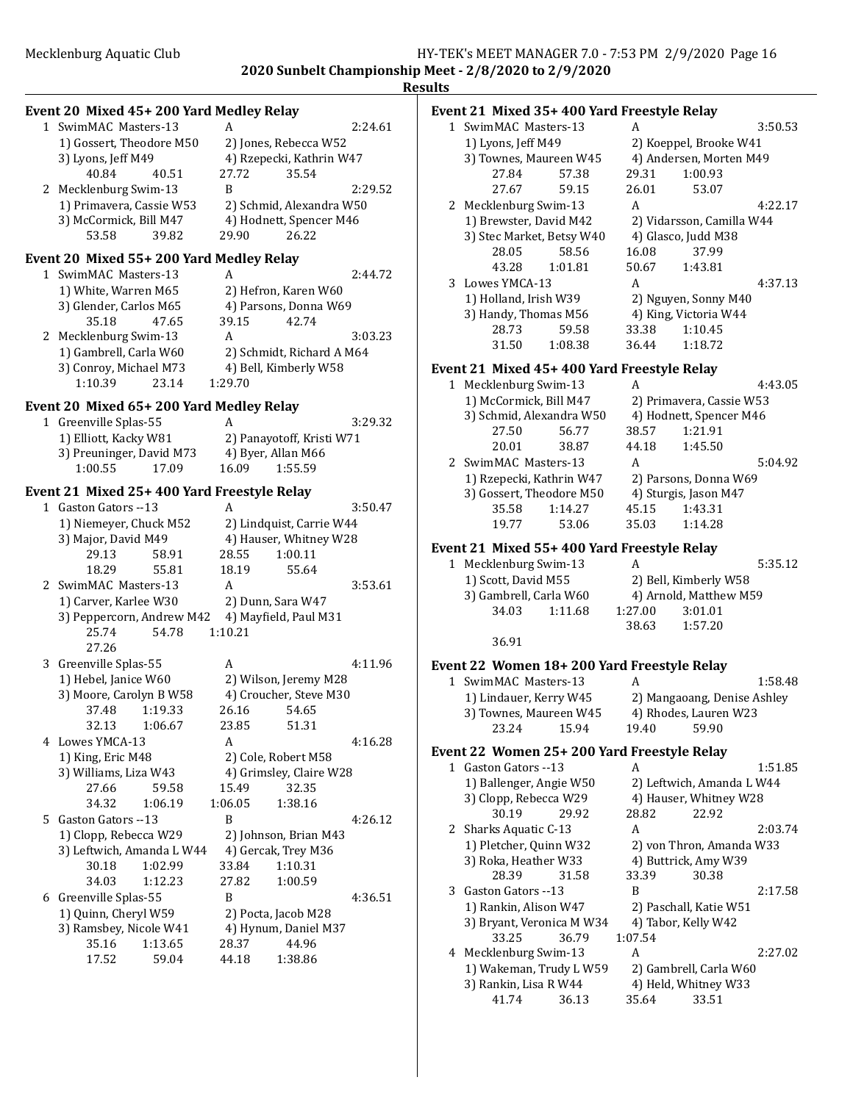### **Event 20 Mixed 45+ 200 Yard Medley Relay** 1 SwimMAC Masters-13 A 2:24.61 1) Gossert, Theodore M50 2) Jones, Rebecca W52 3) Lyons, Jeff M49 4) Rzepecki, Kathrin W47 40.84 40.51 27.72 35.54 2 Mecklenburg Swim-13 B 2:29.52 1) Primavera, Cassie W53 2) Schmid, Alexandra W50 3) McCormick, Bill M47 4) Hodnett, Spencer M46 53.58 39.82 29.90 26.22 **Event 20 Mixed 55+ 200 Yard Medley Relay** 1 SwimMAC Masters-13 A 2:44.72 1) White, Warren M65 2) Hefron, Karen W60 3) Glender, Carlos M65 4) Parsons, Donna W69<br>35.18 47.65 39.15 42.74 35.18 47.65 2 Mecklenburg Swim-13 A 3:03.23 1) Gambrell, Carla W60 2) Schmidt, Richard A M64 3) Conroy, Michael M73 4) Bell, Kimberly W58 1:10.39 23.14 1:29.70 **Event 20 Mixed 65+ 200 Yard Medley Relay** 1 Greenville Splas-55 A 3:29.32 1) Elliott, Kacky W81 2) Panayotoff, Kristi W71<br>3) Preuninger, David M73 4) Byer, Allan M66 3) Preuninger, David M73 4) By<br>1:00.55 17.09 16.09 1:00.55 17.09 16.09 1:55.59 Event 21 Mixed 25+ 400 Yard Freestyle Relay 1 Gaston Gators --13 A 3:50.47 1) Niemeyer, Chuck M52 2) Lindquist, Carrie W44 3) Major, David M49 4) Hauser, Whitney W28 29.13 58.91 28.55 1:00.11 18.29 55.81 18.19 55.64 2 SwimMAC Masters-13 A 3:53.61 1) Carver, Karlee W30 2) Dunn, Sara W47 3) Peppercorn, Andrew M42 4) Mayfield, Paul M31 25.74 54.78 1:10.21 27.26 3 Greenville Splas-55 A 4:11.96 1) Hebel, Janice W60 2) Wilson, Jeremy M28<br>3) Moore. Carolyn B W58 4) Croucher. Steve M30 3) Moore, Carolyn B W58 37.48 1:19.33 26.16 54.65 32.13 1:06.67 23.85 51.31 4 Lowes YMCA-13 A 4:16.28 1) King, Eric M48 2) Cole, Robert M58 3) Williams, Liza W43 4) Grimsley, Claire W28<br>27 66 59 58 15 49 32 35 27.66 59.58 15.49 32.35<br>34.32 1:06.19 1:06.05 1:38.16 34.32 1:06.19 1:06.05 5 Gaston Gators --13 B 4:26.12 1) Clopp, Rebecca W29 2) Johnson, Brian M43 3) Leftwich, Amanda L W44 4) Gercak, Trey M36 30.18 1:02.99 33.84 1:10.31 34.03 1:12.23 27.82 1:00.59 6 Greenville Splas-55 B 4:36.51 1) Quinn, Cheryl W59 2) Pocta, Jacob M28 3) Ramsbey, Nicole W41 4) Hynum, Daniel M37 35.16 1:13.65 28.37 44.96 17.52 59.04 44.18 1:38.86

### **Results** Event 21 Mixed 35+ 400 Yard Freestyle Relay 1 SwimMAC Masters-13 A 3:50.53 1) Lyons, Jeff M49 2) Koeppel, Brooke W41 3) Townes, Maureen W45 4) Andersen, Morten M49 27.84 57.38 29.31 1:00.93 27.67 59.15 26.01 53.07 2 Mecklenburg Swim-13 A 4:22.17 1) Brewster, David M42 2) Vidarsson, Camilla W44 3) Stec Market, Betsy W40 4) Glasco, Judd M38<br>28.05 58.56 16.08 37.99 58.56 16.08<br>1:01.81 50.67 43.28 1:01.81 50.67 1:43.81 3 Lowes YMCA-13 A 4:37.13 1) Holland, Irish W39 2) Nguyen, Sonny M40 3) Handy, Thomas M56 4) King, Victoria W44 28.73 59.58 33.38 1:10.45 31.50 1:08.38 36.44 1:18.72 Event 21 Mixed 45+ 400 Yard Freestyle Relay 1 Mecklenburg Swim-13 A 4:43.05 1) McCormick, Bill M47 2) Primavera, Cassie W53 3) Schmid, Alexandra W50 4) Hodnett, Spencer M46 27.50 56.77 38.57 1:21.91  $1:45.50$ 2 SwimMAC Masters-13 A 5:04.92 1) Rzepecki, Kathrin W47 2) Parsons, Donna W69 3) Gossert, Theodore M50 4) Sturgis, Jason M47 35.58 1:14.27 45.15 1:43.31 19.77 53.06 35.03 1:14.28 Event 21 Mixed 55+ 400 Yard Freestyle Relay 1 Mecklenburg Swim-13 A 5:35.12 1) Scott, David M55 2) Bell, Kimberly W58 3) Gambrell, Carla W60 4) Arnold, Matthew M59 34.03 1:11.68 1:27.00 3:01.01 38.63 1:57.20 36.91 Event 22 Women 18+ 200 Yard Freestyle Relay 1 SwimMAC Masters-13 A 1:58.48 1) Lindauer, Kerry W45 2) Mangaoang, Denise Ashley

### **Event 22 Women 25+ 200 Yard Freestyle Relay**

3) Townes, Maureen W45 4) Rhodes, Lauren W23 23.24 15.94 19.40 59.90

|   | ent 22 - Women 25+ 200 Tard Freestyle Relay |       |                           |                        |         |  |
|---|---------------------------------------------|-------|---------------------------|------------------------|---------|--|
| 1 | Gaston Gators --13                          |       | A                         |                        | 1:51.85 |  |
|   | 1) Ballenger, Angie W50                     |       | 2) Leftwich, Amanda L W44 |                        |         |  |
|   | 3) Clopp, Rebecca W29                       |       |                           | 4) Hauser, Whitney W28 |         |  |
|   | 30.19 29.92                                 |       | 28.82                     | 22.92                  |         |  |
|   | 2 Sharks Aquatic C-13                       |       | A                         |                        | 2:03.74 |  |
|   | 1) Pletcher, Quinn W32                      |       | 2) von Thron, Amanda W33  |                        |         |  |
|   | 3) Roka, Heather W33                        |       |                           | 4) Buttrick, Amy W39   |         |  |
|   | 28.39                                       | 31.58 | 33.39                     | 30.38                  |         |  |
| 3 | Gaston Gators --13                          |       | B                         |                        | 2:17.58 |  |
|   | 1) Rankin, Alison W47                       |       | 2) Paschall, Katie W51    |                        |         |  |
|   | 3) Bryant, Veronica M W34                   |       |                           | 4) Tabor, Kelly W42    |         |  |
|   | 33.25                                       | 36.79 | 1:07.54                   |                        |         |  |
|   | 4 Mecklenburg Swim-13                       |       | А                         |                        | 2:27.02 |  |
|   | 1) Wakeman, Trudy L W59                     |       |                           | 2) Gambrell, Carla W60 |         |  |
|   | 3) Rankin, Lisa R W44                       |       |                           | 4) Held, Whitney W33   |         |  |
|   | 41.74                                       | 36.13 | 35.64                     | 33.51                  |         |  |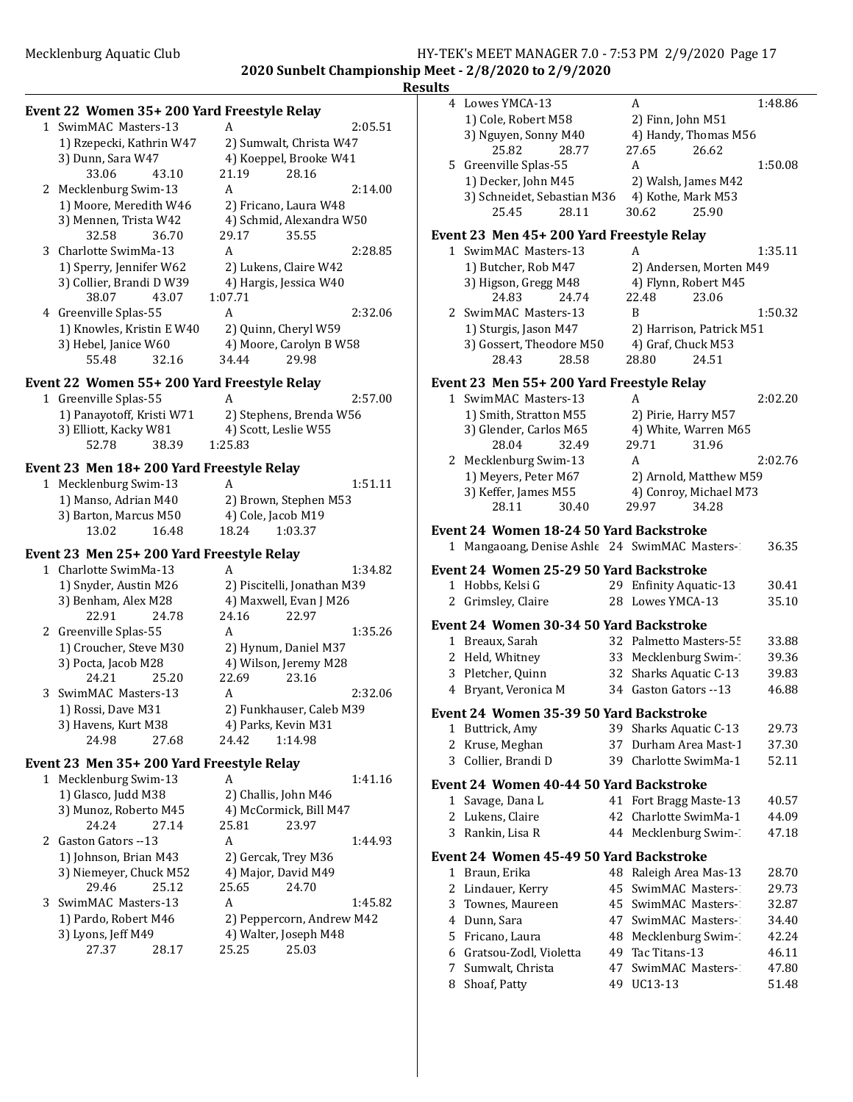### Mecklenburg Aquatic Club **HY-TEK's MEET MANAGER 7.0 - 7:53 PM 2/9/2020** Page 17 **2020 Sunbelt Championship Meet - 2/8/2020 to 2/9/2020**

### **Results**

|       | 1 SwimMAC Masters-13<br>1) Rzepecki, Kathrin W47<br>3) Dunn, Sara W47 |       | 2:05.51                  |
|-------|-----------------------------------------------------------------------|-------|--------------------------|
|       |                                                                       |       | 2) Sumwalt, Christa W47  |
|       |                                                                       |       | 4) Koeppel, Brooke W41   |
| 33.06 | 43.10                                                                 | 21.19 | 28.16                    |
|       | 2 Mecklenburg Swim-13                                                 | А     | 2:14.00                  |
|       | 1) Moore, Meredith W46<br>3) Mennen, Trista W42                       |       | 2) Fricano, Laura W48    |
|       |                                                                       |       | 4) Schmid, Alexandra W50 |
|       | 32.58<br>- 36.70                                                      | 29.17 | 3555                     |

Event 22 Women 35+ 200 Yard Freestyle Relay

|  | 3 Charlotte SwimMa-13                                                      |       | А       |                         | 2:28.85 |
|--|----------------------------------------------------------------------------|-------|---------|-------------------------|---------|
|  | 1) Sperry, Jennifer W62                                                    |       |         | 2) Lukens, Claire W42   |         |
|  | 3) Collier, Brandi D W39                                                   |       |         | 4) Hargis, Jessica W40  |         |
|  | 38.07                                                                      | 43.07 | 1:07.71 |                         |         |
|  | 4 Greenville Splas-55<br>1) Knowles, Kristin E W40<br>3) Hebel, Janice W60 |       | А       |                         | 2:32.06 |
|  |                                                                            |       |         | 2) Quinn, Cheryl W59    |         |
|  |                                                                            |       |         | 4) Moore, Carolyn B W58 |         |
|  | 55.48                                                                      | 32.16 | 34.44   | 29.98                   |         |

# **Event 22 Women 55+ 200 Yard Freestyle Relay**<br>1 Greenville Splas-55 A

| 1 Greenville Splas-55     |       | А                       | 2:57.00 |  |
|---------------------------|-------|-------------------------|---------|--|
| 1) Panayotoff, Kristi W71 |       | 2) Stephens, Brenda W56 |         |  |
| 3) Elliott, Kacky W81     |       | 4) Scott, Leslie W55    |         |  |
| 52.78                     | 38.39 | 1:25.83                 |         |  |

# **Event 23 Men 18+ 200 Yard Freestyle Relay**<br>1 Mecklenburg Swim-13 A

| 1 Mecklenburg Swim-13 |       | А     | 1:51.11               |  |
|-----------------------|-------|-------|-----------------------|--|
| 1) Manso, Adrian M40  |       |       | 2) Brown, Stephen M53 |  |
| 3) Barton, Marcus M50 |       |       | 4) Cole, Jacob M19    |  |
| 13.02                 | 16.48 | 18.24 | 1:03.37               |  |

### Event 23 Men 25+ 200 Yard Freestyle Relay

| 1 Charlotte SwimMa-13  |       | А                        |                             | 1:34.82 |  |
|------------------------|-------|--------------------------|-----------------------------|---------|--|
| 1) Snyder, Austin M26  |       |                          | 2) Piscitelli, Jonathan M39 |         |  |
| 3) Benham, Alex M28    |       |                          | 4) Maxwell, Evan J M26      |         |  |
| 22.91                  | 24.78 | 24.16                    | 22.97                       |         |  |
| 2 Greenville Splas-55  |       | A                        |                             | 1:35.26 |  |
| 1) Croucher, Steve M30 |       | 2) Hynum, Daniel M37     |                             |         |  |
| 3) Pocta, Jacob M28    |       | 4) Wilson, Jeremy M28    |                             |         |  |
| 24.21                  | 25.20 | 22.69                    | 23.16                       |         |  |
| 3 SwimMAC Masters-13   |       | A                        |                             | 2:32.06 |  |
| 1) Rossi, Dave M31     |       | 2) Funkhauser, Caleb M39 |                             |         |  |
| 3) Havens, Kurt M38    |       | 4) Parks, Kevin M31      |                             |         |  |
| 24.98                  | 27.68 | 24.42                    | 1:14.98                     |         |  |

### Event 23 Men 35+ 200 Yard Freestyle Relay

| 1 Mecklenburg Swim-13  |       | А                         |                       | 1:41.16 |
|------------------------|-------|---------------------------|-----------------------|---------|
| 1) Glasco, Judd M38    |       | 2) Challis, John M46      |                       |         |
| 3) Munoz, Roberto M45  |       | 4) McCormick, Bill M47    |                       |         |
| 24.24                  | 27.14 | 25.81                     | 23.97                 |         |
| 2 Gaston Gators --13   |       | A                         |                       | 1:44.93 |
| 1) Johnson, Brian M43  |       | 2) Gercak, Trey M36       |                       |         |
| 3) Niemeyer, Chuck M52 |       | 4) Major, David M49       |                       |         |
| 29.46                  | 25.12 | 25.65                     | 24.70                 |         |
| 3 SwimMAC Masters-13   |       | A                         |                       | 1:45.82 |
| 1) Pardo, Robert M46   |       | 2) Peppercorn, Andrew M42 |                       |         |
| 3) Lyons, Jeff M49     |       |                           | 4) Walter, Joseph M48 |         |
| 27.37                  | 28.17 | 25.25                     | 25.03                 |         |
|                        |       |                           |                       |         |

|              | 4 Lowes YMCA-13                                |    | A                          | 1:48.86 |
|--------------|------------------------------------------------|----|----------------------------|---------|
|              | 1) Cole, Robert M58                            |    | 2) Finn, John M51          |         |
|              | 3) Nguyen, Sonny M40                           |    | 4) Handy, Thomas M56       |         |
|              | 25.82<br>28.77                                 |    | 27.65<br>26.62             |         |
|              | 5 Greenville Splas-55                          |    | A                          | 1:50.08 |
|              | 1) Decker, John M45                            |    | 2) Walsh, James M42        |         |
|              | 3) Schneidet, Sebastian M36                    |    | 4) Kothe, Mark M53         |         |
|              | 25.45<br>28.11                                 |    | 30.62<br>25.90             |         |
|              | Event 23 Men 45+ 200 Yard Freestyle Relay      |    |                            |         |
|              | 1 SwimMAC Masters-13                           |    | A                          | 1:35.11 |
|              | 1) Butcher, Rob M47                            |    | 2) Andersen, Morten M49    |         |
|              | 3) Higson, Gregg M48                           |    | 4) Flynn, Robert M45       |         |
|              | 24.83<br>24.74                                 |    | 23.06<br>22.48             |         |
|              | 2 SwimMAC Masters-13                           |    | B                          | 1:50.32 |
|              | 1) Sturgis, Jason M47                          |    | 2) Harrison, Patrick M51   |         |
|              | 3) Gossert, Theodore M50                       |    | 4) Graf, Chuck M53         |         |
|              | 28.43<br>28.58                                 |    | 28.80<br>24.51             |         |
|              |                                                |    |                            |         |
|              | Event 23 Men 55+ 200 Yard Freestyle Relay      |    |                            |         |
|              | 1 SwimMAC Masters-13                           |    | A                          | 2:02.20 |
|              | 1) Smith, Stratton M55                         |    | 2) Pirie, Harry M57        |         |
|              | 3) Glender, Carlos M65                         |    | 4) White, Warren M65       |         |
|              | 28.04<br>32.49                                 |    | 29.71<br>31.96             |         |
|              | 2 Mecklenburg Swim-13                          |    | A                          | 2:02.76 |
|              | 1) Meyers, Peter M67                           |    | 2) Arnold, Matthew M59     |         |
|              | 3) Keffer, James M55                           |    | 4) Conroy, Michael M73     |         |
|              | 28.11<br>30.40                                 |    | 34.28<br>29.97             |         |
|              | Event 24  Women 18-24 50 Yard Backstroke       |    |                            |         |
|              | 1 Mangaoang, Denise Ashle 24 SwimMAC Masters-1 |    |                            | 36.35   |
|              | Event 24 Women 25-29 50 Yard Backstroke        |    |                            |         |
| $\mathbf{1}$ | Hobbs, Kelsi G                                 | 29 | <b>Enfinity Aquatic-13</b> | 30.41   |
| 2            | Grimsley, Claire                               | 28 | Lowes YMCA-13              | 35.10   |
|              |                                                |    |                            |         |
|              | Event 24  Women 30-34 50 Yard Backstroke       |    |                            |         |
|              | 1 Breaux, Sarah                                |    | 32 Palmetto Masters-55     | 33.88   |
|              | 2 Held, Whitney                                |    | 33 Mecklenburg Swim-       | 39.36   |
|              | 3 Pletcher, Quinn                              |    | 32 Sharks Aquatic C-13     | 39.83   |
|              | 4 Bryant, Veronica M                           |    | 34 Gaston Gators --13      | 46.88   |
|              | Event 24 Women 35-39 50 Yard Backstroke        |    |                            |         |
| 1            | Buttrick, Amy                                  | 39 | Sharks Aquatic C-13        | 29.73   |
| 2            | Kruse, Meghan                                  | 37 | Durham Area Mast-1         | 37.30   |
| 3            | Collier, Brandi D                              | 39 | Charlotte SwimMa-1         | 52.11   |
|              |                                                |    |                            |         |
|              | Event 24 Women 40-44 50 Yard Backstroke        |    |                            |         |
| 1            | Savage, Dana L                                 | 41 | Fort Bragg Maste-13        | 40.57   |
| 2            | Lukens, Claire                                 | 42 | Charlotte SwimMa-1         | 44.09   |
| 3            | Rankin, Lisa R                                 | 44 | Mecklenburg Swim-1         | 47.18   |
|              | Event 24  Women 45-49 50 Yard Backstroke       |    |                            |         |
|              | 1 Braun, Erika                                 |    | 48 Raleigh Area Mas-13     | 28.70   |
| 2            | Lindauer, Kerry                                | 45 | SwimMAC Masters-           | 29.73   |
| 3            | Townes, Maureen                                | 45 | SwimMAC Masters-           | 32.87   |
| 4            | Dunn, Sara                                     | 47 | SwimMAC Masters-           | 34.40   |
| 5            | Fricano, Laura                                 | 48 | Mecklenburg Swim-1         | 42.24   |
| 6            | Gratsou-Zodl, Violetta                         | 49 | Tac Titans-13              | 46.11   |
| 7            | Sumwalt, Christa                               | 47 | SwimMAC Masters-           | 47.80   |
|              | 8 Shoaf, Patty                                 |    | 49 UC13-13                 | 51.48   |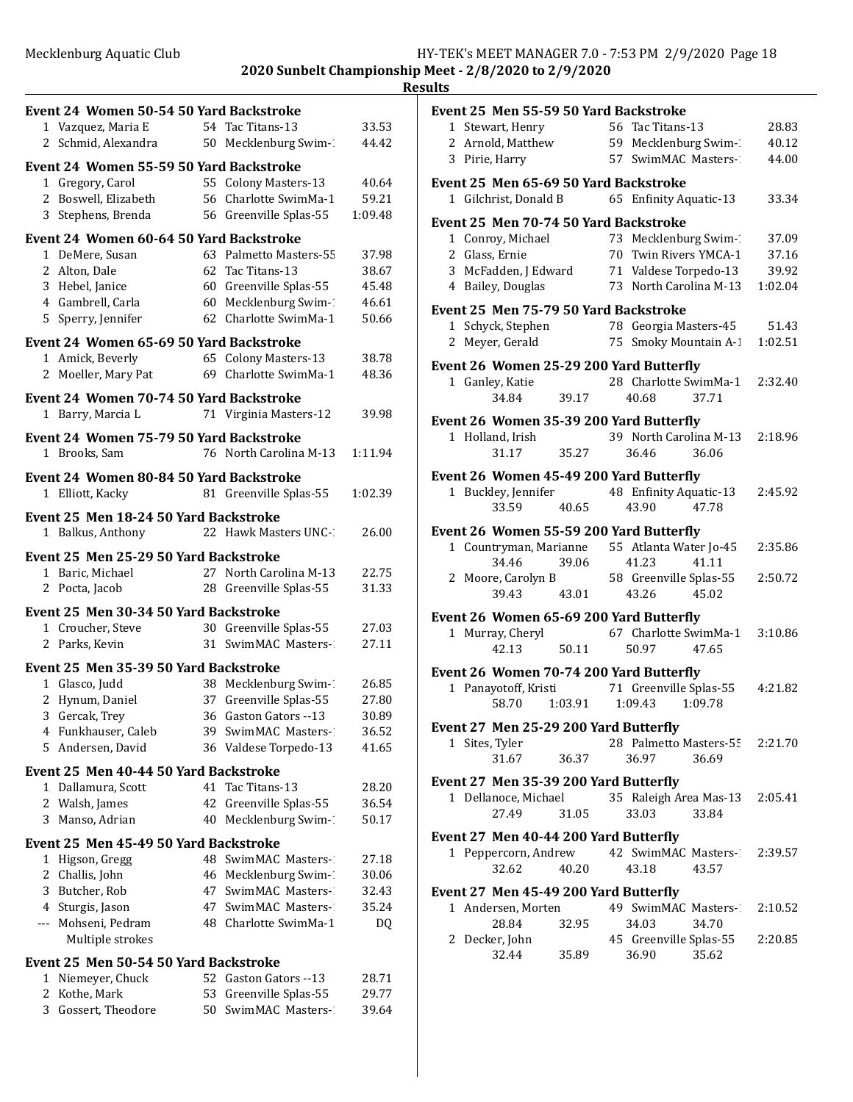## **Results**

|        | Event 24 Women 50-54 50 Yard Backstroke                     |          |                                                |                |
|--------|-------------------------------------------------------------|----------|------------------------------------------------|----------------|
|        | 1 Vazquez, Maria E                                          |          | 54 Tac Titans-13                               | 33.53          |
|        | 2 Schmid, Alexandra                                         |          | 50 Mecklenburg Swim-1                          | 44.42          |
|        | Event 24 Women 55-59 50 Yard Backstroke                     |          |                                                |                |
|        | 1 Gregory, Carol                                            |          | 55 Colony Masters-13                           | 40.64          |
|        | 2 Boswell, Elizabeth                                        |          | 56 Charlotte SwimMa-1                          | 59.21          |
|        | 3 Stephens, Brenda                                          |          | 56 Greenville Splas-55                         | 1:09.48        |
|        | Event 24 Women 60-64 50 Yard Backstroke                     |          |                                                |                |
|        | 1 DeMere, Susan                                             |          | 63 Palmetto Masters-55                         | 37.98          |
|        | 2 Alton, Dale                                               |          | 62 Tac Titans-13                               | 38.67          |
|        | 3 Hebel, Janice                                             |          | 60 Greenville Splas-55                         | 45.48          |
|        | 4 Gambrell, Carla                                           |          | 60 Mecklenburg Swim-1                          | 46.61          |
|        | 5 Sperry, Jennifer                                          |          | 62 Charlotte SwimMa-1                          | 50.66          |
|        | Event 24 Women 65-69 50 Yard Backstroke                     |          |                                                |                |
|        | 1 Amick, Beverly                                            |          | 65 Colony Masters-13                           | 38.78          |
|        | 2 Moeller, Mary Pat                                         | 69       | Charlotte SwimMa-1                             | 48.36          |
|        | <b>Event 24 Women 70-74 50 Yard Backstroke</b>              |          |                                                |                |
| 1      | Barry, Marcia L                                             |          | 71 Virginia Masters-12                         | 39.98          |
|        | Event 24 Women 75-79 50 Yard Backstroke                     |          |                                                |                |
|        | 1 Brooks, Sam                                               |          | 76 North Carolina M-13                         | 1:11.94        |
|        | Event 24 Women 80-84 50 Yard Backstroke                     |          |                                                |                |
|        | 1 Elliott, Kacky                                            |          | 81 Greenville Splas-55                         | 1:02.39        |
|        | <b>Event 25 Men 18-24 50 Yard Backstroke</b>                |          |                                                |                |
| 1      | Balkus, Anthony                                             |          | 22 Hawk Masters UNC-1                          | 26.00          |
|        |                                                             |          |                                                |                |
|        | Event 25 Men 25-29 50 Yard Backstroke<br>1 Baric, Michael   |          | 27 North Carolina M-13                         | 22.75          |
|        | 2 Pocta, Jacob                                              |          | 28 Greenville Splas-55                         | 31.33          |
|        |                                                             |          |                                                |                |
|        | Event 25 Men 30-34 50 Yard Backstroke                       |          |                                                |                |
|        | 1 Croucher, Steve<br>2 Parks, Kevin                         |          | 30 Greenville Splas-55<br>31 SwimMAC Masters-1 | 27.03<br>27.11 |
|        |                                                             |          |                                                |                |
|        | Event 25 Men 35-39 50 Yard Backstroke                       |          |                                                |                |
|        | 1 Glasco, Judd                                              |          | 38 Mecklenburg Swim-1                          | 26.85          |
| 2<br>3 | Hynum, Daniel                                               | 37<br>36 | Greenville Splas-55<br>Gaston Gators -- 13     | 27.80<br>30.89 |
|        | Gercak, Trey<br>4 Funkhauser, Caleb                         |          | 39 SwimMAC Masters-1                           | 36.52          |
| 5      | Andersen, David                                             |          | 36 Valdese Torpedo-13                          | 41.65          |
|        |                                                             |          |                                                |                |
|        | Event 25 Men 40-44 50 Yard Backstroke<br>1 Dallamura, Scott |          | 41 Tac Titans-13                               | 28.20          |
|        | 2 Walsh, James                                              | 42       | Greenville Splas-55                            | 36.54          |
| 3      | Manso, Adrian                                               | 40       | Mecklenburg Swim-1                             | 50.17          |
|        |                                                             |          |                                                |                |
| 1      | Event 25 Men 45-49 50 Yard Backstroke<br>Higson, Gregg      |          | 48 SwimMAC Masters-                            | 27.18          |
|        | 2 Challis, John                                             |          | 46 Mecklenburg Swim-1                          | 30.06          |
|        | 3 Butcher, Rob                                              |          | 47 SwimMAC Masters-                            | 32.43          |
|        | 4 Sturgis, Jason                                            |          | 47 SwimMAC Masters-                            | 35.24          |
|        | --- Mohseni, Pedram                                         |          | 48 Charlotte SwimMa-1                          | DQ             |
|        | Multiple strokes                                            |          |                                                |                |
|        | Event 25 Men 50-54 50 Yard Backstroke                       |          |                                                |                |
|        | 1 Niemeyer, Chuck                                           |          | 52 Gaston Gators --13                          | 28.71          |
| 2      | Kothe, Mark                                                 | 53       | Greenville Splas-55                            | 29.77          |
| 3      | Gossert, Theodore                                           | 50 -     | SwimMAC Masters-                               | 39.64          |
|        |                                                             |          |                                                |                |

|   | Event 25 Men 55-59 50 Yard Backstroke     |       |    |                           |                                |         |
|---|-------------------------------------------|-------|----|---------------------------|--------------------------------|---------|
|   | 1 Stewart, Henry                          |       |    | 56 Tac Titans-13          |                                | 28.83   |
|   | 2 Arnold, Matthew                         |       |    | 59 Mecklenburg Swim-1     |                                | 40.12   |
|   | 3 Pirie, Harry                            |       |    | 57 SwimMAC Masters-1      |                                | 44.00   |
|   |                                           |       |    |                           |                                |         |
|   | Event 25 Men 65-69 50 Yard Backstroke     |       |    |                           |                                |         |
|   | 1 Gilchrist, Donald B                     |       |    | 65 Enfinity Aquatic-13    |                                | 33.34   |
|   | Event 25 Men 70-74 50 Yard Backstroke     |       |    |                           |                                |         |
|   | 1 Conroy, Michael                         |       |    | 73 Mecklenburg Swim-1     |                                | 37.09   |
|   | 2 Glass, Ernie                            |       |    | 70 Twin Rivers YMCA-1     |                                | 37.16   |
|   | 3 McFadden, J Edward                      |       |    | 71 Valdese Torpedo-13     |                                | 39.92   |
|   | 4 Bailey, Douglas                         |       |    | 73 North Carolina M-13    |                                | 1:02.04 |
|   | Event 25 Men 75-79 50 Yard Backstroke     |       |    |                           |                                |         |
|   | 1 Schyck, Stephen                         |       |    | 78 Georgia Masters-45     |                                | 51.43   |
| 2 | Meyer, Gerald                             |       | 75 |                           | Smoky Mountain A-1             | 1:02.51 |
|   |                                           |       |    |                           |                                |         |
|   | Event 26 Women 25-29 200 Yard Butterfly   |       |    |                           |                                |         |
|   | 1 Ganley, Katie                           |       |    |                           | 28 Charlotte SwimMa-1          | 2:32.40 |
|   | 34.84                                     | 39.17 |    | 40.68                     | 37.71                          |         |
|   | Event 26 Women 35-39 200 Yard Butterfly   |       |    |                           |                                |         |
|   | 1 Holland, Irish                          |       |    |                           | 39 North Carolina M-13         | 2:18.96 |
|   | 31.17                                     | 35.27 |    | 36.46                     | 36.06                          |         |
|   |                                           |       |    |                           |                                |         |
|   | Event 26 Women 45-49 200 Yard Butterfly   |       |    | 48 Enfinity Aquatic-13    |                                | 2:45.92 |
|   | 1 Buckley, Jennifer                       |       |    |                           |                                |         |
|   | 33.59                                     | 40.65 |    | 43.90                     | 47.78                          |         |
|   | Event 26 Women 55-59 200 Yard Butterfly   |       |    |                           |                                |         |
|   | 1 Countryman, Marianne                    |       |    | 55 Atlanta Water Jo-45    |                                | 2:35.86 |
|   | 34.46                                     | 39.06 |    | 41.23                     | 41.11                          |         |
|   | 2 Moore, Carolyn B                        |       |    | 58 Greenville Splas-55    |                                | 2:50.72 |
|   | 39.43                                     | 43.01 |    | 43.26                     | 45.02                          |         |
|   | Event 26 Women 65-69 200 Yard Butterfly   |       |    |                           |                                |         |
|   | 1 Murray, Cheryl                          |       |    |                           | 67 Charlotte SwimMa-1 3:10.86  |         |
|   | 42.13                                     | 50.11 |    | 50.97                     | 47.65                          |         |
|   |                                           |       |    |                           |                                |         |
|   | Event 26 Women 70-74 200 Yard Butterfly   |       |    |                           |                                |         |
|   | 1 Panayotoff, Kristi                      |       |    | 71 Greenville Splas-55    |                                | 4:21.82 |
|   | 58.70                                     |       |    | 1:03.91  1:09.43  1:09.78 |                                |         |
|   | Event 27 Men 25-29 200 Yard Butterfly     |       |    |                           |                                |         |
|   | 1 Sites, Tyler                            |       |    |                           | 28 Palmetto Masters-55 2:21.70 |         |
|   | 31.67                                     | 36.37 |    | 36.97                     | 36.69                          |         |
|   | Event 27 Men 35-39 200 Yard Butterfly     |       |    |                           |                                |         |
|   | 1 Dellanoce, Michael                      |       |    |                           | 35 Raleigh Area Mas-13         | 2:05.41 |
|   | 27.49                                     | 31.05 |    | 33.03                     | 33.84                          |         |
|   |                                           |       |    |                           |                                |         |
|   | Event 27 Men 40-44 200 Yard Butterfly     |       |    |                           |                                |         |
|   | 1 Peppercorn, Andrew 42 SwimMAC Masters-2 |       |    |                           |                                | 2:39.57 |
|   | 32.62                                     | 40.20 |    | 43.18                     | 43.57                          |         |
|   | Event 27 Men 45-49 200 Yard Butterfly     |       |    |                           |                                |         |
|   | 1 Andersen, Morten                        |       |    |                           | 49 SwimMAC Masters-1           | 2:10.52 |
|   | 28.84                                     | 32.95 |    | 34.03                     | 34.70                          |         |
| 2 | Decker, John                              |       |    | 45 Greenville Splas-55    |                                | 2:20.85 |
|   | 32.44                                     | 35.89 |    | 36.90                     | 35.62                          |         |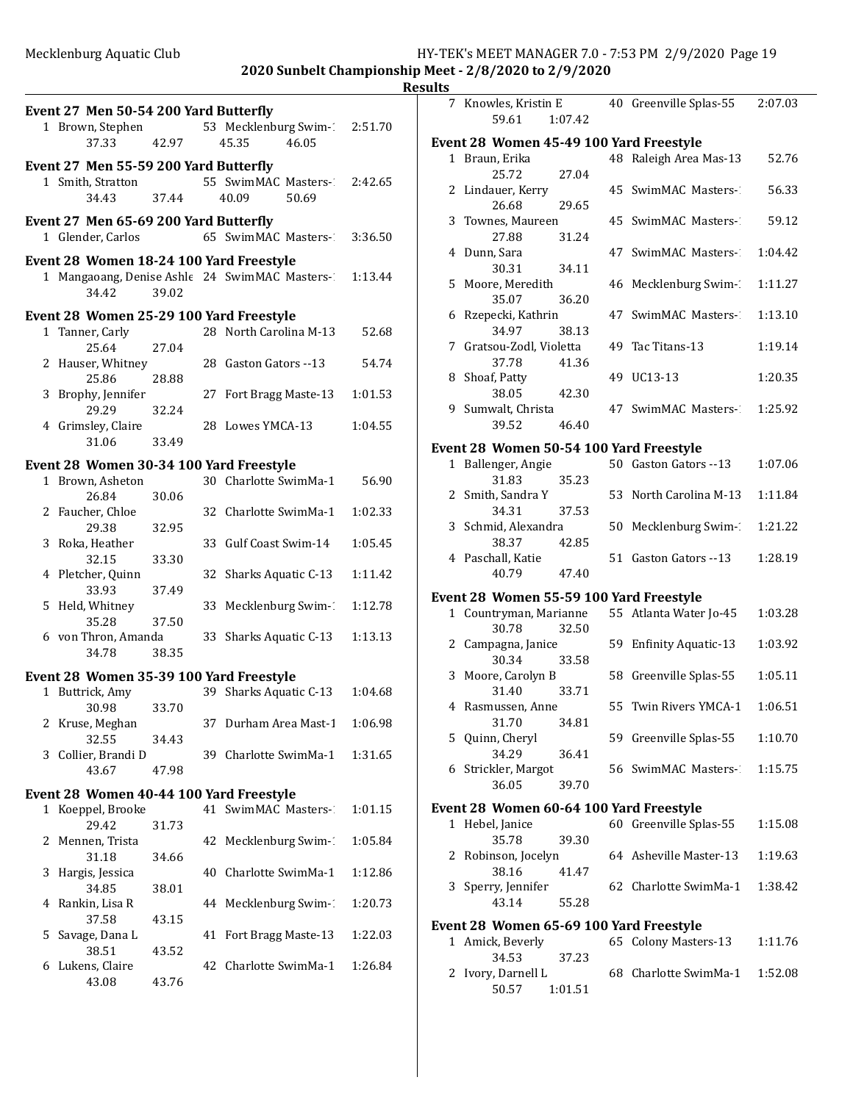| ı<br>Π | ١ |
|--------|---|
|        |   |

|   | Event 27 Men 50-54 200 Yard Butterfly<br>37.33                      | 42.97 |    | 1 Brown, Stephen 53 Mecklenburg Swim-1<br>45.35<br>46.05 | 2:51.70 |
|---|---------------------------------------------------------------------|-------|----|----------------------------------------------------------|---------|
|   | Event 27 Men 55-59 200 Yard Butterfly<br>1 Smith, Stratton<br>34.43 | 37.44 |    | 55 SwimMAC Masters-2:42.65<br>40.09<br>50.69             |         |
|   | Event 27 Men 65-69 200 Yard Butterfly<br>1 Glender, Carlos          |       |    | 65 SwimMAC Masters-23:36.50                              |         |
|   | Event 28 Women 18-24 100 Yard Freestyle<br>34.42                    | 39.02 |    | 1 Mangaoang, Denise Ashle 24 SwimMAC Masters-2           | 1:13.44 |
|   | Event 28 Women 25-29 100 Yard Freestyle                             |       |    |                                                          |         |
|   |                                                                     |       |    |                                                          |         |
|   | 1 Tanner, Carly<br>25.64                                            | 27.04 |    | 28 North Carolina M-13                                   | 52.68   |
|   | 2 Hauser, Whitney<br>25.86                                          | 28.88 |    | 28 Gaston Gators --13                                    | 54.74   |
|   | 3 Brophy, Jennifer<br>29.29                                         | 32.24 | 27 | Fort Bragg Maste-13                                      | 1:01.53 |
|   | 4 Grimsley, Claire<br>31.06                                         | 33.49 |    | 28 Lowes YMCA-13                                         | 1:04.55 |
|   |                                                                     |       |    |                                                          |         |
|   | Event 28 Women 30-34 100 Yard Freestyle                             |       |    |                                                          |         |
|   | 1 Brown, Asheton<br>26.84                                           | 30.06 |    | 30 Charlotte SwimMa-1                                    | 56.90   |
|   | 2 Faucher, Chloe<br>29.38                                           | 32.95 |    | 32 Charlotte SwimMa-1                                    | 1:02.33 |
|   | 3 Roka, Heather                                                     |       |    | 33 Gulf Coast Swim-14                                    | 1:05.45 |
|   | 32.15<br>4 Pletcher, Quinn                                          | 33.30 |    | 32 Sharks Aquatic C-13                                   | 1:11.42 |
|   | 33.93<br>5 Held, Whitney                                            | 37.49 |    | 33 Mecklenburg Swim-1                                    | 1:12.78 |
|   | 35.28<br>6 von Thron, Amanda                                        | 37.50 |    | 33 Sharks Aquatic C-13                                   | 1:13.13 |
|   | 34.78                                                               | 38.35 |    |                                                          |         |
|   | Event 28 Women 35-39 100 Yard Freestyle                             |       |    |                                                          |         |
| 1 | Buttrick, Amy<br>30.98                                              | 33.70 |    | 39 Sharks Aquatic C-13                                   | 1:04.68 |
|   | 2 Kruse, Meghan<br>32.55                                            | 34.43 |    | 37 Durham Area Mast-1                                    | 1:06.98 |
| 3 | Collier, Brandi D                                                   |       |    | 39 Charlotte SwimMa-1                                    | 1:31.65 |
|   | 43.67                                                               | 47.98 |    |                                                          |         |
|   | Event 28 Women 40-44 100 Yard Freestyle                             |       |    |                                                          |         |
| 1 | Koeppel, Brooke                                                     |       | 41 | SwimMAC Masters-1                                        | 1:01.15 |
|   | 29.42                                                               | 31.73 |    |                                                          |         |
| 2 | Mennen, Trista                                                      |       |    | 42 Mecklenburg Swim-1                                    | 1:05.84 |
| 3 | 31.18<br>Hargis, Jessica                                            | 34.66 | 40 | Charlotte SwimMa-1                                       | 1:12.86 |
| 4 | 34.85<br>Rankin, Lisa R                                             | 38.01 |    | 44 Mecklenburg Swim-1                                    | 1:20.73 |
|   | 37.58<br>5 Savage, Dana L                                           | 43.15 | 41 | Fort Bragg Maste-13                                      | 1:22.03 |
| 6 | 38.51<br>Lukens, Claire                                             | 43.52 |    | 42 Charlotte SwimMa-1                                    | 1:26.84 |
|   | 43.08                                                               | 43.76 |    |                                                          |         |

|              | 7 Knowles, Kristin E<br>59.61<br>1:07.42                |    | 40 Greenville Splas-55     | 2:07.03 |
|--------------|---------------------------------------------------------|----|----------------------------|---------|
|              |                                                         |    |                            |         |
| $\mathbf{1}$ | Event 28 Women 45-49 100 Yard Freestyle<br>Braun, Erika |    | 48 Raleigh Area Mas-13     | 52.76   |
|              | 27.04<br>25.72                                          |    |                            |         |
|              | 2 Lindauer, Kerry                                       |    | 45 SwimMAC Masters-        | 56.33   |
|              | 26.68<br>29.65                                          |    |                            |         |
|              | 3 Townes, Maureen                                       |    | 45 SwimMAC Masters-1       | 59.12   |
|              | 27.88<br>31.24                                          |    |                            |         |
|              | 4 Dunn, Sara                                            |    | 47 SwimMAC Masters-1       | 1:04.42 |
|              | 30.31<br>34.11                                          |    |                            |         |
|              | 5 Moore, Meredith                                       |    | 46 Mecklenburg Swim-1      | 1:11.27 |
|              | 35.07<br>36.20                                          |    |                            |         |
| 6            | Rzepecki, Kathrin                                       |    | 47 SwimMAC Masters-        | 1:13.10 |
|              | 34.97<br>38.13                                          |    |                            |         |
|              | 7 Gratsou-Zodl, Violetta                                |    | 49 Tac Titans-13           | 1:19.14 |
|              | 37.78<br>41.36                                          |    |                            |         |
|              | 8 Shoaf, Patty                                          |    | 49 UC13-13                 | 1:20.35 |
|              | 38.05<br>42.30                                          |    |                            |         |
|              | 9 Sumwalt, Christa<br>39.52<br>46.40                    |    | 47 SwimMAC Masters-        | 1:25.92 |
|              |                                                         |    |                            |         |
|              | Event 28 Women 50-54 100 Yard Freestyle                 |    |                            |         |
|              | 1 Ballenger, Angie                                      |    | 50 Gaston Gators --13      | 1:07.06 |
|              | 31.83<br>35.23                                          |    |                            |         |
|              | 2 Smith, Sandra Y<br>34.31<br>37.53                     |    | 53 North Carolina M-13     | 1:11.84 |
|              | 3 Schmid, Alexandra                                     | 50 | Mecklenburg Swim-1         | 1:21.22 |
|              | 38.37<br>42.85                                          |    |                            |         |
|              | 4 Paschall, Katie                                       |    | 51 Gaston Gators --13      | 1:28.19 |
|              | 40.79<br>47.40                                          |    |                            |         |
|              | Event 28 Women 55-59 100 Yard Freestyle                 |    |                            |         |
|              | 1 Countryman, Marianne                                  |    | 55 Atlanta Water Jo-45     | 1:03.28 |
|              | 32.50<br>30.78                                          |    |                            |         |
|              | 2 Campagna, Janice                                      | 59 | <b>Enfinity Aquatic-13</b> | 1:03.92 |
|              | 30.34<br>33.58                                          |    |                            |         |
| 3            | Moore, Carolyn B                                        |    | 58 Greenville Splas-55     | 1:05.11 |
|              | 31.40<br>33.71                                          |    |                            |         |
|              | 4 Rasmussen, Anne                                       |    | 55 Twin Rivers YMCA-1      | 1:06.51 |
|              | 31.70<br>34.81                                          |    |                            |         |
|              | 5 Quinn, Cheryl                                         |    | 59 Greenville Splas-55     | 1:10.70 |
|              | 34.29<br>36.41                                          |    |                            |         |
|              | 6 Strickler, Margot<br>36.05                            |    | 56 SwimMAC Masters-        | 1:15.75 |
|              | 39.70                                                   |    |                            |         |
|              | Event 28 Women 60-64 100 Yard Freestyle                 |    |                            |         |
|              | 1 Hebel, Janice                                         |    | 60 Greenville Splas-55     | 1:15.08 |
|              | 35.78<br>39.30                                          |    |                            |         |
| 2            | Robinson, Jocelyn<br>38.16<br>41.47                     |    | 64 Asheville Master-13     | 1:19.63 |
|              | 3 Sperry, Jennifer                                      |    | 62 Charlotte SwimMa-1      | 1:38.42 |
|              | 43.14<br>55.28                                          |    |                            |         |
|              |                                                         |    |                            |         |
|              | Event 28 Women 65-69 100 Yard Freestyle                 |    |                            |         |
|              | 1 Amick, Beverly<br>34.53<br>37.23                      |    | 65 Colony Masters-13       | 1:11.76 |
| 2            | Ivory, Darnell L                                        |    | 68 Charlotte SwimMa-1      | 1:52.08 |
|              | 50.57<br>1:01.51                                        |    |                            |         |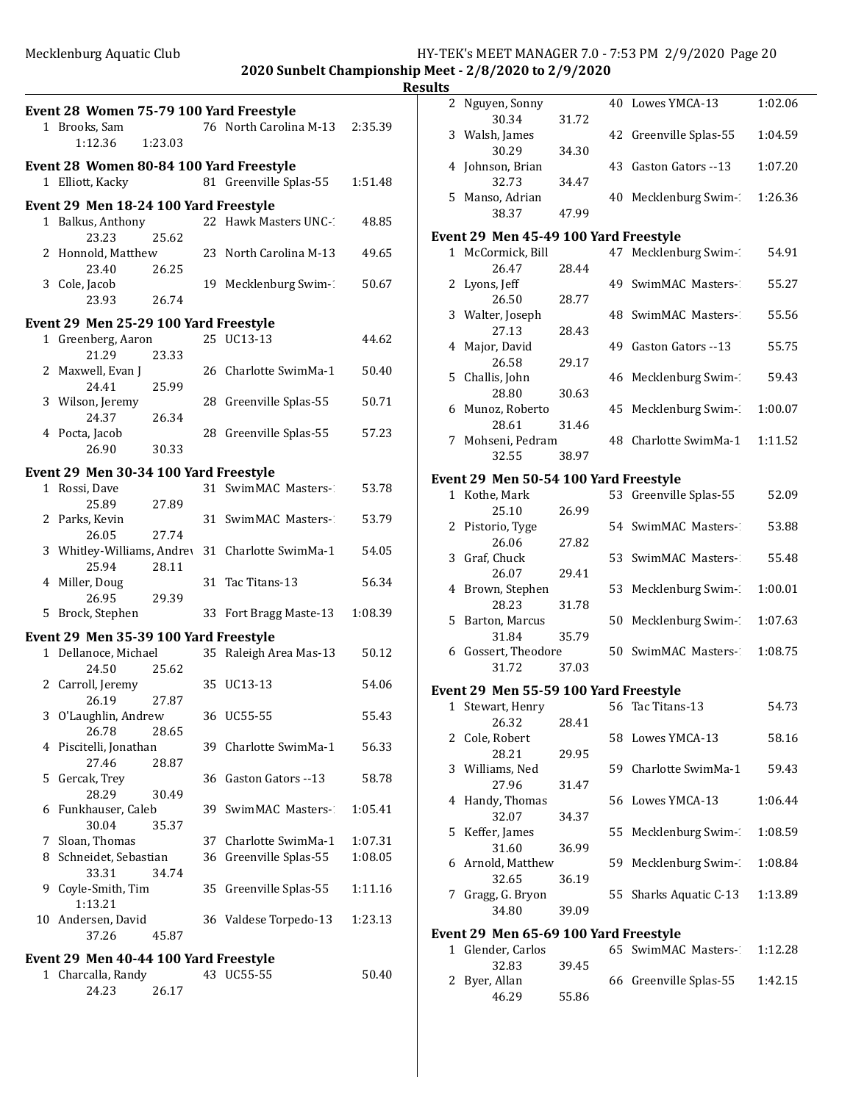**2020 Sunbelt Championship Meet - 2/8/2020 to 2/9/2020**

|    |                                                             |         |                                                  | I       |
|----|-------------------------------------------------------------|---------|--------------------------------------------------|---------|
|    | Event 28 Women 75-79 100 Yard Freestyle<br>1 Brooks, Sam    |         | 76 North Carolina M-13                           | 2:35.39 |
|    | 1:12.36                                                     | 1:23.03 |                                                  |         |
|    | Event 28 Women 80-84 100 Yard Freestyle<br>1 Elliott, Kacky |         | 81 Greenville Splas-55                           | 1:51.48 |
|    | Event 29 Men 18-24 100 Yard Freestyle                       |         |                                                  |         |
|    | 1 Balkus, Anthony<br>23.23                                  | 25.62   | 22 Hawk Masters UNC-1                            | 48.85   |
|    | 2 Honnold, Matthew<br>23.40                                 | 26.25   | 23 North Carolina M-13                           | 49.65   |
|    | 3 Cole, Jacob<br>23.93                                      | 26.74   | 19 Mecklenburg Swim-1                            | 50.67   |
|    | Event 29 Men 25-29 100 Yard Freestyle                       |         |                                                  |         |
|    | 1 Greenberg, Aaron                                          |         | 25 UC13-13                                       | 44.62   |
|    | 21.29<br>2 Maxwell, Evan J                                  | 23.33   | 26 Charlotte SwimMa-1                            | 50.40   |
|    | 24.41                                                       | 25.99   |                                                  |         |
|    | 3 Wilson, Jeremy<br>24.37                                   | 26.34   | 28 Greenville Splas-55                           | 50.71   |
|    | 4 Pocta, Jacob<br>26.90                                     | 30.33   | 28 Greenville Splas-55                           | 57.23   |
|    | Event 29 Men 30-34 100 Yard Freestyle                       |         |                                                  |         |
|    | 1 Rossi, Dave<br>25.89                                      | 27.89   | 31 SwimMAC Masters-1                             | 53.78   |
|    | 2 Parks, Kevin<br>26.05                                     | 27.74   | 31 SwimMAC Masters-1                             | 53.79   |
|    | 25.94                                                       | 28.11   | 3 Whitley-Williams, Andrey 31 Charlotte SwimMa-1 | 54.05   |
|    | 4 Miller, Doug<br>26.95                                     | 29.39   | 31 Tac Titans-13                                 | 56.34   |
| 5. | Brock, Stephen                                              |         | 33 Fort Bragg Maste-13                           | 1:08.39 |
|    | Event 29 Men 35-39 100 Yard Freestyle                       |         |                                                  |         |
|    | 1 Dellanoce, Michael<br>24.50                               | 25.62   | 35 Raleigh Area Mas-13                           | 50.12   |
|    | 2 Carroll, Jeremy<br>26.19                                  | 27.87   | 35 UC13-13                                       | 54.06   |
|    | 3 O'Laughlin, Andrew<br>26.78                               | 28.65   | 36 UC55-55                                       | 55.43   |
| 4  | Piscitelli, Jonathan<br>27.46                               | 28.87   | 39 Charlotte SwimMa-1                            | 56.33   |
| 5  | Gercak, Trey<br>28.29                                       | 30.49   | 36 Gaston Gators --13                            | 58.78   |
| 6  | Funkhauser, Caleb<br>30.04                                  | 35.37   | 39 SwimMAC Masters-1                             | 1:05.41 |
|    | 7 Sloan, Thomas                                             |         | 37 Charlotte SwimMa-1                            | 1:07.31 |
| 8  | Schneidet, Sebastian                                        | 34.74   | 36 Greenville Splas-55                           | 1:08.05 |
| 9  | 33.31<br>Coyle-Smith, Tim                                   |         | 35 Greenville Splas-55                           | 1:11.16 |
| 10 | 1:13.21<br>Andersen, David<br>37.26                         | 45.87   | 36 Valdese Torpedo-13                            | 1:23.13 |
|    |                                                             |         |                                                  |         |
|    | Event 29 Men 40-44 100 Yard Freestyle                       |         |                                                  |         |
|    | 1 Charcalla, Randy<br>24.23                                 | 26.17   | 43 UC55-55                                       | 50.40   |

26.17

| Results |                                       |       |                        |         |
|---------|---------------------------------------|-------|------------------------|---------|
|         | 2 Nguyen, Sonny<br>30.34              | 31.72 | 40 Lowes YMCA-13       | 1:02.06 |
|         | 3 Walsh, James                        |       | 42 Greenville Splas-55 | 1:04.59 |
|         | 30.29<br>4 Johnson, Brian             | 34.30 | 43 Gaston Gators --13  | 1:07.20 |
|         | 32.73                                 | 34.47 |                        |         |
|         | 5 Manso, Adrian<br>38.37              | 47.99 | 40 Mecklenburg Swim-1  | 1:26.36 |
|         | Event 29 Men 45-49 100 Yard Freestyle |       |                        |         |
|         | 1 McCormick, Bill                     |       | 47 Mecklenburg Swim-   | 54.91   |
|         | 26.47                                 | 28.44 |                        |         |
|         | 2 Lyons, Jeff                         |       | 49 SwimMAC Masters-    | 55.27   |
|         | 26.50<br>3 Walter, Joseph             | 28.77 | 48 SwimMAC Masters-    | 55.56   |
|         | 27.13                                 | 28.43 |                        |         |
|         | 4 Major, David                        |       | 49 Gaston Gators --13  | 55.75   |
|         | 26.58                                 | 29.17 |                        |         |
|         | 5 Challis, John                       |       | 46 Mecklenburg Swim-1  | 59.43   |
|         | 28.80                                 | 30.63 |                        |         |
|         | 6 Munoz, Roberto<br>28.61             | 31.46 | 45 Mecklenburg Swim-   | 1:00.07 |
|         | 7 Mohseni, Pedram                     |       | 48 Charlotte SwimMa-1  | 1:11.52 |
|         | 32.55                                 | 38.97 |                        |         |
|         | Event 29 Men 50-54 100 Yard Freestyle |       |                        |         |
|         | 1 Kothe, Mark                         |       | 53 Greenville Splas-55 | 52.09   |
|         | 25.10                                 | 26.99 |                        |         |
|         | 2 Pistorio, Tyge                      |       | 54 SwimMAC Masters-    | 53.88   |
|         | 26.06                                 | 27.82 |                        |         |
|         | 3 Graf, Chuck<br>26.07                | 29.41 | 53 SwimMAC Masters-    | 55.48   |
|         | 4 Brown, Stephen                      |       | 53 Mecklenburg Swim-1  | 1:00.01 |
|         | 28.23                                 | 31.78 |                        |         |
|         | 5 Barton, Marcus<br>31.84             | 35.79 | 50 Mecklenburg Swim-1  | 1:07.63 |
|         | 6 Gossert, Theodore                   |       | 50 SwimMAC Masters-    | 1:08.75 |
|         | 31.72                                 | 37.03 |                        |         |
|         | Event 29 Men 55-59 100 Yard Freestyle |       |                        |         |
|         | 1 Stewart, Henry 56 Tac Titans-13     |       |                        | 54.73   |
|         | 26.32                                 | 28.41 |                        |         |
|         | 2 Cole, Robert                        |       | 58 Lowes YMCA-13       | 58.16   |
|         | 28.21                                 | 29.95 |                        |         |
|         | 3 Williams, Ned<br>27.96              | 31.47 | 59 Charlotte SwimMa-1  | 59.43   |
|         | 4 Handy, Thomas                       |       | 56 Lowes YMCA-13       | 1:06.44 |
|         | 32.07                                 | 34.37 |                        |         |
|         | 5 Keffer, James                       |       | 55 Mecklenburg Swim-1  | 1:08.59 |
|         | 31.60                                 | 36.99 |                        |         |
|         | 6 Arnold, Matthew<br>32.65            | 36.19 | 59 Mecklenburg Swim-1  | 1:08.84 |
|         | 7 Gragg, G. Bryon                     |       | 55 Sharks Aquatic C-13 | 1:13.89 |
|         | 34.80                                 | 39.09 |                        |         |
|         | Event 29 Men 65-69 100 Yard Freestyle |       |                        |         |
|         | 1 Glender, Carlos                     |       | 65 SwimMAC Masters-    | 1:12.28 |
|         | 32.83                                 | 39.45 |                        |         |
|         | 2 Byer, Allan                         |       | 66 Greenville Splas-55 | 1:42.15 |

46.29 55.86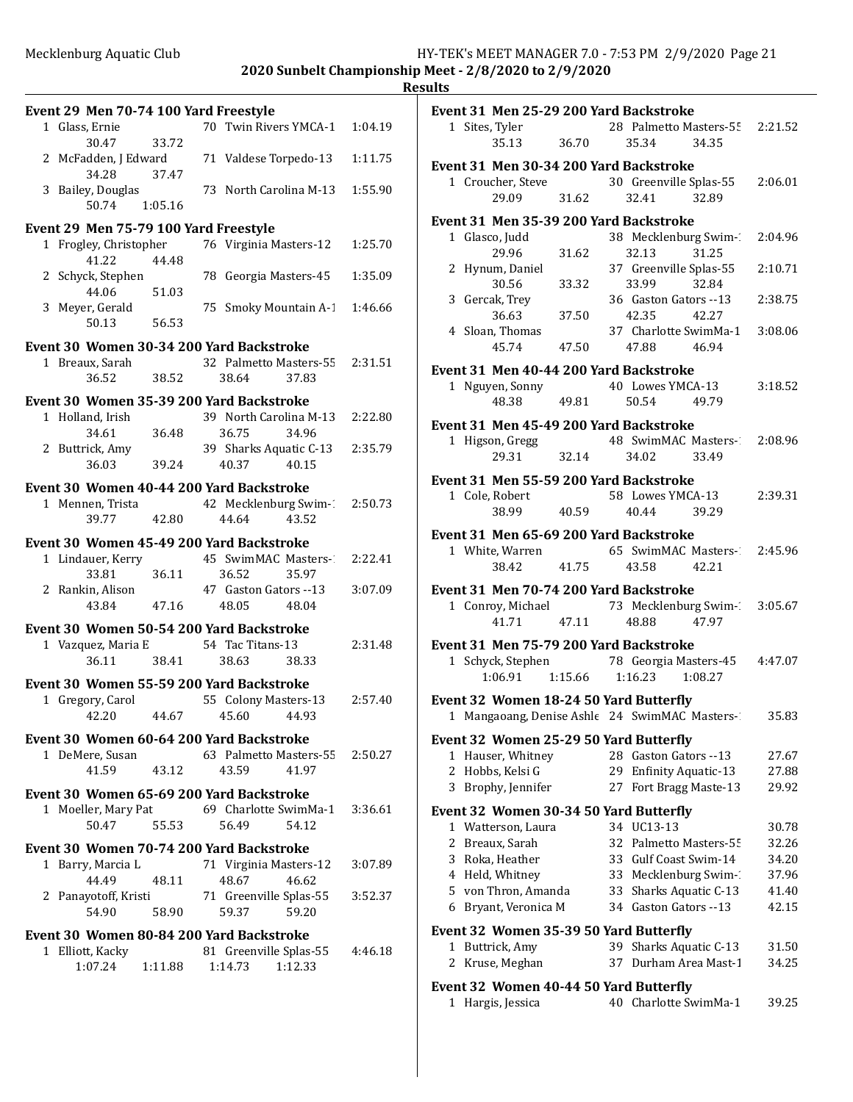|   | Event 29 Men 70-74 100 Yard Freestyle |         |                                              |         |
|---|---------------------------------------|---------|----------------------------------------------|---------|
|   | 1 Glass, Ernie                        |         | 70 Twin Rivers YMCA-1                        | 1:04.19 |
|   | 30.47                                 | 33.72   |                                              |         |
|   | 2 McFadden, J Edward                  |         | 71 Valdese Torpedo-13                        | 1:11.75 |
|   | 34.28                                 | 37.47   | 73 North Carolina M-13                       | 1:55.90 |
|   | 3 Bailey, Douglas<br>50.74            | 1:05.16 |                                              |         |
|   |                                       |         |                                              |         |
|   | Event 29 Men 75-79 100 Yard Freestyle |         | 76 Virginia Masters-12                       |         |
|   | 1 Frogley, Christopher<br>41.22       | 44.48   |                                              | 1:25.70 |
|   | 2 Schyck, Stephen                     |         | 78 Georgia Masters-45                        | 1:35.09 |
|   | 44.06                                 | 51.03   |                                              |         |
|   | 3 Meyer, Gerald                       |         | 75 Smoky Mountain A-1                        | 1:46.66 |
|   | 50.13                                 | 56.53   |                                              |         |
|   |                                       |         | Event 30 Women 30-34 200 Yard Backstroke     |         |
|   | 1 Breaux, Sarah                       |         | 32 Palmetto Masters-55                       | 2:31.51 |
|   | 36.52                                 | 38.52   | 38.64<br>37.83                               |         |
|   |                                       |         | Event 30 Women 35-39 200 Yard Backstroke     |         |
|   | 1 Holland, Irish                      |         | 39 North Carolina M-13                       | 2:22.80 |
|   | 34.61                                 | 36.48   | 36.75<br>34.96                               |         |
|   | 2 Buttrick, Amy                       |         | 39 Sharks Aquatic C-13                       | 2:35.79 |
|   | 36.03                                 | 39.24   | 40.15<br>40.37                               |         |
|   |                                       |         | Event 30 Women 40-44 200 Yard Backstroke     |         |
|   | 1 Mennen, Trista                      |         | 42 Mecklenburg Swim-1                        | 2:50.73 |
|   | 39.77                                 | 42.80   | 43.52<br>44.64                               |         |
|   |                                       |         | Event 30 Women 45-49 200 Yard Backstroke     |         |
|   | 1 Lindauer, Kerry                     |         | 45 SwimMAC Masters-1                         | 2:22.41 |
|   |                                       |         |                                              |         |
|   | 33.81                                 | 36.11   | 36.52<br>35.97                               |         |
|   | 2 Rankin, Alison                      |         | 47 Gaston Gators --13                        | 3:07.09 |
|   | 43.84                                 | 47.16   | 48.05<br>48.04                               |         |
|   |                                       |         | Event 30 Women 50-54 200 Yard Backstroke     |         |
|   | 1 Vazquez, Maria E                    |         | 54 Tac Titans-13                             | 2:31.48 |
|   | 36.11                                 | 38.41   | 38.63<br>38.33                               |         |
|   |                                       |         | Event 30 Women 55-59 200 Yard Backstroke     |         |
| 1 | Gregory, Carol                        |         | 55 Colony Masters-13                         | 2:57.40 |
|   | 42.20                                 | 44.67   | 45.60<br>44.93                               |         |
|   |                                       |         | Event 30 Women 60-64 200 Yard Backstroke     |         |
|   | 1 DeMere, Susan                       |         | 63 Palmetto Masters-55                       | 2:50.27 |
|   | 41.59                                 | 43.12   | 43.59<br>41.97                               |         |
|   |                                       |         | Event 30 Women 65-69 200 Yard Backstroke     |         |
|   | 1 Moeller, Mary Pat                   |         | 69 Charlotte SwimMa-1                        | 3:36.61 |
|   | 50.47                                 | 55.53   | 56.49<br>54.12                               |         |
|   |                                       |         | Event 30 Women 70-74 200 Yard Backstroke     |         |
|   | 1 Barry, Marcia L                     |         | 71 Virginia Masters-12                       | 3:07.89 |
|   | 44.49                                 | 48.11   | 48.67<br>46.62                               |         |
|   | 2 Panayotoff, Kristi                  |         | 71 Greenville Splas-55                       | 3:52.37 |
|   | 54.90                                 | 58.90   | 59.37<br>59.20                               |         |
|   |                                       |         | Event 30 Women 80-84 200 Yard Backstroke     |         |
|   | 1 Elliott, Kacky<br>1:07.24           | 1:11.88 | 81 Greenville Splas-55<br>1:12.33<br>1:14.73 | 4:46.18 |

| Event 31 Men 25-29 200 Yard Backstroke                     |                 |    |                                |         |         |
|------------------------------------------------------------|-----------------|----|--------------------------------|---------|---------|
| 1 Sites, Tyler                                             |                 |    | 28 Palmetto Masters-55 2:21.52 |         |         |
| 35.13                                                      | 36.70           |    | 35.34                          | 34.35   |         |
| Event 31 Men 30-34 200 Yard Backstroke                     |                 |    |                                |         |         |
| 1 Croucher, Steve                                          |                 |    | 30 Greenville Splas-55         |         | 2:06.01 |
| 29.09                                                      | 31.62           |    | 32.41                          | 32.89   |         |
| Event 31 Men 35-39 200 Yard Backstroke                     |                 |    |                                |         |         |
| 1 Glasco, Judd                                             |                 |    | 38 Mecklenburg Swim-           |         | 2:04.96 |
| 29.96                                                      | 31.62           |    | 32.13                          | 31.25   |         |
| 2 Hynum, Daniel                                            |                 |    | 37 Greenville Splas-55         |         | 2:10.71 |
| 30.56                                                      | 33.32           |    | 33.99                          | 32.84   |         |
| 3 Gercak, Trey                                             |                 |    | 36 Gaston Gators --13          |         | 2:38.75 |
| 36.63                                                      | 37.50           |    | 42.35                          | 42.27   |         |
| 4 Sloan, Thomas<br>45.74                                   | 47.50           |    | 37 Charlotte SwimMa-1 3:08.06  |         |         |
|                                                            |                 |    | 47.88                          | 46.94   |         |
| Event 31 Men 40-44 200 Yard Backstroke                     |                 |    |                                |         |         |
| 1 Nguyen, Sonny                                            |                 |    | 40 Lowes YMCA-13               |         | 3:18.52 |
| 48.38                                                      | 49.81           |    | 50.54                          | 49.79   |         |
| Event 31 Men 45-49 200 Yard Backstroke                     |                 |    |                                |         |         |
| 1 Higson, Gregg                                            |                 |    | 48 SwimMAC Masters- 2:08.96    |         |         |
| 29.31                                                      | 32.14           |    | 34.02                          | 33.49   |         |
| Event 31 Men 55-59 200 Yard Backstroke                     |                 |    |                                |         |         |
| 1 Cole, Robert                                             |                 |    | 58 Lowes YMCA-13               |         | 2:39.31 |
| 38.99                                                      | 40.59           |    | 40.44                          | 39.29   |         |
| Event 31 Men 65-69 200 Yard Backstroke                     |                 |    |                                |         |         |
| 1 White, Warren                                            |                 |    | 65 SwimMAC Masters-2:45.96     |         |         |
| 38.42                                                      | 41.75           |    | 43.58                          | 42.21   |         |
| Event 31 Men 70-74 200 Yard Backstroke                     |                 |    |                                |         |         |
| 1 Conroy, Michael 73 Mecklenburg Swim-2 3:05.67            |                 |    |                                |         |         |
| 41.71                                                      | 47.11           |    | 48.88                          | 47.97   |         |
|                                                            |                 |    |                                |         |         |
| Event 31 Men 75-79 200 Yard Backstroke                     |                 |    |                                |         |         |
| 1 Schyck, Stephen 78 Georgia Masters-45 4:47.07<br>1:06.91 | 1:15.66 1:16.23 |    |                                | 1:08.27 |         |
|                                                            |                 |    |                                |         |         |
| Event 32 Women 18-24 50 Yard Butterfly                     |                 |    |                                |         |         |
| 1 Mangaoang, Denise Ashle 24 SwimMAC Masters-235.83        |                 |    |                                |         |         |
| Event 32 Women 25-29 50 Yard Butterfly                     |                 |    |                                |         |         |
| 1 Hauser, Whitney                                          |                 |    | 28 Gaston Gators --13          |         | 27.67   |
| 2 Hobbs, Kelsi G                                           |                 |    | 29 Enfinity Aquatic-13         |         | 27.88   |
| 3 Brophy, Jennifer                                         |                 |    | 27 Fort Bragg Maste-13         |         | 29.92   |
| Event 32 Women 30-34 50 Yard Butterfly                     |                 |    |                                |         |         |
| 1 Watterson, Laura                                         |                 |    | 34 UC13-13                     |         | 30.78   |
| 2 Breaux, Sarah                                            |                 |    | 32 Palmetto Masters-55         |         | 32.26   |
| 3 Roka, Heather                                            |                 |    | 33 Gulf Coast Swim-14          |         | 34.20   |
| 4 Held, Whitney                                            |                 |    | 33 Mecklenburg Swim-1          |         | 37.96   |
| 5 von Thron, Amanda                                        |                 |    | 33 Sharks Aquatic C-13         |         | 41.40   |
| 6 Bryant, Veronica M                                       |                 |    | 34 Gaston Gators --13          |         | 42.15   |
| Event 32 Women 35-39 50 Yard Butterfly                     |                 |    |                                |         |         |
| 1 Buttrick, Amy                                            |                 |    | 39 Sharks Aquatic C-13         |         | 31.50   |
| 2 Kruse, Meghan                                            |                 | 37 | Durham Area Mast-1             |         | 34.25   |
|                                                            |                 |    |                                |         |         |
| Event 32 Women 40-44 50 Yard Butterfly                     |                 |    |                                |         |         |

1 Hargis, Jessica 40 Charlotte SwimMa-1 39.25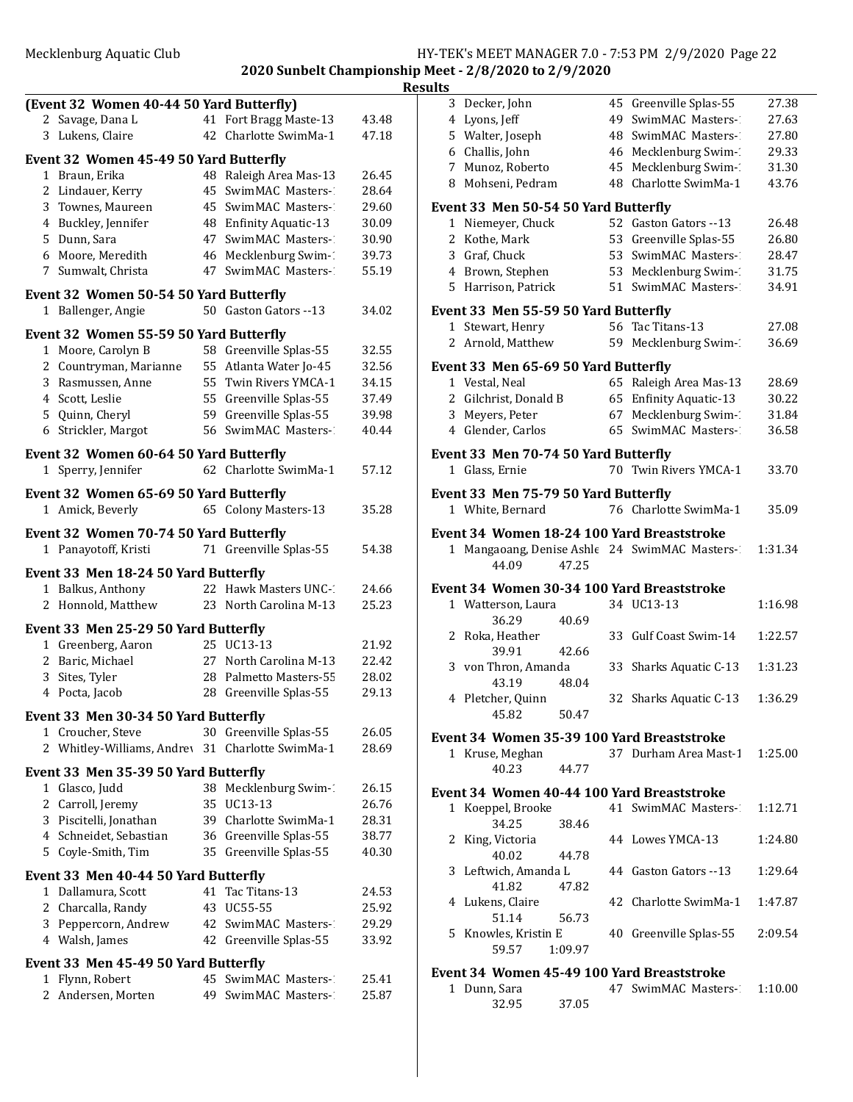**2020 Sunbelt Championship Meet - 2/8/2020 to 2/9/2020**

|   | (Event 32 Women 40-44 50 Yard Butterfly)                   |    |                                                 |                |
|---|------------------------------------------------------------|----|-------------------------------------------------|----------------|
|   | 2 Savage, Dana L                                           | 41 | Fort Bragg Maste-13                             | 43.48          |
|   | 3 Lukens, Claire                                           | 42 | Charlotte SwimMa-1                              | 47.18          |
|   | Event 32 Women 45-49 50 Yard Butterfly                     |    |                                                 |                |
|   | 1 Braun, Erika                                             |    | 48 Raleigh Area Mas-13                          | 26.45          |
|   | 2 Lindauer, Kerry                                          | 45 | SwimMAC Masters-1                               | 28.64          |
|   | 3 Townes, Maureen                                          |    | 45 SwimMAC Masters-1                            | 29.60          |
|   | 4 Buckley, Jennifer                                        |    | 48 Enfinity Aquatic-13                          | 30.09          |
|   | 5 Dunn, Sara                                               | 47 | SwimMAC Masters-1                               | 30.90          |
|   | 6 Moore, Meredith                                          |    | 46 Mecklenburg Swim-1                           | 39.73          |
|   | 7 Sumwalt, Christa                                         |    | 47 SwimMAC Masters-                             | 55.19          |
|   | Event 32 Women 50-54 50 Yard Butterfly                     |    |                                                 |                |
|   | 1 Ballenger, Angie                                         |    | 50 Gaston Gators --13                           | 34.02          |
|   |                                                            |    |                                                 |                |
|   | Event 32 Women 55-59 50 Yard Butterfly                     |    |                                                 |                |
|   | 1 Moore, Carolyn B                                         |    | 58 Greenville Splas-55                          | 32.55          |
|   | 2 Countryman, Marianne                                     |    | 55 Atlanta Water Jo-45<br>55 Twin Rivers YMCA-1 | 32.56<br>34.15 |
|   | 3 Rasmussen, Anne<br>4 Scott, Leslie                       |    | 55 Greenville Splas-55                          | 37.49          |
|   | 5 Quinn, Cheryl                                            |    | 59 Greenville Splas-55                          | 39.98          |
|   | 6 Strickler, Margot                                        |    | 56 SwimMAC Masters-1                            | 40.44          |
|   |                                                            |    |                                                 |                |
|   | Event 32 Women 60-64 50 Yard Butterfly                     |    |                                                 |                |
|   | 1 Sperry, Jennifer                                         |    | 62 Charlotte SwimMa-1                           | 57.12          |
|   | Event 32 Women 65-69 50 Yard Butterfly                     |    |                                                 |                |
|   | 1 Amick, Beverly                                           |    | 65 Colony Masters-13                            | 35.28          |
|   | Event 32 Women 70-74 50 Yard Butterfly                     |    |                                                 |                |
|   | 1 Panayotoff, Kristi                                       |    | 71 Greenville Splas-55                          | 54.38          |
|   |                                                            |    |                                                 |                |
|   | Event 33 Men 18-24 50 Yard Butterfly                       |    |                                                 |                |
|   | 1 Balkus, Anthony                                          |    | 22 Hawk Masters UNC-1                           | 24.66          |
|   | 2 Honnold, Matthew                                         |    | 23 North Carolina M-13                          | 25.23          |
|   | Event 33 Men 25-29 50 Yard Butterfly                       |    |                                                 |                |
|   | 1 Greenberg, Aaron                                         |    | 25 UC13-13                                      | 21.92          |
|   | 2 Baric, Michael                                           |    | 27 North Carolina M-13                          | 22.42          |
|   | 3 Sites, Tyler                                             | 28 | Palmetto Masters-55                             | 28.02          |
|   | 4 Pocta, Jacob                                             |    | 28 Greenville Splas-55                          | 29.13          |
|   | Event 33 Men 30-34 50 Yard Butterfly                       |    |                                                 |                |
|   | 1 Croucher, Steve                                          | 30 | Greenville Splas-55                             | 26.05          |
| 2 | Whitley-Williams, Andrey 31                                |    | Charlotte SwimMa-1                              | 28.69          |
|   | Event 33 Men 35-39 50 Yard Butterfly                       |    |                                                 |                |
|   | 1 Glasco, Judd                                             |    | 38 Mecklenburg Swim-1                           | 26.15          |
|   | 2 Carroll, Jeremy                                          | 35 | UC13-13                                         | 26.76          |
|   | 3 Piscitelli, Jonathan                                     |    | 39 Charlotte SwimMa-1                           | 28.31          |
|   | 4 Schneidet, Sebastian                                     |    | 36 Greenville Splas-55                          | 38.77          |
|   | 5 Coyle-Smith, Tim                                         | 35 | Greenville Splas-55                             | 40.30          |
|   |                                                            |    |                                                 |                |
|   | Event 33 Men 40-44 50 Yard Butterfly<br>1 Dallamura, Scott | 41 | Tac Titans-13                                   | 24.53          |
|   | 2 Charcalla, Randy                                         | 43 | UC55-55                                         | 25.92          |
|   | 3 Peppercorn, Andrew                                       | 42 | SwimMAC Masters-1                               | 29.29          |
|   | 4 Walsh, James                                             | 42 | Greenville Splas-55                             | 33.92          |
|   |                                                            |    |                                                 |                |
|   | Event 33 Men 45-49 50 Yard Butterfly                       |    |                                                 |                |
|   | 1 Flynn, Robert                                            |    | 45 SwimMAC Masters-<br>49 SwimMAC Masters-      | 25.41          |
| 2 | Andersen, Morten                                           |    |                                                 | 25.87          |
|   |                                                            |    |                                                 |                |

| Results |                                          |         |                                                                   |                |
|---------|------------------------------------------|---------|-------------------------------------------------------------------|----------------|
|         | 3 Decker, John                           |         | 45 Greenville Splas-55                                            | 27.38          |
|         | 4 Lyons, Jeff                            |         | 49 SwimMAC Masters-1                                              | 27.63          |
|         | 5 Walter, Joseph                         |         | 48 SwimMAC Masters-                                               | 27.80          |
|         | 6 Challis, John                          |         | 46 Mecklenburg Swim-                                              | 29.33          |
|         | 7 Munoz, Roberto<br>8 Mohseni, Pedram    |         | 45 Mecklenburg Swim-1<br>48 Charlotte SwimMa-1                    | 31.30<br>43.76 |
|         |                                          |         |                                                                   |                |
|         | Event 33 Men 50-54 50 Yard Butterfly     |         |                                                                   |                |
|         | 1 Niemeyer, Chuck                        |         | 52 Gaston Gators -- 13                                            | 26.48          |
|         | 2 Kothe, Mark<br>3 Graf, Chuck           |         | 53 Greenville Splas-55<br>53 SwimMAC Masters-1                    | 26.80<br>28.47 |
|         | 4 Brown, Stephen                         |         | 53 Mecklenburg Swim-1                                             | 31.75          |
|         | 5 Harrison, Patrick                      |         | 51 SwimMAC Masters-1                                              | 34.91          |
|         |                                          |         |                                                                   |                |
|         | Event 33 Men 55-59 50 Yard Butterfly     |         | 56 Tac Titans-13                                                  |                |
|         | 1 Stewart, Henry<br>2 Arnold, Matthew    |         | 59 Mecklenburg Swim-1                                             | 27.08<br>36.69 |
|         |                                          |         |                                                                   |                |
|         | Event 33 Men 65-69 50 Yard Butterfly     |         |                                                                   |                |
|         | 1 Vestal, Neal                           |         | 65 Raleigh Area Mas-13                                            | 28.69<br>30.22 |
|         | 2 Gilchrist, Donald B<br>3 Meyers, Peter |         | 65 Enfinity Aquatic-13<br>67 Mecklenburg Swim-1                   | 31.84          |
|         | 4 Glender, Carlos                        |         | 65 SwimMAC Masters-1                                              | 36.58          |
|         |                                          |         |                                                                   |                |
|         | Event 33 Men 70-74 50 Yard Butterfly     |         | 70 Twin Rivers YMCA-1                                             |                |
|         | 1 Glass, Ernie                           |         |                                                                   | 33.70          |
|         | Event 33 Men 75-79 50 Yard Butterfly     |         |                                                                   |                |
|         | 1 White, Bernard                         |         | 76 Charlotte SwimMa-1                                             | 35.09          |
|         |                                          |         | Event 34 Women 18-24 100 Yard Breaststroke                        |                |
|         |                                          |         | 1 Mangaoang, Denise Ashle 24 SwimMAC Masters-2                    | 1:31.34        |
|         | 44.09                                    | 47.25   |                                                                   |                |
|         |                                          |         | Event 34 Women 30-34 100 Yard Breaststroke                        |                |
|         | 1 Watterson, Laura                       |         | 34 UC13-13                                                        | 1:16.98        |
|         | 36.29                                    | 40.69   |                                                                   |                |
|         | 2 Roka, Heather                          |         | 33 Gulf Coast Swim-14                                             | 1:22.57        |
|         | 39.91<br>3 von Thron, Amanda             | 42.66   | 33 Sharks Aquatic C-13                                            | 1:31.23        |
|         | 43.19                                    | 48.04   |                                                                   |                |
|         | 4 Pletcher, Quinn                        |         | 32 Sharks Aquatic C-13                                            | 1:36.29        |
|         | 45.82                                    | 50.47   |                                                                   |                |
|         |                                          |         | Event 34 Women 35-39 100 Yard Breaststroke                        |                |
|         | 1 Kruse, Meghan                          |         | 37 Durham Area Mast-1                                             | 1:25.00        |
|         | 40.23                                    | 44.77   |                                                                   |                |
|         |                                          |         | Event 34 Women 40-44 100 Yard Breaststroke                        |                |
|         | 1 Koeppel, Brooke                        |         | 41 SwimMAC Masters-                                               | 1:12.71        |
|         | 34.25                                    | 38.46   |                                                                   |                |
|         | 2 King, Victoria                         |         | 44 Lowes YMCA-13                                                  | 1:24.80        |
|         | 40.02                                    | 44.78   |                                                                   |                |
|         | 3 Leftwich, Amanda L                     |         | 44 Gaston Gators --13                                             | 1:29.64        |
|         | 41.82                                    | 47.82   |                                                                   |                |
|         | 4 Lukens, Claire<br>51.14                | 56.73   | 42 Charlotte SwimMa-1                                             | 1:47.87        |
|         | 5 Knowles, Kristin E                     |         | 40 Greenville Splas-55                                            | 2:09.54        |
|         | 59.57                                    | 1:09.97 |                                                                   |                |
|         |                                          |         |                                                                   |                |
|         | 1 Dunn, Sara                             |         | Event 34 Women 45-49 100 Yard Breaststroke<br>47 SwimMAC Masters- | 1:10.00        |
|         | 32.95                                    | 37.05   |                                                                   |                |
|         |                                          |         |                                                                   |                |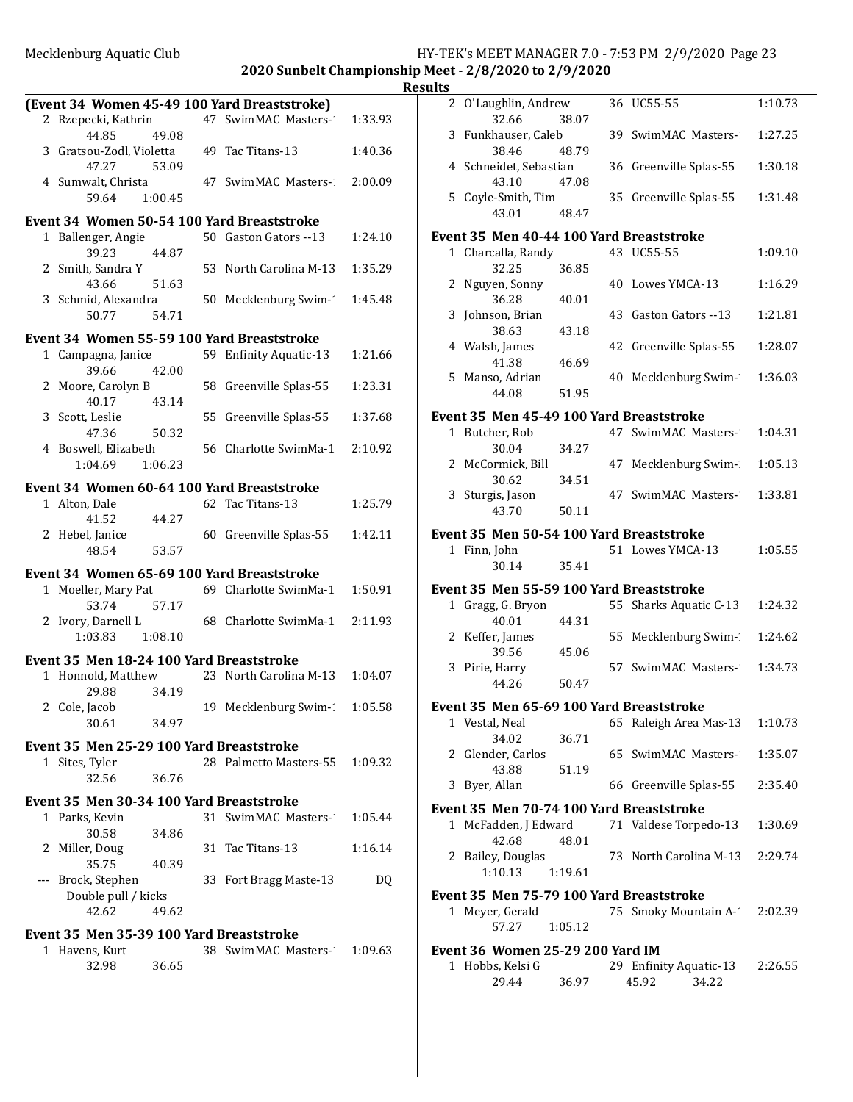**2020 Sunbelt Championship Meet - 2/8/2020 to 2/9/2020** 

|                                                                     |                |                                               |         | <b>Result</b> |
|---------------------------------------------------------------------|----------------|-----------------------------------------------|---------|---------------|
|                                                                     |                | (Event 34 Women 45-49 100 Yard Breaststroke)  |         |               |
| 2 Rzepecki, Kathrin<br>44.85                                        | 49.08          | 47 SwimMAC Masters-1                          | 1:33.93 |               |
| 3 Gratsou-Zodl, Violetta 49 Tac Titans-13<br>47.27 53.09            |                |                                               | 1:40.36 |               |
| 59.64                                                               | 1:00.45        | 4 Sumwalt, Christa 47 SwimMAC Masters-2:00.09 |         |               |
|                                                                     |                | Event 34 Women 50-54 100 Yard Breaststroke    |         |               |
| 1 Ballenger, Angie                                                  |                | 50 Gaston Gators --13                         | 1:24.10 | E             |
| 39.23<br>2 Smith, Sandra Y<br>43.66                                 | 44.87          | 53 North Carolina M-13                        | 1:35.29 |               |
| 3 Schmid, Alexandra<br>50.77                                        | 51.63<br>54.71 | 50 Mecklenburg Swim-1                         | 1:45.48 |               |
|                                                                     |                |                                               |         |               |
|                                                                     |                | Event 34 Women 55-59 100 Yard Breaststroke    |         |               |
| 1 Campagna, Janice<br>39.66                                         | 42.00          | 59 Enfinity Aquatic-13                        | 1:21.66 |               |
| 2 Moore, Carolyn B<br>40.17                                         | 43.14          | 58 Greenville Splas-55                        | 1:23.31 |               |
| 3 Scott, Leslie<br>47.36                                            | 50.32          | 55 Greenville Splas-55                        | 1:37.68 | E             |
| 1:04.69                                                             | 1:06.23        | 4 Boswell, Elizabeth 56 Charlotte SwimMa-1    | 2:10.92 |               |
|                                                                     |                | Event 34 Women 60-64 100 Yard Breaststroke    |         |               |
| 1 Alton, Dale<br>41.52                                              | 44.27          | 62 Tac Titans-13                              | 1:25.79 |               |
| 2 Hebel, Janice<br>48.54                                            | 53.57          | 60 Greenville Splas-55                        | 1:42.11 | E             |
|                                                                     |                | Event 34 Women 65-69 100 Yard Breaststroke    |         |               |
| 1 Moeller, Mary Pat<br>53.74                                        | 57.17          | 69 Charlotte SwimMa-1 1:50.91                 |         | Е             |
| 2 Ivory, Darnell L<br>1:03.83 1:08.10                               |                | 68 Charlotte SwimMa-1 2:11.93                 |         |               |
|                                                                     |                |                                               |         |               |
| Event 35 Men 18-24 100 Yard Breaststroke<br>1 Honnold, Matthew      |                | 23 North Carolina M-13 1:04.07                |         |               |
| 29.88                                                               | 34.19          | 19 Mecklenburg Swim-1                         | 1:05.58 | F             |
| 2 Cole, Jacob<br>30.61                                              | 34.97          |                                               |         |               |
| Event 35 Men 25-29 100 Yard Breaststroke                            |                |                                               |         |               |
| 1 Sites, Tyler<br>32.56                                             | 36.76          | 28 Palmetto Masters-55 1:09.32                |         |               |
| Event 35 Men 30-34 100 Yard Breaststroke                            |                |                                               |         |               |
| 1 Parks, Kevin<br>30.58                                             | 34.86          | 31 SwimMAC Masters-2                          | 1:05.44 | E             |
| 2 Miller, Doug<br>35.75                                             | 40.39          | 31 Tac Titans-13                              | 1:16.14 |               |
| --- Brock, Stephen<br>Double pull / kicks<br>42.62                  | 49.62          | 33 Fort Bragg Maste-13                        | DQ      | E             |
|                                                                     |                |                                               |         |               |
| Event 35 Men 35-39 100 Yard Breaststroke<br>1 Havens, Kurt<br>32.98 | 36.65          | 38 SwimMAC Masters- 1:09.63                   |         | E             |
|                                                                     |                |                                               |         |               |

| ılts |                                          |    |                                          |         |
|------|------------------------------------------|----|------------------------------------------|---------|
|      | 2 O'Laughlin, Andrew<br>32.66<br>38.07   |    | 36 UC55-55                               | 1:10.73 |
|      | 3 Funkhauser, Caleb<br>38.46<br>48.79    |    | 39 SwimMAC Masters-                      | 1:27.25 |
|      | 4 Schneidet, Sebastian<br>43.10<br>47.08 |    | 36 Greenville Splas-55                   | 1:30.18 |
|      | 5 Coyle-Smith, Tim<br>43.01<br>48.47     |    | 35 Greenville Splas-55                   | 1:31.48 |
|      | Event 35 Men 40-44 100 Yard Breaststroke |    |                                          |         |
|      | 1 Charcalla, Randy<br>32.25<br>36.85     |    | 43 UC55-55                               | 1:09.10 |
|      | 2 Nguyen, Sonny<br>36.28<br>40.01        |    | 40 Lowes YMCA-13                         | 1:16.29 |
| 3    | Johnson, Brian<br>38.63<br>43.18         |    | 43 Gaston Gators --13                    | 1:21.81 |
|      | 4 Walsh, James<br>41.38<br>46.69         |    | 42 Greenville Splas-55                   | 1:28.07 |
| 5.   | Manso, Adrian<br>44.08<br>51.95          | 40 | Mecklenburg Swim-1                       | 1:36.03 |
|      |                                          |    |                                          |         |
|      | Event 35 Men 45-49 100 Yard Breaststroke |    |                                          |         |
|      | 1 Butcher, Rob<br>30.04<br>34.27         |    | 47 SwimMAC Masters-1                     | 1:04.31 |
|      | 2 McCormick, Bill<br>30.62<br>34.51      |    | 47 Mecklenburg Swim-1                    | 1:05.13 |
|      | 3 Sturgis, Jason<br>43.70<br>50.11       |    | 47 SwimMAC Masters-                      | 1:33.81 |
|      | Event 35 Men 50-54 100 Yard Breaststroke |    |                                          |         |
|      | 1 Finn, John<br>30.14<br>35.41           |    | 51 Lowes YMCA-13                         | 1:05.55 |
|      | Event 35 Men 55-59 100 Yard Breaststroke |    |                                          |         |
|      | 1 Gragg, G. Bryon                        |    | 55 Sharks Aquatic C-13                   | 1:24.32 |
|      | 40.01<br>44.31<br>2 Keffer, James        |    | 55 Mecklenburg Swim-1                    | 1:24.62 |
|      | 39.56<br>45.06<br>3 Pirie, Harry         |    | 57 SwimMAC Masters-                      | 1:34.73 |
|      | 44.26<br>50.47                           |    |                                          |         |
|      | Event 35 Men 65-69 100 Yard Breaststroke |    |                                          |         |
|      | 1 Vestal, Neal<br>34.02<br>36.71         |    | 65 Raleigh Area Mas-13                   | 1:10.73 |
|      | 2 Glender, Carlos<br>51.19<br>43.88      |    | 65 SwimMAC Masters-                      | 1:35.07 |
| 3    | Byer, Allan                              |    | 66 Greenville Splas-55                   | 2:35.40 |
|      | Event 35 Men 70-74 100 Yard Breaststroke |    |                                          |         |
|      | 1 McFadden, J Edward<br>42.68<br>48.01   |    | 71 Valdese Torpedo-13                    | 1:30.69 |
|      | 2 Bailey, Douglas<br>1:10.13<br>1:19.61  |    | 73 North Carolina M-13                   | 2:29.74 |
|      |                                          |    |                                          |         |
|      | Event 35 Men 75-79 100 Yard Breaststroke |    |                                          |         |
|      | 1 Meyer, Gerald<br>57.27<br>1:05.12      |    | 75 Smoky Mountain A-1                    | 2:02.39 |
|      | Event 36 Women 25-29 200 Yard IM         |    |                                          |         |
|      | 1 Hobbs, Kelsi G<br>29.44<br>36.97       |    | 29 Enfinity Aquatic-13<br>45.92<br>34.22 | 2:26.55 |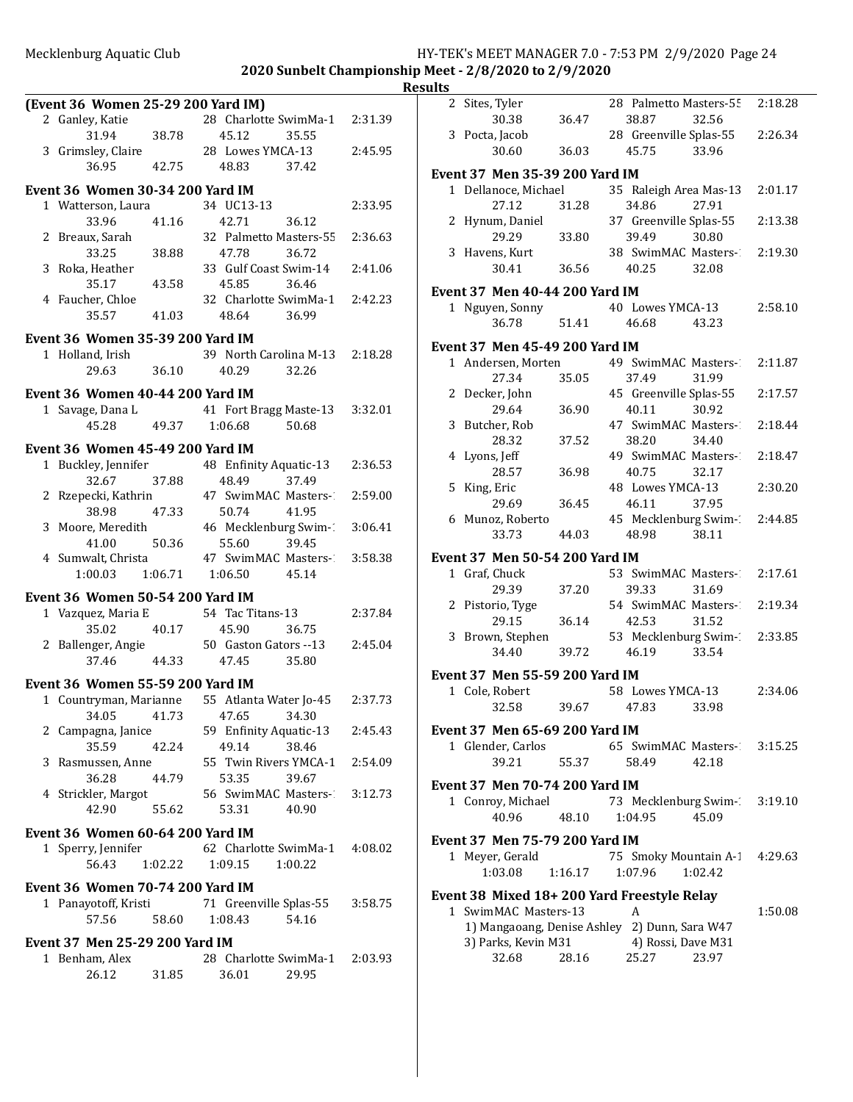|                                         |                                               |         | <b>Results</b> |
|-----------------------------------------|-----------------------------------------------|---------|----------------|
| (Event 36 Women 25-29 200 Yard IM)      |                                               |         |                |
| 2 Ganley, Katie                         | 28 Charlotte SwimMa-1 2:31.39                 |         |                |
| 38.78<br>31.94                          | 45.12<br>35.55                                |         |                |
|                                         | 3 Grimsley, Claire 28 Lowes YMCA-13           | 2:45.95 |                |
| 36.95<br>42.75                          | 48.83<br>37.42                                |         | Eve            |
| Event 36 Women 30-34 200 Yard IM        |                                               |         |                |
| 1 Watterson, Laura                      | 34 UC13-13                                    | 2:33.95 |                |
| 41.16<br>33.96                          | 42.71<br>36.12                                |         |                |
| 2 Breaux, Sarah                         | 32 Palmetto Masters-55                        | 2:36.63 |                |
| 33.25<br>38.88                          | 47.78<br>36.72                                |         |                |
| 3 Roka, Heather                         | 33 Gulf Coast Swim-14                         | 2:41.06 |                |
| 43.58<br>35.17                          | 45.85<br>36.46                                |         |                |
| 4 Faucher, Chloe                        | 32 Charlotte SwimMa-1 2:42.23                 |         | Eve            |
| 35.57<br>41.03                          | 48.64<br>36.99                                |         |                |
|                                         |                                               |         |                |
| Event 36 Women 35-39 200 Yard IM        |                                               |         | Eve            |
| 1 Holland, Irish                        | 39 North Carolina M-13 2:18.28                |         |                |
| 29.63<br>36.10                          | 40.29<br>32.26                                |         |                |
| Event 36 Women 40-44 200 Yard IM        |                                               |         |                |
| 1 Savage, Dana L                        | 41 Fort Bragg Maste-13                        | 3:32.01 |                |
| 45.28                                   | 49.37 1:06.68<br>50.68                        |         |                |
|                                         |                                               |         |                |
| Event 36 Women 45-49 200 Yard IM        |                                               |         |                |
| 1 Buckley, Jennifer                     | 48 Enfinity Aquatic-13                        | 2:36.53 |                |
| 37.88<br>32.67                          | 48.49<br>37.49                                |         |                |
| 2 Rzepecki, Kathrin                     | 47 SwimMAC Masters-1                          | 2:59.00 |                |
| 47.33<br>38.98                          | 50.74<br>41.95                                |         |                |
| 3 Moore, Meredith                       | 46 Mecklenburg Swim-1                         | 3:06.41 |                |
| 50.36<br>41.00                          | 55.60<br>39.45                                |         |                |
| 4 Sumwalt, Christa                      | 47 SwimMAC Masters-1                          | 3:58.38 | Eve            |
| 1:00.03                                 | 1:06.71  1:06.50<br>45.14                     |         |                |
| Event 36 Women 50-54 200 Yard IM        |                                               |         |                |
| 1 Vazquez, Maria E                      | 54 Tac Titans-13                              | 2:37.84 |                |
| 40.17<br>35.02                          | 45.90<br>36.75                                |         |                |
|                                         | 2 Ballenger, Angie 50 Gaston Gators -- 13     | 2:45.04 |                |
| 37.46                                   | 44.33 47.45<br>35.80                          |         |                |
|                                         |                                               |         | Eve            |
| Event 36 Women 55-59 200 Yard IM        |                                               |         |                |
|                                         | 1 Countryman, Marianne 55 Atlanta Water Jo-45 | 2:37.73 |                |
| 34.05<br>41.73                          | 47.65<br>34.30                                |         |                |
| 2 Campagna, Janice                      | 59 Enfinity Aquatic-13                        | 2:45.43 | Eve            |
| 35.59<br>42.24                          | 49.14<br>38.46                                |         |                |
| 3 Rasmussen, Anne                       | 55 Twin Rivers YMCA-1                         | 2:54.09 |                |
| 36.28<br>44.79                          | 53.35<br>39.67                                |         | Eve            |
| 4 Strickler, Margot                     | 56 SwimMAC Masters-2                          | 3:12.73 |                |
| 42.90<br>55.62                          | 53.31<br>40.90                                |         |                |
| Event 36 Women 60-64 200 Yard IM        |                                               |         |                |
| 1 Sperry, Jennifer                      | 62 Charlotte SwimMa-1 4:08.02                 |         | Eve            |
| 56.43<br>1:02.22                        | 1:09.15<br>1:00.22                            |         |                |
|                                         |                                               |         |                |
| <b>Event 36 Women 70-74 200 Yard IM</b> |                                               |         | Eve            |
| 1 Panayotoff, Kristi                    | 71 Greenville Splas-55                        | 3:58.75 |                |
| 57.56<br>58.60                          | 1:08.43<br>54.16                              |         |                |
| <b>Event 37 Men 25-29 200 Yard IM</b>   |                                               |         |                |
| 1 Benham, Alex                          | 28 Charlotte SwimMa-1                         | 2:03.93 |                |
| 26.12<br>31.85                          | 36.01<br>29.95                                |         |                |
|                                         |                                               |         |                |
|                                         |                                               |         |                |

| ılts |                                       |         |                                                  |         |
|------|---------------------------------------|---------|--------------------------------------------------|---------|
|      | 2 Sites, Tyler                        |         | 28 Palmetto Masters-55 2:18.28                   |         |
|      | 30.38<br>3 Pocta, Jacob               | 36.47   | 38.87<br>32.56<br>28 Greenville Splas-55         | 2:26.34 |
|      | 30.60                                 | 36.03   | 45.75<br>33.96                                   |         |
|      | Event 37 Men 35-39 200 Yard IM        |         |                                                  |         |
|      | 1 Dellanoce, Michael                  |         | 35 Raleigh Area Mas-13                           | 2:01.17 |
|      | 27.12                                 | 31.28   | 27.91<br>34.86                                   |         |
|      | 2 Hynum, Daniel                       |         | 37 Greenville Splas-55                           | 2:13.38 |
|      | 29.29                                 | 33.80   | 39.49<br>30.80                                   |         |
|      | 3 Havens, Kurt                        |         | 38 SwimMAC Masters-2:19.30                       |         |
|      | 30.41                                 | 36.56   | 40.25<br>32.08                                   |         |
|      | Event 37 Men 40-44 200 Yard IM        |         |                                                  |         |
|      | 1 Nguyen, Sonny                       |         | 40 Lowes YMCA-13                                 | 2:58.10 |
|      | 36.78                                 | 51.41   | 46.68<br>43.23                                   |         |
|      | Event 37 Men 45-49 200 Yard IM        |         |                                                  |         |
|      | 1 Andersen, Morten                    |         | 49 SwimMAC Masters-                              | 2:11.87 |
|      | 27.34                                 | 35.05   | 37.49<br>31.99                                   |         |
|      | 2 Decker, John                        |         | 45 Greenville Splas-55                           | 2:17.57 |
|      | 29.64                                 | 36.90   | 40.11<br>30.92                                   |         |
|      | 3 Butcher, Rob<br>28.32               | 37.52   | 47 SwimMAC Masters-2<br>38.20<br>34.40           | 2:18.44 |
|      | 4 Lyons, Jeff                         |         | 49 SwimMAC Masters-1                             | 2:18.47 |
|      | 28.57                                 | 36.98   | 32.17<br>40.75                                   |         |
|      | 5 King, Eric                          |         | 48 Lowes YMCA-13                                 | 2:30.20 |
|      | 29.69                                 | 36.45   | 37.95<br>46.11                                   |         |
|      | 6 Munoz, Roberto                      |         | 45 Mecklenburg Swim-2:44.85                      |         |
|      | 33.73                                 | 44.03   | 48.98<br>38.11                                   |         |
|      | Event 37 Men 50-54 200 Yard IM        |         |                                                  |         |
|      | 1 Graf, Chuck                         |         | 53 SwimMAC Masters-2:17.61                       |         |
|      | 29.39                                 | 37.20   | 31.69<br>39.33                                   |         |
|      | 2 Pistorio, Tyge                      |         | 54 SwimMAC Masters-                              | 2:19.34 |
|      | 29.15<br>3 Brown, Stephen             | 36.14   | 42.53<br>31.52<br>53 Mecklenburg Swim-2:33.85    |         |
|      | 34.40                                 | 39.72   | 46.19<br>33.54                                   |         |
|      |                                       |         |                                                  |         |
|      | Event 37 Men 55-59 200 Yard IM        |         | 58 Lowes YMCA-13                                 | 2:34.06 |
|      | 1 Cole, Robert<br>32.58               |         | 39.67 47.83 33.98                                |         |
|      |                                       |         |                                                  |         |
|      | Event 37 Men 65-69 200 Yard IM        |         |                                                  |         |
|      | 1 Glender, Carlos<br>39.21            | 55.37   | 65 SwimMAC Masters- 3:15.25<br>58.49<br>42.18    |         |
|      |                                       |         |                                                  |         |
|      | <b>Event 37 Men 70-74 200 Yard IM</b> |         |                                                  |         |
|      | 1 Conroy, Michael<br>40.96            | 48.10   | 73 Mecklenburg Swim- 3:19.10<br>1:04.95<br>45.09 |         |
|      |                                       |         |                                                  |         |
|      | <b>Event 37 Men 75-79 200 Yard IM</b> |         |                                                  |         |
|      | 1 Meyer, Gerald                       |         | 75 Smoky Mountain A-1                            | 4:29.63 |
|      | 1:03.08                               | 1:16.17 | 1:07.96<br>1:02.42                               |         |
|      |                                       |         | Event 38 Mixed 18+ 200 Yard Freestyle Relay      |         |
|      | 1 SwimMAC Masters-13                  |         | A                                                | 1:50.08 |
|      |                                       |         | 1) Mangaoang, Denise Ashley 2) Dunn, Sara W47    |         |
|      | 3) Parks, Kevin M31<br>32.68          | 28.16   | 4) Rossi, Dave M31<br>25.27<br>23.97             |         |
|      |                                       |         |                                                  |         |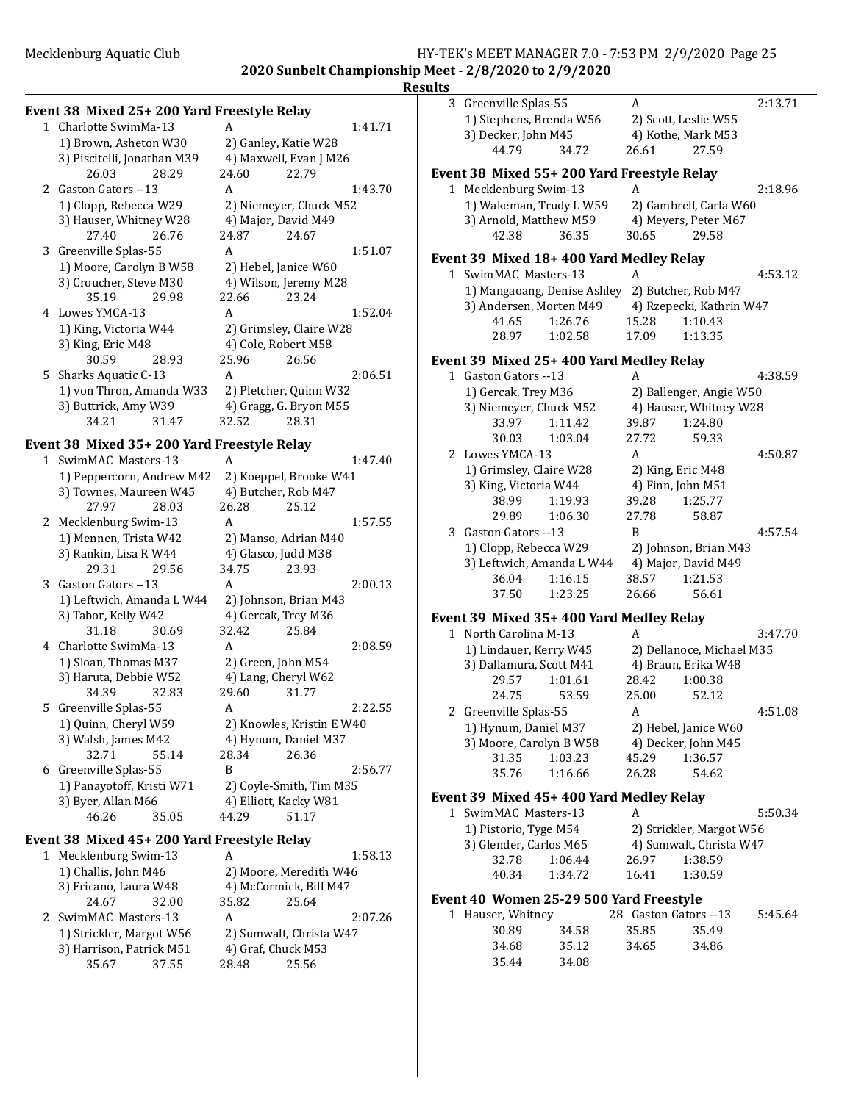**2020 Sunbelt Championship Meet - 2/8/2020 to 2/9/2020 Results**

# **Event 38 Mixed 25+ 200 Yard Freestyle Relay**<br>1 Charlotte SwimMa-13 A 1 Charlotte SwimMa-13 A 1:41.71

| 1) Brown, Asheton W30       |       |                        | 2) Ganley, Katie W28    |         |
|-----------------------------|-------|------------------------|-------------------------|---------|
| 3) Piscitelli, Jonathan M39 |       | 4) Maxwell, Evan J M26 |                         |         |
| 26.03                       | 28.29 | 24.60                  | 22.79                   |         |
| 2 Gaston Gators --13        |       | A                      |                         | 1:43.70 |
| 1) Clopp, Rebecca W29       |       |                        | 2) Niemeyer, Chuck M52  |         |
| 3) Hauser, Whitney W28      |       |                        | 4) Major, David M49     |         |
| 27.40                       | 26.76 | 24.87                  | 24.67                   |         |
| 3 Greenville Splas-55       |       | A                      |                         | 1:51.07 |
| 1) Moore, Carolyn B W58     |       |                        | 2) Hebel, Janice W60    |         |
| 3) Croucher, Steve M30      |       |                        | 4) Wilson, Jeremy M28   |         |
| 35.19 29.98                 |       | 22.66                  | 23.24                   |         |
| 4 Lowes YMCA-13             |       | A                      |                         | 1:52.04 |
| 1) King, Victoria W44       |       |                        | 2) Grimsley, Claire W28 |         |
| 3) King, Eric M48           |       |                        | 4) Cole, Robert M58     |         |
| 30.59                       | 28.93 | 25.96                  | 26.56                   |         |
| 5 Sharks Aquatic C-13       |       | A                      |                         | 2:06.51 |
| 1) von Thron, Amanda W33    |       |                        | 2) Pletcher, Quinn W32  |         |
| 3) Buttrick, Amy W39        |       |                        | 4) Gragg, G. Bryon M55  |         |
| 34.21                       | 31.47 | 32.52                  | 28.31                   |         |

### **Event 38 Mixed 35+ 200 Yard Freestyle Relay**

| $\mathbf{1}$ | SwimMAC Masters-13        |       | A     |                           | 1:47.40 |
|--------------|---------------------------|-------|-------|---------------------------|---------|
|              | 1) Peppercorn, Andrew M42 |       |       | 2) Koeppel, Brooke W41    |         |
|              | 3) Townes, Maureen W45    |       |       | 4) Butcher, Rob M47       |         |
|              | 27.97                     | 28.03 | 26.28 | 25.12                     |         |
| 2            | Mecklenburg Swim-13       |       | A     |                           | 1:57.55 |
|              | 1) Mennen, Trista W42     |       |       | 2) Manso, Adrian M40      |         |
|              | 3) Rankin, Lisa R W44     |       |       | 4) Glasco, Judd M38       |         |
|              | 29.31                     | 29.56 | 34.75 | 23.93                     |         |
| 3            | Gaston Gators --13        |       | A     |                           | 2:00.13 |
|              | 1) Leftwich, Amanda L W44 |       |       | 2) Johnson, Brian M43     |         |
|              | 3) Tabor, Kelly W42       |       |       | 4) Gercak, Trey M36       |         |
|              | 31.18                     | 30.69 | 32.42 | 25.84                     |         |
|              | 4 Charlotte SwimMa-13     |       | A     |                           | 2:08.59 |
|              | 1) Sloan, Thomas M37      |       |       | 2) Green, John M54        |         |
|              | 3) Haruta, Debbie W52     |       |       | 4) Lang, Cheryl W62       |         |
|              | 34.39                     | 32.83 | 29.60 | 31.77                     |         |
| 5.           | Greenville Splas-55       |       | A     |                           | 2:22.55 |
|              | 1) Quinn, Cheryl W59      |       |       | 2) Knowles, Kristin E W40 |         |
|              | 3) Walsh, James M42       |       |       | 4) Hynum, Daniel M37      |         |
|              | 32.71                     | 55.14 | 28.34 | 26.36                     |         |
| 6            | Greenville Splas-55       |       | R     |                           | 2:56.77 |
|              | 1) Panayotoff, Kristi W71 |       |       | 2) Coyle-Smith, Tim M35   |         |
|              | 3) Byer, Allan M66        |       |       | 4) Elliott, Kacky W81     |         |
|              | 46.26                     | 35.05 | 44.29 | 51.17                     |         |

### Event 38 Mixed 45+ 200 Yard Freestyle Relay

| 1 Mecklenburg Swim-13    |       | А                       |                        | 1:58.13 |  |
|--------------------------|-------|-------------------------|------------------------|---------|--|
| 1) Challis, John M46     |       |                         | 2) Moore, Meredith W46 |         |  |
| 3) Fricano, Laura W48    |       | 4) McCormick, Bill M47  |                        |         |  |
| 24.67                    | 32.00 | 35.82                   | 25.64                  |         |  |
| 2 SwimMAC Masters-13     |       | A                       |                        | 2:07.26 |  |
| 1) Strickler, Margot W56 |       | 2) Sumwalt, Christa W47 |                        |         |  |
| 3) Harrison, Patrick M51 |       |                         | 4) Graf, Chuck M53     |         |  |
| 35.67                    | 37.55 | 28.48                   | 25.56                  |         |  |
|                          |       |                         |                        |         |  |

|              | 3 Greenville Splas-55                                            | А                         | 2:13.71 |
|--------------|------------------------------------------------------------------|---------------------------|---------|
|              | 1) Stephens, Brenda W56                                          | 2) Scott, Leslie W55      |         |
|              | 3) Decker, John M45                                              | 4) Kothe, Mark M53        |         |
|              | 44.79<br>34.72                                                   | 26.61<br>27.59            |         |
|              | Event 38 Mixed 55+ 200 Yard Freestyle Relay                      |                           |         |
|              | 1 Mecklenburg Swim-13                                            | A                         | 2:18.96 |
|              | 1) Wakeman, Trudy L W59                                          | 2) Gambrell, Carla W60    |         |
|              | 3) Arnold, Matthew M59                                           | 4) Meyers, Peter M67      |         |
|              | 42.38<br>36.35                                                   | 30.65<br>29.58            |         |
|              |                                                                  |                           |         |
|              | Event 39 Mixed 18+ 400 Yard Medley Relay<br>1 SwimMAC Masters-13 |                           |         |
|              |                                                                  | A                         | 4:53.12 |
|              | 1) Mangaoang, Denise Ashley 2) Butcher, Rob M47                  |                           |         |
|              | 3) Andersen, Morten M49                                          | 4) Rzepecki, Kathrin W47  |         |
|              | 41.65<br>1:26.76                                                 | 15.28<br>1:10.43          |         |
|              | 28.97<br>1:02.58                                                 | 17.09<br>1:13.35          |         |
|              | Event 39 Mixed 25+ 400 Yard Medley Relay                         |                           |         |
|              | 1 Gaston Gators -- 13                                            | A                         | 4:38.59 |
|              | 1) Gercak, Trey M36                                              | 2) Ballenger, Angie W50   |         |
|              | 3) Niemeyer, Chuck M52                                           | 4) Hauser, Whitney W28    |         |
|              | 33.97<br>1:11.42                                                 | 1:24.80<br>39.87          |         |
|              | 30.03<br>1:03.04                                                 | 27.72<br>59.33            |         |
|              | 2 Lowes YMCA-13                                                  | A                         | 4:50.87 |
|              | 1) Grimsley, Claire W28                                          | 2) King, Eric M48         |         |
|              | 3) King, Victoria W44                                            | 4) Finn, John M51         |         |
|              | 38.99<br>1:19.93                                                 | 39.28<br>1:25.77          |         |
|              | 1:06.30<br>29.89                                                 | 27.78<br>58.87            |         |
|              | 3 Gaston Gators --13                                             | B                         | 4:57.54 |
|              | 1) Clopp, Rebecca W29                                            | 2) Johnson, Brian M43     |         |
|              | 3) Leftwich, Amanda L W44                                        | 4) Major, David M49       |         |
|              | 36.04<br>1:16.15                                                 | 38.57<br>1:21.53          |         |
|              | 1:23.25<br>37.50                                                 | 26.66<br>56.61            |         |
|              | Event 39 Mixed 35+ 400 Yard Medley Relay                         |                           |         |
|              | 1 North Carolina M-13                                            | A                         | 3:47.70 |
|              | 1) Lindauer, Kerry W45                                           | 2) Dellanoce, Michael M35 |         |
|              | 3) Dallamura, Scott M41                                          | 4) Braun, Erika W48       |         |
|              | 29.57<br>1:01.61                                                 | 28.42<br>1:00.38          |         |
|              | 24.75<br>53.59                                                   | 25.00<br>52.12            |         |
|              | 2 Greenville Splas-55                                            | A                         | 4:51.08 |
|              | 1) Hynum, Daniel M37                                             | 2) Hebel, Janice W60      |         |
|              | 3) Moore, Carolyn B W58                                          | 4) Decker, John M45       |         |
|              | 31.35<br>1:03.23                                                 | 45.29<br>1:36.57          |         |
|              | 35.76<br>1:16.66                                                 | 26.28<br>54.62            |         |
|              | Event 39 Mixed 45+ 400 Yard Medley Relay                         |                           |         |
|              | 1 SwimMAC Masters-13                                             | А                         | 5:50.34 |
|              | 1) Pistorio, Tyge M54                                            | 2) Strickler, Margot W56  |         |
|              | 3) Glender, Carlos M65                                           | 4) Sumwalt, Christa W47   |         |
|              | 32.78<br>1:06.44                                                 | 26.97<br>1:38.59          |         |
|              | 40.34<br>1:34.72                                                 | 16.41<br>1:30.59          |         |
|              |                                                                  |                           |         |
|              | Event 40 Women 25-29 500 Yard Freestyle                          |                           |         |
| $\mathbf{1}$ | Hauser, Whitney                                                  | 28 Gaston Gators --13     | 5:45.64 |

| 1 Hauser, whitney |       | 28 Gaston Gators --13 | 5:45.6 |  |
|-------------------|-------|-----------------------|--------|--|
| 30.89             | 34.58 | 35.85                 | 35.49  |  |
| 34.68             | 35.12 | 34.65                 | 34.86  |  |
| 35.44             | 34.08 |                       |        |  |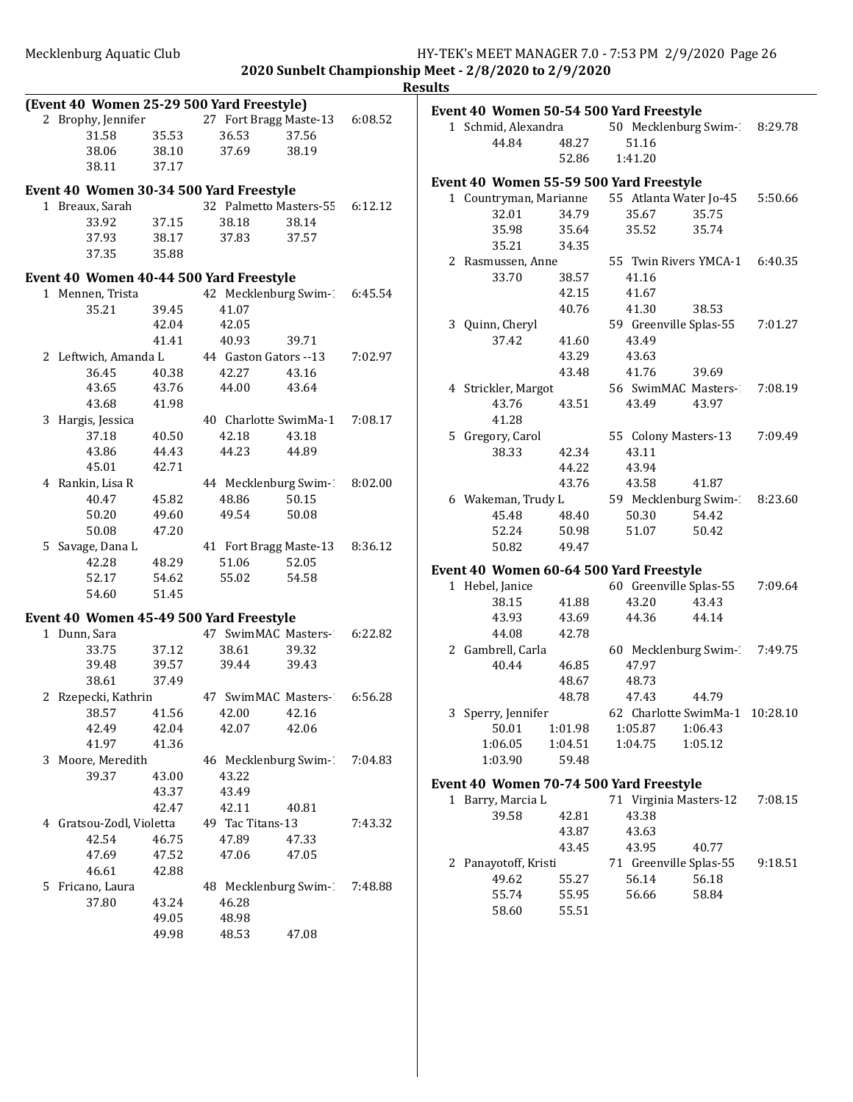|                                           |       |                       |                        |         | <b>Results</b> |                                         |         |                      |                                |         |
|-------------------------------------------|-------|-----------------------|------------------------|---------|----------------|-----------------------------------------|---------|----------------------|--------------------------------|---------|
| (Event 40 Women 25-29 500 Yard Freestyle) |       |                       |                        |         |                | Event 40 Women 50-54 500 Yard Freestyle |         |                      |                                |         |
| 2 Brophy, Jennifer                        |       |                       | 27 Fort Bragg Maste-13 | 6:08.52 |                | 1 Schmid, Alexandra                     |         |                      | 50 Mecklenburg Swim-1          | 8:29.78 |
| 31.58                                     | 35.53 | 36.53                 | 37.56                  |         |                | 44.84                                   | 48.27   | 51.16                |                                |         |
| 38.06                                     | 38.10 | 37.69                 | 38.19                  |         |                |                                         | 52.86   | 1:41.20              |                                |         |
| 38.11                                     | 37.17 |                       |                        |         |                |                                         |         |                      |                                |         |
| Event 40 Women 30-34 500 Yard Freestyle   |       |                       |                        |         |                | Event 40 Women 55-59 500 Yard Freestyle |         |                      |                                |         |
| 1 Breaux, Sarah                           |       |                       | 32 Palmetto Masters-55 | 6:12.12 |                | 1 Countryman, Marianne                  |         |                      | 55 Atlanta Water Jo-45         | 5:50.66 |
| 33.92                                     | 37.15 | 38.18                 | 38.14                  |         |                | 32.01                                   | 34.79   | 35.67                | 35.75                          |         |
| 37.93                                     | 38.17 | 37.83                 | 37.57                  |         |                | 35.98                                   | 35.64   | 35.52                | 35.74                          |         |
| 37.35                                     | 35.88 |                       |                        |         |                | 35.21                                   | 34.35   |                      |                                |         |
|                                           |       |                       |                        |         |                | 2 Rasmussen, Anne                       |         |                      | 55 Twin Rivers YMCA-1          | 6:40.35 |
| Event 40 Women 40-44 500 Yard Freestyle   |       |                       |                        |         |                | 33.70                                   | 38.57   | 41.16                |                                |         |
| 1 Mennen, Trista                          |       |                       | 42 Mecklenburg Swim-1  | 6:45.54 |                |                                         | 42.15   | 41.67                |                                |         |
| 35.21                                     | 39.45 | 41.07                 |                        |         |                |                                         | 40.76   | 41.30                | 38.53                          |         |
|                                           | 42.04 | 42.05                 |                        |         |                | 3 Quinn, Cheryl                         |         |                      | 59 Greenville Splas-55         | 7:01.27 |
|                                           | 41.41 | 40.93                 | 39.71                  |         |                | 37.42                                   | 41.60   | 43.49                |                                |         |
| 2 Leftwich, Amanda L                      |       | 44 Gaston Gators --13 |                        | 7:02.97 |                |                                         | 43.29   | 43.63                |                                |         |
| 36.45                                     | 40.38 | 42.27                 | 43.16                  |         |                |                                         | 43.48   | 41.76                | 39.69                          |         |
| 43.65                                     | 43.76 | 44.00                 | 43.64                  |         |                | 4 Strickler, Margot                     |         |                      | 56 SwimMAC Masters-1           | 7:08.19 |
| 43.68                                     | 41.98 |                       |                        |         |                | 43.76                                   | 43.51   | 43.49                | 43.97                          |         |
| 3 Hargis, Jessica                         |       |                       | 40 Charlotte SwimMa-1  | 7:08.17 |                | 41.28                                   |         |                      |                                |         |
| 37.18                                     | 40.50 | 42.18                 | 43.18                  |         |                | 5 Gregory, Carol                        |         | 55 Colony Masters-13 |                                | 7:09.49 |
| 43.86                                     | 44.43 | 44.23                 | 44.89                  |         |                | 38.33                                   | 42.34   | 43.11                |                                |         |
| 45.01                                     | 42.71 |                       |                        |         |                |                                         | 44.22   | 43.94                |                                |         |
| 4 Rankin, Lisa R                          |       |                       | 44 Mecklenburg Swim-1  | 8:02.00 |                |                                         | 43.76   | 43.58                | 41.87                          |         |
| 40.47                                     | 45.82 | 48.86                 | 50.15                  |         |                | 6 Wakeman, Trudy L                      |         |                      | 59 Mecklenburg Swim-1          | 8:23.60 |
| 50.20                                     | 49.60 | 49.54                 | 50.08                  |         |                | 45.48                                   | 48.40   | 50.30                | 54.42                          |         |
| 50.08                                     | 47.20 |                       |                        |         |                | 52.24                                   | 50.98   | 51.07                | 50.42                          |         |
| 5 Savage, Dana L                          |       |                       | 41 Fort Bragg Maste-13 | 8:36.12 |                | 50.82                                   | 49.47   |                      |                                |         |
| 42.28                                     | 48.29 | 51.06                 | 52.05                  |         |                |                                         |         |                      |                                |         |
| 52.17                                     | 54.62 | 55.02                 | 54.58                  |         |                | Event 40 Women 60-64 500 Yard Freestyle |         |                      |                                |         |
| 54.60                                     | 51.45 |                       |                        |         |                | 1 Hebel, Janice                         |         |                      | 60 Greenville Splas-55         | 7:09.64 |
|                                           |       |                       |                        |         |                | 38.15                                   | 41.88   | 43.20                | 43.43                          |         |
| Event 40 Women 45-49 500 Yard Freestyle   |       |                       |                        |         |                | 43.93                                   | 43.69   | 44.36                | 44.14                          |         |
| 1 Dunn, Sara                              |       |                       | 47 SwimMAC Masters-1   | 6:22.82 |                | 44.08                                   | 42.78   |                      |                                |         |
| 33.75                                     | 37.12 | 38.61                 | 39.32                  |         |                | 2 Gambrell, Carla                       |         |                      | 60 Mecklenburg Swim-1          | 7:49.75 |
| 39.48                                     | 39.57 | 39.44                 | 39.43                  |         |                | 40.44                                   | 46.85   | 47.97                |                                |         |
| 38.61                                     | 37.49 |                       |                        |         |                |                                         | 48.67   | 48.73                |                                |         |
| 2 Rzepecki, Kathrin                       |       |                       | 47 SwimMAC Masters-2   | 6:56.28 |                |                                         | 48.78   | 47.43                | 44.79                          |         |
| 38.57                                     | 41.56 | 42.00                 | 42.16                  |         |                | 3 Sperry, Jennifer                      |         |                      | 62 Charlotte SwimMa-1 10:28.10 |         |
| 42.49                                     | 42.04 | 42.07                 | 42.06                  |         |                | 50.01                                   | 1:01.98 | 1:05.87              | 1:06.43                        |         |
| 41.97                                     | 41.36 |                       |                        |         |                | 1:06.05                                 | 1:04.51 | 1:04.75              | 1:05.12                        |         |
| 3 Moore, Meredith                         |       |                       | 46 Mecklenburg Swim-1  | 7:04.83 |                | 1:03.90                                 | 59.48   |                      |                                |         |
| 39.37                                     | 43.00 | 43.22                 |                        |         |                | Event 40 Women 70-74 500 Yard Freestyle |         |                      |                                |         |
|                                           | 43.37 | 43.49                 |                        |         |                | 1 Barry, Marcia L                       |         |                      | 71 Virginia Masters-12         | 7:08.15 |
|                                           | 42.47 | 42.11                 | 40.81                  |         |                | 39.58                                   | 42.81   |                      |                                |         |
| 4 Gratsou-Zodl, Violetta                  |       | 49 Tac Titans-13      |                        | 7:43.32 |                |                                         | 43.87   | 43.38<br>43.63       |                                |         |
| 42.54                                     | 46.75 | 47.89                 | 47.33                  |         |                |                                         | 43.45   | 43.95                |                                |         |
| 47.69                                     | 47.52 | 47.06                 | 47.05                  |         |                |                                         |         |                      | 40.77                          |         |
| 46.61                                     | 42.88 |                       |                        |         |                | 2 Panayotoff, Kristi                    |         |                      | 71 Greenville Splas-55         | 9:18.51 |
| 5 Fricano, Laura                          |       |                       | 48 Mecklenburg Swim-1  | 7:48.88 |                | 49.62                                   | 55.27   | 56.14                | 56.18                          |         |
| 37.80                                     | 43.24 | 46.28                 |                        |         |                | 55.74                                   | 55.95   | 56.66                | 58.84                          |         |
|                                           | 49.05 | 48.98                 |                        |         |                | 58.60                                   | 55.51   |                      |                                |         |
|                                           | 49.98 | 48.53                 | 47.08                  |         |                |                                         |         |                      |                                |         |
|                                           |       |                       |                        |         |                |                                         |         |                      |                                |         |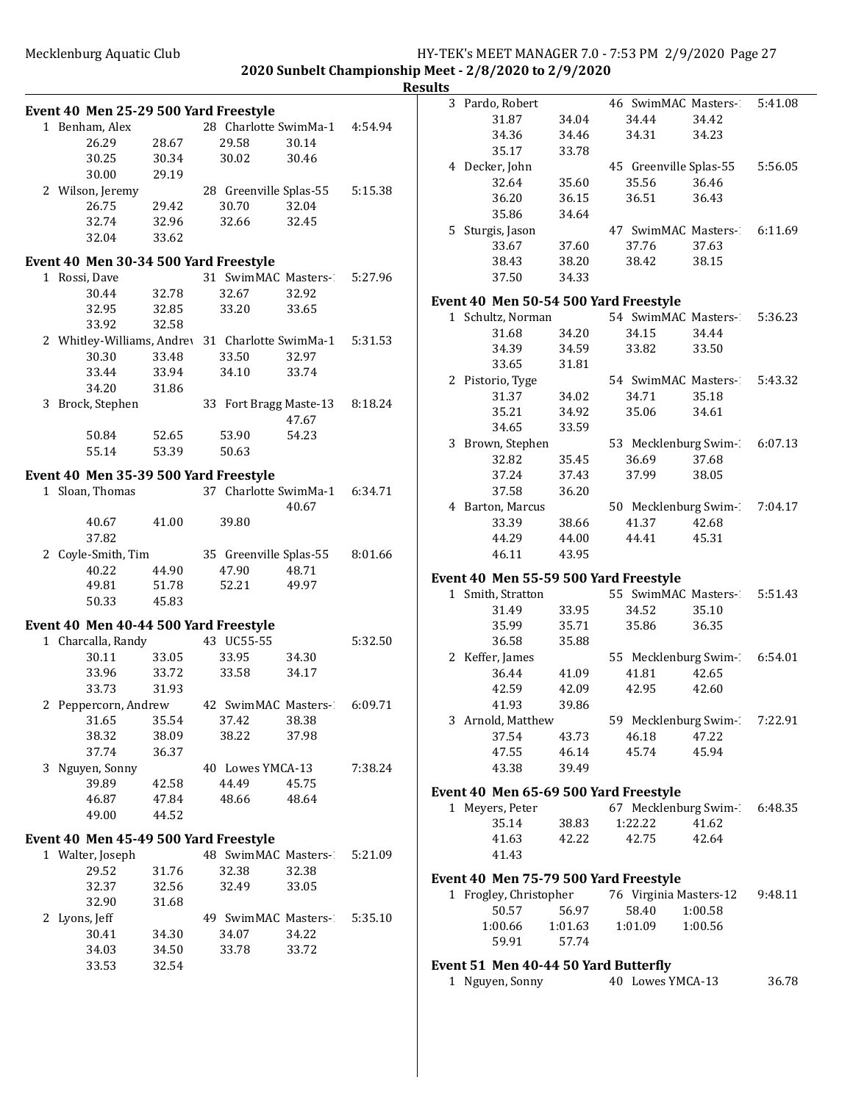**Results**

|                                                  |       |                               |       |         | 3 Pardo    |
|--------------------------------------------------|-------|-------------------------------|-------|---------|------------|
| Event 40 Men 25-29 500 Yard Freestyle            |       |                               |       |         |            |
| 1 Benham, Alex                                   |       | 28 Charlotte SwimMa-1 4:54.94 |       |         |            |
| 26.29                                            | 28.67 | 29.58                         | 30.14 |         |            |
| 30.25                                            | 30.34 | 30.02                         | 30.46 |         | 4 Decke    |
| 30.00                                            | 29.19 |                               |       |         |            |
| 2 Wilson, Jeremy                                 |       | 28 Greenville Splas-55        |       | 5:15.38 |            |
| 26.75                                            | 29.42 | 30.70                         | 32.04 |         |            |
| 32.74                                            | 32.96 | 32.66                         | 32.45 |         | 5 Sturgi   |
| 32.04                                            | 33.62 |                               |       |         |            |
| Event 40 Men 30-34 500 Yard Freestyle            |       |                               |       |         |            |
| 1 Rossi, Dave                                    |       | 31 SwimMAC Masters-2          |       | 5:27.96 |            |
| 30.44                                            | 32.78 | 32.67                         | 32.92 |         |            |
| 32.95                                            | 32.85 | 33.20                         | 33.65 |         | Event 40   |
| 33.92                                            | 32.58 |                               |       |         | 1 Schult   |
| 2 Whitley-Williams, Andrey 31 Charlotte SwimMa-1 |       |                               |       | 5:31.53 |            |
| 30.30                                            | 33.48 | 33.50                         | 32.97 |         |            |
| 33.44                                            | 33.94 | 34.10                         | 33.74 |         |            |
| 34.20                                            | 31.86 |                               |       |         | 2 Pistor   |
| 3 Brock, Stephen 33 Fort Bragg Maste-13          |       |                               |       | 8:18.24 |            |
|                                                  |       |                               | 47.67 |         |            |
| 50.84                                            | 52.65 | 53.90                         | 54.23 |         |            |
| 55.14                                            | 53.39 | 50.63                         |       |         | 3 Brow     |
|                                                  |       |                               |       |         |            |
| Event 40 Men 35-39 500 Yard Freestyle            |       | 37 Charlotte SwimMa-1 6:34.71 |       |         |            |
| 1 Sloan, Thomas                                  |       |                               |       |         |            |
| 40.67                                            | 41.00 | 39.80                         | 40.67 |         | 4 Barto    |
| 37.82                                            |       |                               |       |         |            |
| 2 Coyle-Smith, Tim 35 Greenville Splas-55        |       |                               |       | 8:01.66 |            |
| 40.22                                            | 44.90 | 47.90                         | 48.71 |         |            |
| 49.81                                            | 51.78 | 52.21                         | 49.97 |         | Event 40   |
| 50.33                                            | 45.83 |                               |       |         | 1 Smith    |
|                                                  |       |                               |       |         |            |
| Event 40 Men 40-44 500 Yard Freestyle            |       |                               |       |         |            |
| 1 Charcalla, Randy                               |       | 43 UC55-55                    |       | 5:32.50 |            |
| 30.11                                            | 33.05 | 33.95                         | 34.30 |         | 2 Keffer   |
| 33.96                                            | 33.72 | 33.58                         | 34.17 |         |            |
| 33.73                                            | 31.93 |                               |       |         |            |
| 2 Peppercorn, Andrew                             |       | 42 SwimMAC Masters- 6:09.71   |       |         |            |
| 31.65                                            | 35.54 | 37.42                         | 38.38 |         | 3 Arnol    |
| 38.32                                            | 38.09 | 38.22                         | 37.98 |         |            |
| 37.74                                            | 36.37 |                               |       |         |            |
| 3 Nguyen, Sonny                                  |       | 40 Lowes YMCA-13              |       | 7:38.24 |            |
| 39.89                                            | 42.58 | 44.49                         | 45.75 |         | Event 40 1 |
| 46.87                                            | 47.84 | 48.66                         | 48.64 |         | 1 Meyer    |
| 49.00                                            | 44.52 |                               |       |         |            |
| Event 40 Men 45-49 500 Yard Freestyle            |       |                               |       |         |            |
| 1 Walter, Joseph                                 |       | 48 SwimMAC Masters-           |       | 5:21.09 |            |
| 29.52                                            | 31.76 | 32.38                         | 32.38 |         |            |
| 32.37                                            | 32.56 | 32.49                         | 33.05 |         | Event 40 I |
| 32.90                                            | 31.68 |                               |       |         | 1 Frogle   |
| 2 Lyons, Jeff                                    |       | 49 SwimMAC Masters-           |       | 5:35.10 |            |
| 30.41                                            | 34.30 | 34.07                         | 34.22 |         | 1:0        |
| 34.03                                            | 34.50 | 33.78                         | 33.72 |         |            |
| 33.53                                            | 32.54 |                               |       |         | Event 51   |
|                                                  |       |                               |       |         | 1 Nguye    |
|                                                  |       |                               |       |         |            |

|             | 3 Pardo, Robert                       |         | 46 SwimMAC Masters- 5:41.08  |         |         |
|-------------|---------------------------------------|---------|------------------------------|---------|---------|
|             | 31.87                                 | 34.04   | 34.44                        | 34.42   |         |
|             | 34.36                                 | 34.46   | 34.31                        | 34.23   |         |
|             | 35.17                                 | 33.78   |                              |         |         |
|             | 4 Decker, John                        |         | 45 Greenville Splas-55       |         | 5:56.05 |
|             | 32.64                                 | 35.60   | 35.56                        | 36.46   |         |
|             | 36.20                                 | 36.15   | 36.51                        | 36.43   |         |
|             | 35.86                                 | 34.64   |                              |         |         |
|             | 5 Sturgis, Jason                      |         | 47 SwimMAC Masters- 6:11.69  |         |         |
|             | 33.67                                 | 37.60   | 37.76                        | 37.63   |         |
|             | 38.43                                 | 38.20   | 38.42                        | 38.15   |         |
|             | 37.50                                 | 34.33   |                              |         |         |
|             | Event 40 Men 50-54 500 Yard Freestyle |         |                              |         |         |
|             | 1 Schultz, Norman                     |         | 54 SwimMAC Masters-1         |         | 5:36.23 |
|             | 31.68                                 | 34.20   | 34.15                        | 34.44   |         |
|             | 34.39                                 | 34.59   | 33.82                        | 33.50   |         |
|             | 33.65                                 | 31.81   |                              |         |         |
|             | 2 Pistorio, Tyge                      |         | 54 SwimMAC Masters-2 5:43.32 |         |         |
|             | 31.37                                 | 34.02   | 34.71                        | 35.18   |         |
|             | 35.21                                 | 34.92   | 35.06                        | 34.61   |         |
|             | 34.65                                 | 33.59   |                              |         |         |
|             | 3 Brown, Stephen                      |         | 53 Mecklenburg Swim-1        |         | 6:07.13 |
|             | 32.82                                 | 35.45   | 36.69                        | 37.68   |         |
|             | 37.24                                 | 37.43   | 37.99                        | 38.05   |         |
|             | 37.58                                 | 36.20   |                              |         |         |
|             | 4 Barton, Marcus                      |         | 50 Mecklenburg Swim-1        |         | 7:04.17 |
|             | 33.39                                 | 38.66   | 41.37                        | 42.68   |         |
|             | 44.29                                 | 44.00   | 44.41                        | 45.31   |         |
|             | 46.11                                 | 43.95   |                              |         |         |
|             | Event 40 Men 55-59 500 Yard Freestyle |         |                              |         |         |
| $\mathbf 1$ | Smith, Stratton                       |         | 55 SwimMAC Masters-2         |         | 5:51.43 |
|             | 31.49                                 | 33.95   | 34.52                        | 35.10   |         |
|             | 35.99                                 | 35.71   | 35.86                        | 36.35   |         |
|             | 36.58                                 | 35.88   |                              |         |         |
|             | 2 Keffer, James                       |         | 55 Mecklenburg Swim-1        |         | 6:54.01 |
|             | 36.44                                 | 41.09   | 41.81                        | 42.65   |         |
|             | 42.59                                 | 42.09   | 42.95                        | 42.60   |         |
|             | 41.93                                 | 39.86   |                              |         |         |
|             | 3 Arnold, Matthew                     |         | 59 Mecklenburg Swim-1        |         | 7:22.91 |
|             | 37.54                                 | 43.73   | 46.18                        | 47.22   |         |
|             | 47.55                                 | 46.14   | 45.74                        | 45.94   |         |
|             | 43.38                                 | 39.49   |                              |         |         |
|             | Event 40 Men 65-69 500 Yard Freestyle |         |                              |         |         |
|             | 1 Meyers, Peter                       |         | 67 Mecklenburg Swim- 6:48.35 |         |         |
|             | 35.14                                 | 38.83   | 1:22.22                      | 41.62   |         |
|             | 41.63                                 | 42.22   | 42.75                        | 42.64   |         |
|             | 41.43                                 |         |                              |         |         |
|             | Event 40 Men 75-79 500 Yard Freestyle |         |                              |         |         |
|             | 1 Frogley, Christopher                |         | 76 Virginia Masters-12       |         | 9:48.11 |
|             | 50.57                                 | 56.97   | 58.40                        | 1:00.58 |         |
|             | 1:00.66                               | 1:01.63 | 1:01.09                      | 1:00.56 |         |
|             | 59.91                                 | 57.74   |                              |         |         |
|             | Event 51 Men 40-44 50 Yard Butterfly  |         |                              |         |         |
| $1\,$       | Nguyen, Sonny                         |         | 40 Lowes YMCA-13             |         | 36.78   |
|             |                                       |         |                              |         |         |